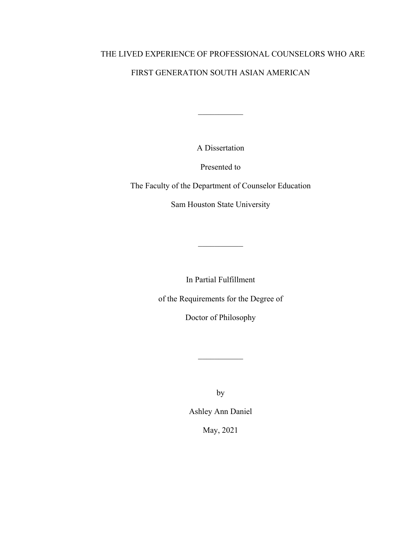# THE LIVED EXPERIENCE OF PROFESSIONAL COUNSELORS WHO ARE

# FIRST GENERATION SOUTH ASIAN AMERICAN

A Dissertation

 $\overline{\phantom{a}}$ 

Presented to

The Faculty of the Department of Counselor Education

Sam Houston State University

In Partial Fulfillment

of the Requirements for the Degree of

Doctor of Philosophy

by

Ashley Ann Daniel

May, 2021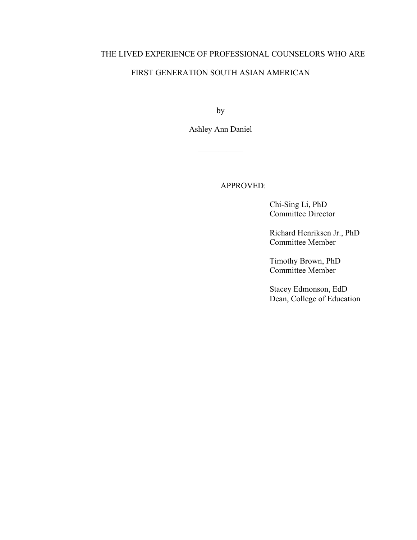# THE LIVED EXPERIENCE OF PROFESSIONAL COUNSELORS WHO ARE

# FIRST GENERATION SOUTH ASIAN AMERICAN

by

Ashley Ann Daniel

 $\frac{1}{2}$  ,  $\frac{1}{2}$  ,  $\frac{1}{2}$  ,  $\frac{1}{2}$  ,  $\frac{1}{2}$  ,  $\frac{1}{2}$  ,  $\frac{1}{2}$ 

APPROVED:

 Chi-Sing Li, PhD Committee Director

 Richard Henriksen Jr., PhD Committee Member

 Timothy Brown, PhD Committee Member

 Stacey Edmonson, EdD Dean, College of Education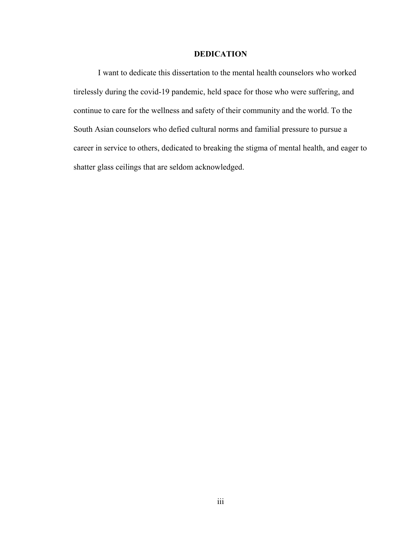# **DEDICATION**

<span id="page-2-0"></span>I want to dedicate this dissertation to the mental health counselors who worked tirelessly during the covid-19 pandemic, held space for those who were suffering, and continue to care for the wellness and safety of their community and the world. To the South Asian counselors who defied cultural norms and familial pressure to pursue a career in service to others, dedicated to breaking the stigma of mental health, and eager to shatter glass ceilings that are seldom acknowledged.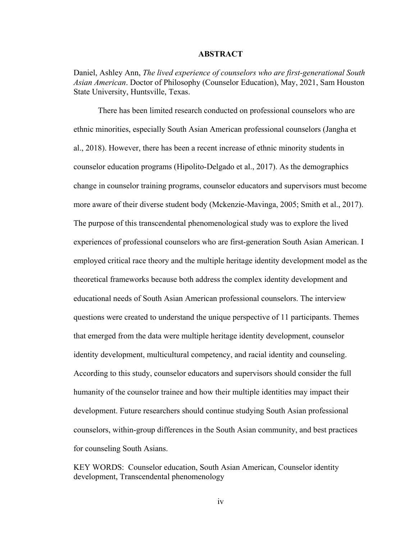## **ABSTRACT**

<span id="page-3-0"></span>Daniel, Ashley Ann, *The lived experience of counselors who are first-generational South Asian American*. Doctor of Philosophy (Counselor Education), May, 2021, Sam Houston State University, Huntsville, Texas.

There has been limited research conducted on professional counselors who are ethnic minorities, especially South Asian American professional counselors (Jangha et al., 2018). However, there has been a recent increase of ethnic minority students in counselor education programs (Hipolito-Delgado et al., 2017). As the demographics change in counselor training programs, counselor educators and supervisors must become more aware of their diverse student body (Mckenzie-Mavinga, 2005; Smith et al., 2017). The purpose of this transcendental phenomenological study was to explore the lived experiences of professional counselors who are first-generation South Asian American. I employed critical race theory and the multiple heritage identity development model as the theoretical frameworks because both address the complex identity development and educational needs of South Asian American professional counselors. The interview questions were created to understand the unique perspective of 11 participants. Themes that emerged from the data were multiple heritage identity development, counselor identity development, multicultural competency, and racial identity and counseling. According to this study, counselor educators and supervisors should consider the full humanity of the counselor trainee and how their multiple identities may impact their development. Future researchers should continue studying South Asian professional counselors, within-group differences in the South Asian community, and best practices for counseling South Asians.

KEY WORDS: Counselor education, South Asian American, Counselor identity development, Transcendental phenomenology

iv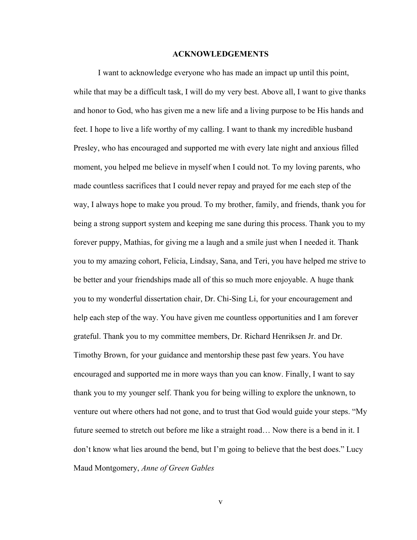#### **ACKNOWLEDGEMENTS**

<span id="page-4-0"></span>I want to acknowledge everyone who has made an impact up until this point, while that may be a difficult task, I will do my very best. Above all, I want to give thanks and honor to God, who has given me a new life and a living purpose to be His hands and feet. I hope to live a life worthy of my calling. I want to thank my incredible husband Presley, who has encouraged and supported me with every late night and anxious filled moment, you helped me believe in myself when I could not. To my loving parents, who made countless sacrifices that I could never repay and prayed for me each step of the way, I always hope to make you proud. To my brother, family, and friends, thank you for being a strong support system and keeping me sane during this process. Thank you to my forever puppy, Mathias, for giving me a laugh and a smile just when I needed it. Thank you to my amazing cohort, Felicia, Lindsay, Sana, and Teri, you have helped me strive to be better and your friendships made all of this so much more enjoyable. A huge thank you to my wonderful dissertation chair, Dr. Chi-Sing Li, for your encouragement and help each step of the way. You have given me countless opportunities and I am forever grateful. Thank you to my committee members, Dr. Richard Henriksen Jr. and Dr. Timothy Brown, for your guidance and mentorship these past few years. You have encouraged and supported me in more ways than you can know. Finally, I want to say thank you to my younger self. Thank you for being willing to explore the unknown, to venture out where others had not gone, and to trust that God would guide your steps. "My future seemed to stretch out before me like a straight road... Now there is a bend in it. I don't know what lies around the bend, but I'm going to believe that the best does." Lucy Maud Montgomery, *Anne of Green Gables*

v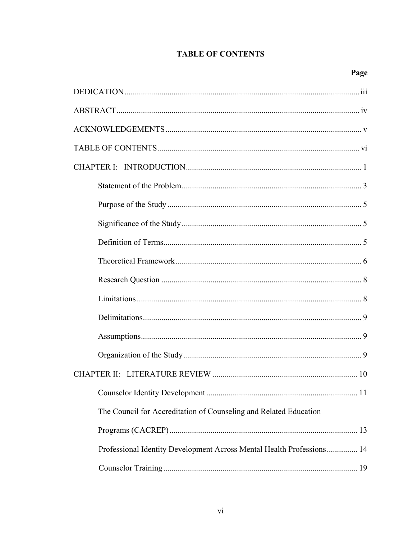# **TABLE OF CONTENTS**

<span id="page-5-0"></span>

| The Council for Accreditation of Counseling and Related Education     |
|-----------------------------------------------------------------------|
|                                                                       |
| Professional Identity Development Across Mental Health Professions 14 |
|                                                                       |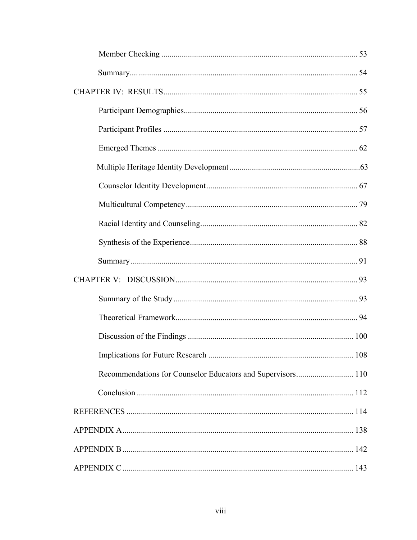| Recommendations for Counselor Educators and Supervisors 110 |
|-------------------------------------------------------------|
|                                                             |
|                                                             |
|                                                             |
|                                                             |
|                                                             |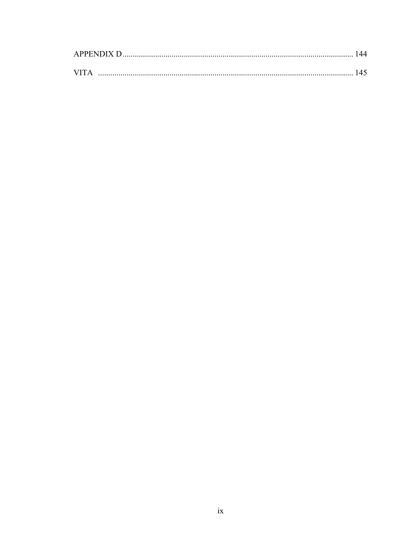|            | <b>APPENDIX D</b> |  |  |
|------------|-------------------|--|--|
|            |                   |  |  |
| <b>VIT</b> |                   |  |  |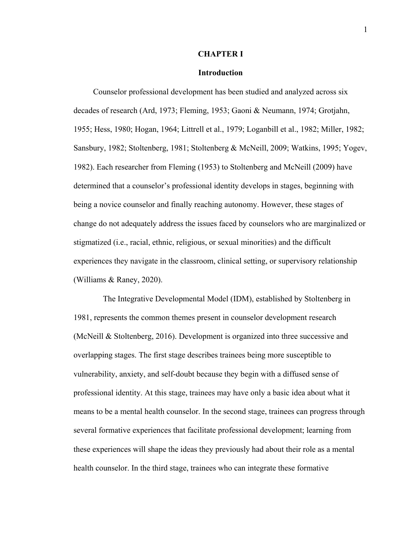# **CHAPTER I**

# **Introduction**

<span id="page-9-0"></span>Counselor professional development has been studied and analyzed across six decades of research (Ard, 1973; Fleming, 1953; Gaoni & Neumann, 1974; Grotjahn, 1955; Hess, 1980; Hogan, 1964; Littrell et al., 1979; Loganbill et al., 1982; Miller, 1982; Sansbury, 1982; Stoltenberg, 1981; Stoltenberg & McNeill, 2009; Watkins, 1995; Yogev, 1982). Each researcher from Fleming (1953) to Stoltenberg and McNeill (2009) have determined that a counselor's professional identity develops in stages, beginning with being a novice counselor and finally reaching autonomy. However, these stages of change do not adequately address the issues faced by counselors who are marginalized or stigmatized (i.e., racial, ethnic, religious, or sexual minorities) and the difficult experiences they navigate in the classroom, clinical setting, or supervisory relationship (Williams & Raney, 2020).

 The Integrative Developmental Model (IDM), established by Stoltenberg in 1981, represents the common themes present in counselor development research (McNeill & Stoltenberg, 2016). Development is organized into three successive and overlapping stages. The first stage describes trainees being more susceptible to vulnerability, anxiety, and self-doubt because they begin with a diffused sense of professional identity. At this stage, trainees may have only a basic idea about what it means to be a mental health counselor. In the second stage, trainees can progress through several formative experiences that facilitate professional development; learning from these experiences will shape the ideas they previously had about their role as a mental health counselor. In the third stage, trainees who can integrate these formative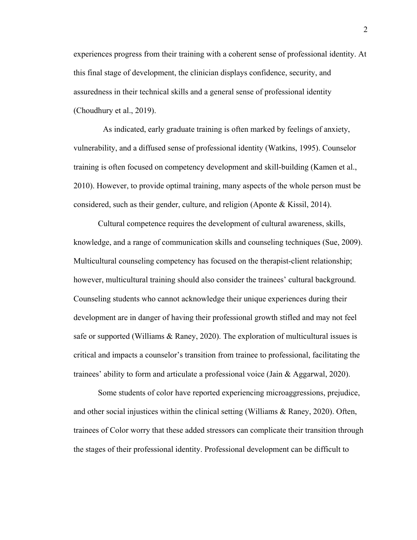experiences progress from their training with a coherent sense of professional identity. At this final stage of development, the clinician displays confidence, security, and assuredness in their technical skills and a general sense of professional identity (Choudhury et al., 2019).

 As indicated, early graduate training is often marked by feelings of anxiety, vulnerability, and a diffused sense of professional identity (Watkins, 1995). Counselor training is often focused on competency development and skill-building (Kamen et al., 2010). However, to provide optimal training, many aspects of the whole person must be considered, such as their gender, culture, and religion (Aponte & Kissil, 2014).

Cultural competence requires the development of cultural awareness, skills, knowledge, and a range of communication skills and counseling techniques (Sue, 2009). Multicultural counseling competency has focused on the therapist-client relationship; however, multicultural training should also consider the trainees' cultural background. Counseling students who cannot acknowledge their unique experiences during their development are in danger of having their professional growth stifled and may not feel safe or supported (Williams & Raney, 2020). The exploration of multicultural issues is critical and impacts a counselor's transition from trainee to professional, facilitating the trainees' ability to form and articulate a professional voice (Jain & Aggarwal, 2020).

Some students of color have reported experiencing microaggressions, prejudice, and other social injustices within the clinical setting (Williams & Raney, 2020). Often, trainees of Color worry that these added stressors can complicate their transition through the stages of their professional identity. Professional development can be difficult to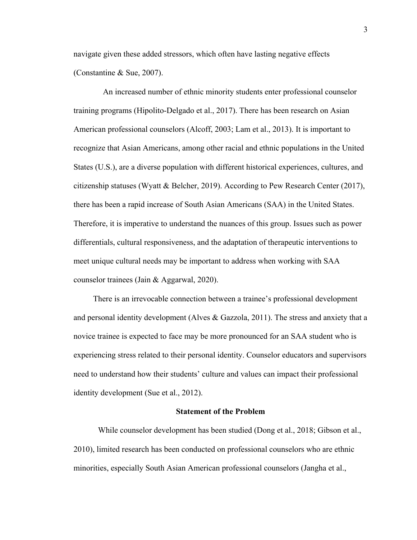navigate given these added stressors, which often have lasting negative effects (Constantine & Sue, 2007).

 An increased number of ethnic minority students enter professional counselor training programs (Hipolito-Delgado et al., 2017). There has been research on Asian American professional counselors (Alcoff, 2003; Lam et al., 2013). It is important to recognize that Asian Americans, among other racial and ethnic populations in the United States (U.S.), are a diverse population with different historical experiences, cultures, and citizenship statuses (Wyatt & Belcher, 2019). According to Pew Research Center (2017), there has been a rapid increase of South Asian Americans (SAA) in the United States. Therefore, it is imperative to understand the nuances of this group. Issues such as power differentials, cultural responsiveness, and the adaptation of therapeutic interventions to meet unique cultural needs may be important to address when working with SAA counselor trainees (Jain & Aggarwal, 2020).

 There is an irrevocable connection between a trainee's professional development and personal identity development (Alves  $\&$  Gazzola, 2011). The stress and anxiety that a novice trainee is expected to face may be more pronounced for an SAA student who is experiencing stress related to their personal identity. Counselor educators and supervisors need to understand how their students' culture and values can impact their professional identity development (Sue et al., 2012).

# **Statement of the Problem**

<span id="page-11-0"></span>While counselor development has been studied (Dong et al., 2018; Gibson et al., 2010), limited research has been conducted on professional counselors who are ethnic minorities, especially South Asian American professional counselors (Jangha et al.,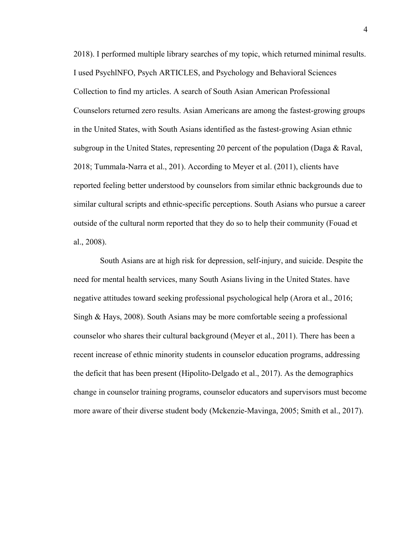2018). I performed multiple library searches of my topic, which returned minimal results. I used PsychlNFO, Psych ARTICLES, and Psychology and Behavioral Sciences Collection to find my articles. A search of South Asian American Professional Counselors returned zero results. Asian Americans are among the fastest-growing groups in the United States, with South Asians identified as the fastest-growing Asian ethnic subgroup in the United States, representing 20 percent of the population (Daga & Raval, 2018; Tummala-Narra et al., 201). According to Meyer et al. (2011), clients have reported feeling better understood by counselors from similar ethnic backgrounds due to similar cultural scripts and ethnic-specific perceptions. South Asians who pursue a career outside of the cultural norm reported that they do so to help their community (Fouad et al., 2008).

 South Asians are at high risk for depression, self-injury, and suicide. Despite the need for mental health services, many South Asians living in the United States. have negative attitudes toward seeking professional psychological help (Arora et al., 2016; Singh & Hays, 2008). South Asians may be more comfortable seeing a professional counselor who shares their cultural background (Meyer et al., 2011). There has been a recent increase of ethnic minority students in counselor education programs, addressing the deficit that has been present (Hipolito-Delgado et al., 2017). As the demographics change in counselor training programs, counselor educators and supervisors must become more aware of their diverse student body (Mckenzie-Mavinga, 2005; Smith et al., 2017).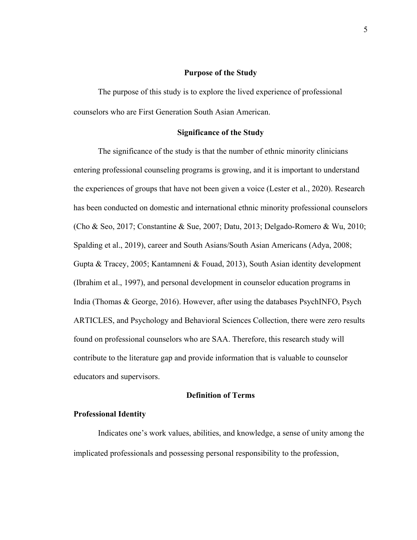# **Purpose of the Study**

<span id="page-13-0"></span>The purpose of this study is to explore the lived experience of professional counselors who are First Generation South Asian American.

# **Significance of the Study**

<span id="page-13-1"></span>The significance of the study is that the number of ethnic minority clinicians entering professional counseling programs is growing, and it is important to understand the experiences of groups that have not been given a voice (Lester et al., 2020). Research has been conducted on domestic and international ethnic minority professional counselors (Cho & Seo, 2017; Constantine & Sue, 2007; Datu, 2013; Delgado-Romero & Wu, 2010; Spalding et al., 2019), career and South Asians/South Asian Americans (Adya, 2008; Gupta & Tracey, 2005; Kantamneni & Fouad, 2013), South Asian identity development (Ibrahim et al., 1997), and personal development in counselor education programs in India (Thomas & George, 2016). However, after using the databases PsychINFO, Psych ARTICLES, and Psychology and Behavioral Sciences Collection, there were zero results found on professional counselors who are SAA. Therefore, this research study will contribute to the literature gap and provide information that is valuable to counselor educators and supervisors.

# **Definition of Terms**

# <span id="page-13-2"></span>**Professional Identity**

Indicates one's work values, abilities, and knowledge, a sense of unity among the implicated professionals and possessing personal responsibility to the profession,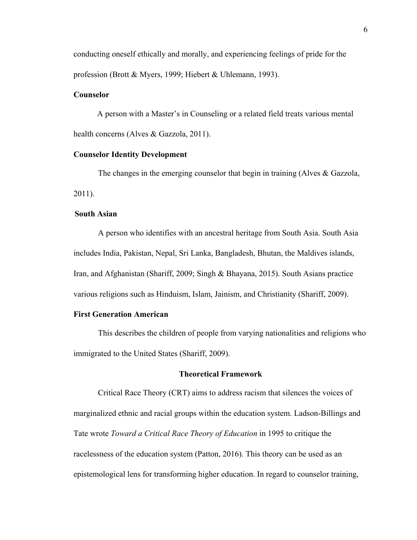conducting oneself ethically and morally, and experiencing feelings of pride for the profession (Brott & Myers, 1999; Hiebert & Uhlemann, 1993).

# **Counselor**

 A person with a Master's in Counseling or a related field treats various mental health concerns (Alves & Gazzola, 2011).

# **Counselor Identity Development**

The changes in the emerging counselor that begin in training (Alves & Gazzola, 2011).

# **South Asian**

A person who identifies with an ancestral heritage from South Asia. South Asia includes India, Pakistan, Nepal, Sri Lanka, Bangladesh, Bhutan, the Maldives islands, Iran, and Afghanistan (Shariff, 2009; Singh & Bhayana, 2015). South Asians practice various religions such as Hinduism, Islam, Jainism, and Christianity (Shariff, 2009).

# **First Generation American**

This describes the children of people from varying nationalities and religions who immigrated to the United States (Shariff, 2009).

# **Theoretical Framework**

<span id="page-14-0"></span>Critical Race Theory (CRT) aims to address racism that silences the voices of marginalized ethnic and racial groups within the education system. Ladson-Billings and Tate wrote *Toward a Critical Race Theory of Education* in 1995 to critique the racelessness of the education system (Patton, 2016). This theory can be used as an epistemological lens for transforming higher education. In regard to counselor training,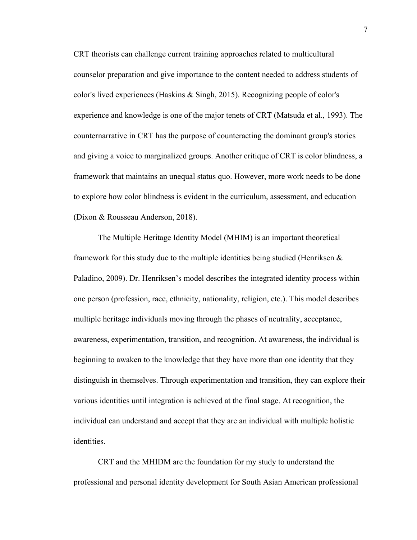CRT theorists can challenge current training approaches related to multicultural counselor preparation and give importance to the content needed to address students of color's lived experiences (Haskins & Singh, 2015). Recognizing people of color's experience and knowledge is one of the major tenets of CRT (Matsuda et al., 1993). The counternarrative in CRT has the purpose of counteracting the dominant group's stories and giving a voice to marginalized groups. Another critique of CRT is color blindness, a framework that maintains an unequal status quo. However, more work needs to be done to explore how color blindness is evident in the curriculum, assessment, and education (Dixon & Rousseau Anderson, 2018).

The Multiple Heritage Identity Model (MHIM) is an important theoretical framework for this study due to the multiple identities being studied (Henriksen & Paladino, 2009). Dr. Henriksen's model describes the integrated identity process within one person (profession, race, ethnicity, nationality, religion, etc.). This model describes multiple heritage individuals moving through the phases of neutrality, acceptance, awareness, experimentation, transition, and recognition. At awareness, the individual is beginning to awaken to the knowledge that they have more than one identity that they distinguish in themselves. Through experimentation and transition, they can explore their various identities until integration is achieved at the final stage. At recognition, the individual can understand and accept that they are an individual with multiple holistic identities.

CRT and the MHIDM are the foundation for my study to understand the professional and personal identity development for South Asian American professional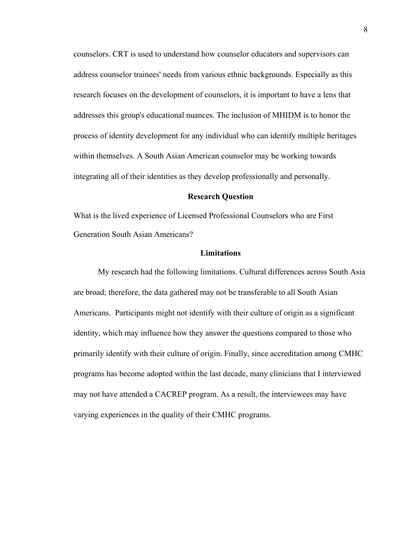counselors. CRT is used to understand how counselor educators and supervisors can address counselor trainees' needs from various ethnic backgrounds. Especially as this research focuses on the development of counselors, it is important to have a lens that addresses this group's educational nuances. The inclusion of MHIDM is to honor the process of identity development for any individual who can identify multiple heritages within themselves. A South Asian American counselor may be working towards integrating all of their identities as they develop professionally and personally.

# **Research Question**

<span id="page-16-0"></span>What is the lived experience of Licensed Professional Counselors who are First Generation South Asian Americans?

# **Limitations**

<span id="page-16-1"></span>My research had the following limitations. Cultural differences across South Asia are broad; therefore, the data gathered may not be transferable to all South Asian Americans. Participants might not identify with their culture of origin as a significant identity, which may influence how they answer the questions compared to those who primarily identify with their culture of origin. Finally, since accreditation among CMHC programs has become adopted within the last decade, many clinicians that I interviewed may not have attended a CACREP program. As a result, the interviewees may have varying experiences in the quality of their CMHC programs.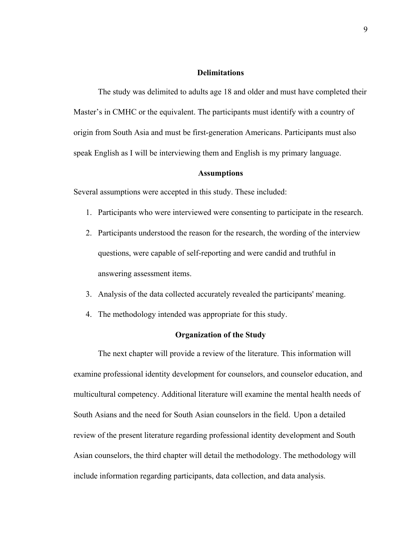# **Delimitations**

<span id="page-17-0"></span>The study was delimited to adults age 18 and older and must have completed their Master's in CMHC or the equivalent. The participants must identify with a country of origin from South Asia and must be first-generation Americans. Participants must also speak English as I will be interviewing them and English is my primary language.

# **Assumptions**

<span id="page-17-1"></span>Several assumptions were accepted in this study. These included:

- 1. Participants who were interviewed were consenting to participate in the research.
- 2. Participants understood the reason for the research, the wording of the interview questions, were capable of self-reporting and were candid and truthful in answering assessment items.
- 3. Analysis of the data collected accurately revealed the participants' meaning.
- 4. The methodology intended was appropriate for this study.

# **Organization of the Study**

<span id="page-17-2"></span>The next chapter will provide a review of the literature. This information will examine professional identity development for counselors, and counselor education, and multicultural competency. Additional literature will examine the mental health needs of South Asians and the need for South Asian counselors in the field. Upon a detailed review of the present literature regarding professional identity development and South Asian counselors, the third chapter will detail the methodology. The methodology will include information regarding participants, data collection, and data analysis.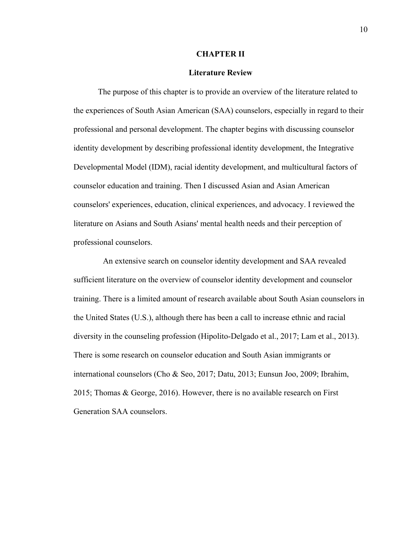# **CHAPTER II**

# **Literature Review**

<span id="page-18-0"></span>The purpose of this chapter is to provide an overview of the literature related to the experiences of South Asian American (SAA) counselors, especially in regard to their professional and personal development. The chapter begins with discussing counselor identity development by describing professional identity development, the Integrative Developmental Model (IDM), racial identity development, and multicultural factors of counselor education and training. Then I discussed Asian and Asian American counselors' experiences, education, clinical experiences, and advocacy. I reviewed the literature on Asians and South Asians' mental health needs and their perception of professional counselors.

An extensive search on counselor identity development and SAA revealed sufficient literature on the overview of counselor identity development and counselor training. There is a limited amount of research available about South Asian counselors in the United States (U.S.), although there has been a call to increase ethnic and racial diversity in the counseling profession (Hipolito-Delgado et al., 2017; Lam et al., 2013). There is some research on counselor education and South Asian immigrants or international counselors (Cho & Seo, 2017; Datu, 2013; Eunsun Joo, 2009; Ibrahim, 2015; Thomas & George, 2016). However, there is no available research on First Generation SAA counselors.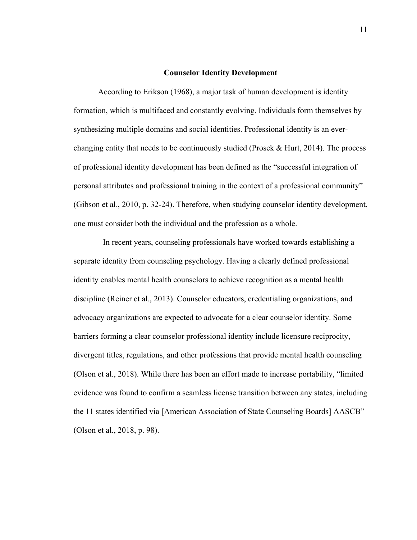## **Counselor Identity Development**

<span id="page-19-0"></span>According to Erikson (1968), a major task of human development is identity formation, which is multifaced and constantly evolving. Individuals form themselves by synthesizing multiple domains and social identities. Professional identity is an everchanging entity that needs to be continuously studied (Prosek & Hurt, 2014). The process of professional identity development has been defined as the "successful integration of personal attributes and professional training in the context of a professional community" (Gibson et al., 2010, p. 32-24). Therefore, when studying counselor identity development, one must consider both the individual and the profession as a whole.

 In recent years, counseling professionals have worked towards establishing a separate identity from counseling psychology. Having a clearly defined professional identity enables mental health counselors to achieve recognition as a mental health discipline (Reiner et al., 2013). Counselor educators, credentialing organizations, and advocacy organizations are expected to advocate for a clear counselor identity. Some barriers forming a clear counselor professional identity include licensure reciprocity, divergent titles, regulations, and other professions that provide mental health counseling (Olson et al., 2018). While there has been an effort made to increase portability, "limited evidence was found to confirm a seamless license transition between any states, including the 11 states identified via [American Association of State Counseling Boards] AASCB" (Olson et al., 2018, p. 98).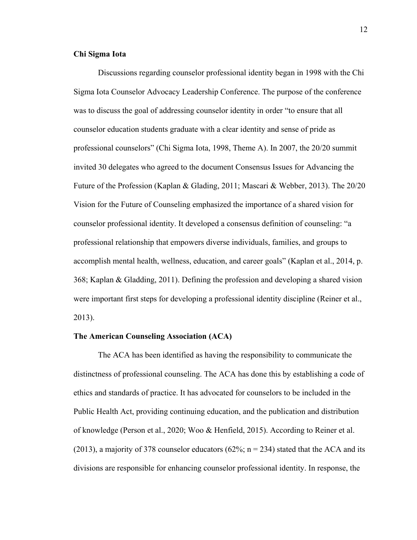# **Chi Sigma Iota**

Discussions regarding counselor professional identity began in 1998 with the Chi Sigma Iota Counselor Advocacy Leadership Conference. The purpose of the conference was to discuss the goal of addressing counselor identity in order "to ensure that all counselor education students graduate with a clear identity and sense of pride as professional counselors" (Chi Sigma Iota, 1998, Theme A). In 2007, the 20/20 summit invited 30 delegates who agreed to the document Consensus Issues for Advancing the Future of the Profession (Kaplan & Glading, 2011; Mascari & Webber, 2013). The 20/20 Vision for the Future of Counseling emphasized the importance of a shared vision for counselor professional identity. It developed a consensus definition of counseling: "a professional relationship that empowers diverse individuals, families, and groups to accomplish mental health, wellness, education, and career goals" (Kaplan et al., 2014, p. 368; Kaplan & Gladding, 2011). Defining the profession and developing a shared vision were important first steps for developing a professional identity discipline (Reiner et al., 2013).

### **The American Counseling Association (ACA)**

The ACA has been identified as having the responsibility to communicate the distinctness of professional counseling. The ACA has done this by establishing a code of ethics and standards of practice. It has advocated for counselors to be included in the Public Health Act, providing continuing education, and the publication and distribution of knowledge (Person et al., 2020; Woo & Henfield, 2015). According to Reiner et al. (2013), a majority of 378 counselor educators (62%;  $n = 234$ ) stated that the ACA and its divisions are responsible for enhancing counselor professional identity. In response, the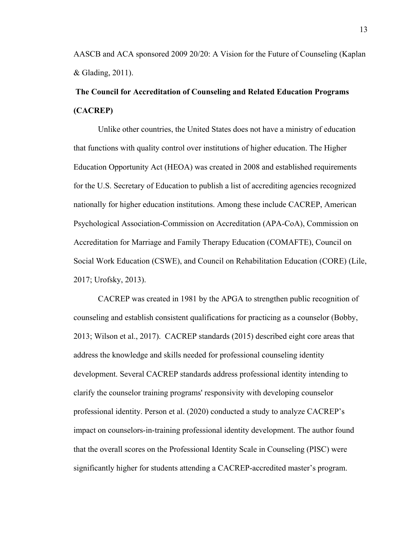AASCB and ACA sponsored 2009 20/20: A Vision for the Future of Counseling (Kaplan & Glading, 2011).

# <span id="page-21-0"></span>**The Council for Accreditation of Counseling and Related Education Programs (CACREP)**

Unlike other countries, the United States does not have a ministry of education that functions with quality control over institutions of higher education. The Higher Education Opportunity Act (HEOA) was created in 2008 and established requirements for the U.S. Secretary of Education to publish a list of accrediting agencies recognized nationally for higher education institutions. Among these include CACREP, American Psychological Association-Commission on Accreditation (APA-CoA), Commission on Accreditation for Marriage and Family Therapy Education (COMAFTE), Council on Social Work Education (CSWE), and Council on Rehabilitation Education (CORE) (Lile, 2017; Urofsky, 2013).

CACREP was created in 1981 by the APGA to strengthen public recognition of counseling and establish consistent qualifications for practicing as a counselor (Bobby, 2013; Wilson et al., 2017). CACREP standards (2015) described eight core areas that address the knowledge and skills needed for professional counseling identity development. Several CACREP standards address professional identity intending to clarify the counselor training programs' responsivity with developing counselor professional identity. Person et al. (2020) conducted a study to analyze CACREP's impact on counselors-in-training professional identity development. The author found that the overall scores on the Professional Identity Scale in Counseling (PISC) were significantly higher for students attending a CACREP-accredited master's program.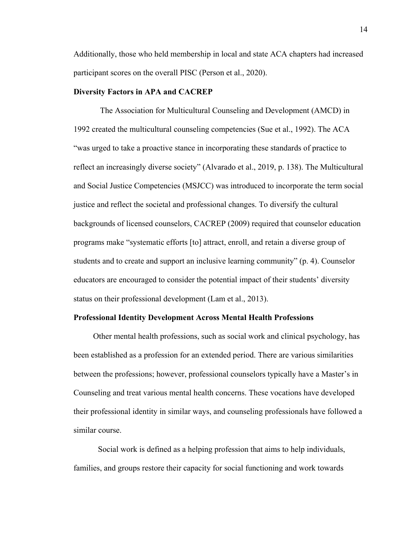Additionally, those who held membership in local and state ACA chapters had increased participant scores on the overall PISC (Person et al., 2020).

# **Diversity Factors in APA and CACREP**

The Association for Multicultural Counseling and Development (AMCD) in 1992 created the multicultural counseling competencies (Sue et al., 1992). The ACA "was urged to take a proactive stance in incorporating these standards of practice to reflect an increasingly diverse society" (Alvarado et al., 2019, p. 138). The Multicultural and Social Justice Competencies (MSJCC) was introduced to incorporate the term social justice and reflect the societal and professional changes. To diversify the cultural backgrounds of licensed counselors, CACREP (2009) required that counselor education programs make "systematic efforts [to] attract, enroll, and retain a diverse group of students and to create and support an inclusive learning community" (p. 4). Counselor educators are encouraged to consider the potential impact of their students' diversity status on their professional development (Lam et al., 2013).

#### <span id="page-22-0"></span>**Professional Identity Development Across Mental Health Professions**

 Other mental health professions, such as social work and clinical psychology, has been established as a profession for an extended period. There are various similarities between the professions; however, professional counselors typically have a Master's in Counseling and treat various mental health concerns. These vocations have developed their professional identity in similar ways, and counseling professionals have followed a similar course.

Social work is defined as a helping profession that aims to help individuals, families, and groups restore their capacity for social functioning and work towards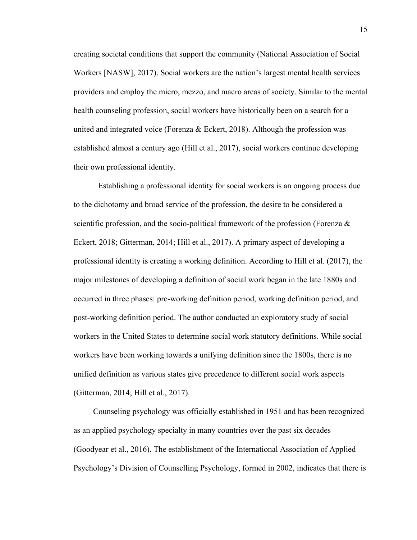creating societal conditions that support the community (National Association of Social Workers [NASW], 2017). Social workers are the nation's largest mental health services providers and employ the micro, mezzo, and macro areas of society. Similar to the mental health counseling profession, social workers have historically been on a search for a united and integrated voice (Forenza & Eckert, 2018). Although the profession was established almost a century ago (Hill et al., 2017), social workers continue developing their own professional identity.

Establishing a professional identity for social workers is an ongoing process due to the dichotomy and broad service of the profession, the desire to be considered a scientific profession, and the socio-political framework of the profession (Forenza  $\&$ Eckert, 2018; Gitterman, 2014; Hill et al., 2017). A primary aspect of developing a professional identity is creating a working definition. According to Hill et al. (2017), the major milestones of developing a definition of social work began in the late 1880s and occurred in three phases: pre-working definition period, working definition period, and post-working definition period. The author conducted an exploratory study of social workers in the United States to determine social work statutory definitions. While social workers have been working towards a unifying definition since the 1800s, there is no unified definition as various states give precedence to different social work aspects (Gitterman, 2014; Hill et al., 2017).

 Counseling psychology was officially established in 1951 and has been recognized as an applied psychology specialty in many countries over the past six decades (Goodyear et al., 2016). The establishment of the International Association of Applied Psychology's Division of Counselling Psychology, formed in 2002, indicates that there is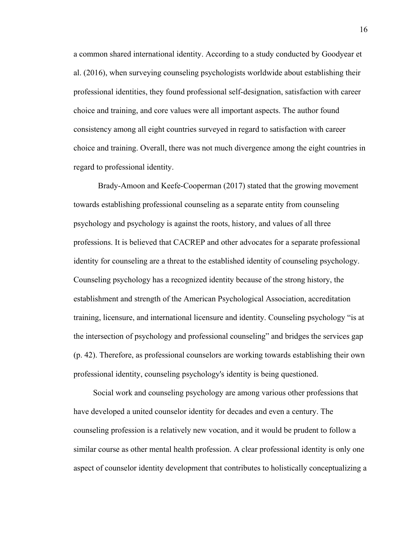a common shared international identity. According to a study conducted by Goodyear et al. (2016), when surveying counseling psychologists worldwide about establishing their professional identities, they found professional self-designation, satisfaction with career choice and training, and core values were all important aspects. The author found consistency among all eight countries surveyed in regard to satisfaction with career choice and training. Overall, there was not much divergence among the eight countries in regard to professional identity.

Brady-Amoon and Keefe-Cooperman (2017) stated that the growing movement towards establishing professional counseling as a separate entity from counseling psychology and psychology is against the roots, history, and values of all three professions. It is believed that CACREP and other advocates for a separate professional identity for counseling are a threat to the established identity of counseling psychology. Counseling psychology has a recognized identity because of the strong history, the establishment and strength of the American Psychological Association, accreditation training, licensure, and international licensure and identity. Counseling psychology "is at the intersection of psychology and professional counseling" and bridges the services gap (p. 42). Therefore, as professional counselors are working towards establishing their own professional identity, counseling psychology's identity is being questioned.

 Social work and counseling psychology are among various other professions that have developed a united counselor identity for decades and even a century. The counseling profession is a relatively new vocation, and it would be prudent to follow a similar course as other mental health profession. A clear professional identity is only one aspect of counselor identity development that contributes to holistically conceptualizing a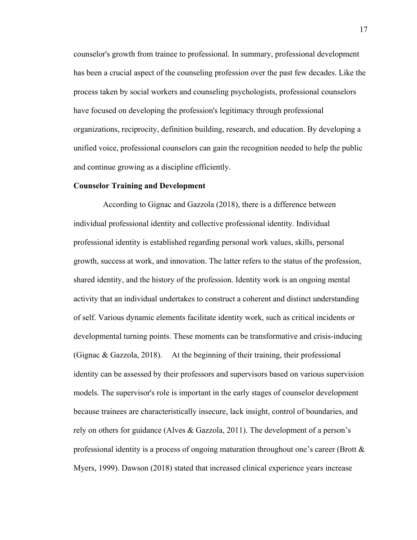counselor's growth from trainee to professional. In summary, professional development has been a crucial aspect of the counseling profession over the past few decades. Like the process taken by social workers and counseling psychologists, professional counselors have focused on developing the profession's legitimacy through professional organizations, reciprocity, definition building, research, and education. By developing a unified voice, professional counselors can gain the recognition needed to help the public and continue growing as a discipline efficiently.

# **Counselor Training and Development**

 According to Gignac and Gazzola (2018), there is a difference between individual professional identity and collective professional identity. Individual professional identity is established regarding personal work values, skills, personal growth, success at work, and innovation. The latter refers to the status of the profession, shared identity, and the history of the profession. Identity work is an ongoing mental activity that an individual undertakes to construct a coherent and distinct understanding of self. Various dynamic elements facilitate identity work, such as critical incidents or developmental turning points. These moments can be transformative and crisis-inducing (Gignac & Gazzola, 2018). At the beginning of their training, their professional identity can be assessed by their professors and supervisors based on various supervision models. The supervisor's role is important in the early stages of counselor development because trainees are characteristically insecure, lack insight, control of boundaries, and rely on others for guidance (Alves & Gazzola, 2011). The development of a person's professional identity is a process of ongoing maturation throughout one's career (Brott  $\&$ Myers, 1999). Dawson (2018) stated that increased clinical experience years increase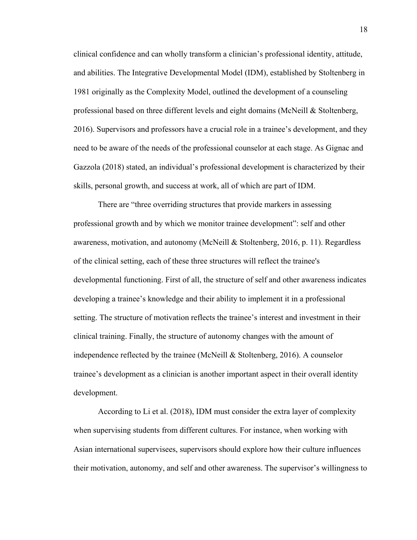clinical confidence and can wholly transform a clinician's professional identity, attitude, and abilities. The Integrative Developmental Model (IDM), established by Stoltenberg in 1981 originally as the Complexity Model, outlined the development of a counseling professional based on three different levels and eight domains (McNeill & Stoltenberg, 2016). Supervisors and professors have a crucial role in a trainee's development, and they need to be aware of the needs of the professional counselor at each stage. As Gignac and Gazzola (2018) stated, an individual's professional development is characterized by their skills, personal growth, and success at work, all of which are part of IDM.

There are "three overriding structures that provide markers in assessing professional growth and by which we monitor trainee development": self and other awareness, motivation, and autonomy (McNeill & Stoltenberg, 2016, p. 11). Regardless of the clinical setting, each of these three structures will reflect the trainee's developmental functioning. First of all, the structure of self and other awareness indicates developing a trainee's knowledge and their ability to implement it in a professional setting. The structure of motivation reflects the trainee's interest and investment in their clinical training. Finally, the structure of autonomy changes with the amount of independence reflected by the trainee (McNeill & Stoltenberg, 2016). A counselor trainee's development as a clinician is another important aspect in their overall identity development.

According to Li et al. (2018), IDM must consider the extra layer of complexity when supervising students from different cultures. For instance, when working with Asian international supervisees, supervisors should explore how their culture influences their motivation, autonomy, and self and other awareness. The supervisor's willingness to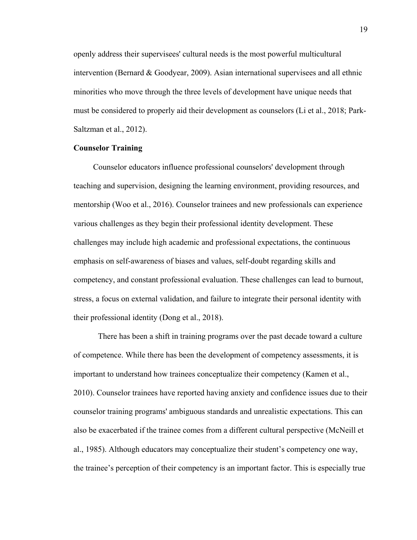openly address their supervisees' cultural needs is the most powerful multicultural intervention (Bernard & Goodyear, 2009). Asian international supervisees and all ethnic minorities who move through the three levels of development have unique needs that must be considered to properly aid their development as counselors (Li et al., 2018; Park-Saltzman et al., 2012).

# <span id="page-27-0"></span>**Counselor Training**

 Counselor educators influence professional counselors' development through teaching and supervision, designing the learning environment, providing resources, and mentorship (Woo et al., 2016). Counselor trainees and new professionals can experience various challenges as they begin their professional identity development. These challenges may include high academic and professional expectations, the continuous emphasis on self-awareness of biases and values, self-doubt regarding skills and competency, and constant professional evaluation. These challenges can lead to burnout, stress, a focus on external validation, and failure to integrate their personal identity with their professional identity (Dong et al., 2018).

There has been a shift in training programs over the past decade toward a culture of competence. While there has been the development of competency assessments, it is important to understand how trainees conceptualize their competency (Kamen et al., 2010). Counselor trainees have reported having anxiety and confidence issues due to their counselor training programs' ambiguous standards and unrealistic expectations. This can also be exacerbated if the trainee comes from a different cultural perspective (McNeill et al., 1985). Although educators may conceptualize their student's competency one way, the trainee's perception of their competency is an important factor. This is especially true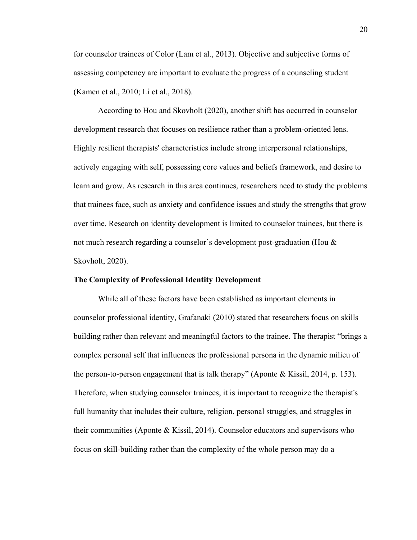for counselor trainees of Color (Lam et al., 2013). Objective and subjective forms of assessing competency are important to evaluate the progress of a counseling student (Kamen et al., 2010; Li et al., 2018).

According to Hou and Skovholt (2020), another shift has occurred in counselor development research that focuses on resilience rather than a problem-oriented lens. Highly resilient therapists' characteristics include strong interpersonal relationships, actively engaging with self, possessing core values and beliefs framework, and desire to learn and grow. As research in this area continues, researchers need to study the problems that trainees face, such as anxiety and confidence issues and study the strengths that grow over time. Research on identity development is limited to counselor trainees, but there is not much research regarding a counselor's development post-graduation (Hou & Skovholt, 2020).

# **The Complexity of Professional Identity Development**

While all of these factors have been established as important elements in counselor professional identity, Grafanaki (2010) stated that researchers focus on skills building rather than relevant and meaningful factors to the trainee. The therapist "brings a complex personal self that influences the professional persona in the dynamic milieu of the person-to-person engagement that is talk therapy" (Aponte & Kissil, 2014, p. 153). Therefore, when studying counselor trainees, it is important to recognize the therapist's full humanity that includes their culture, religion, personal struggles, and struggles in their communities (Aponte & Kissil, 2014). Counselor educators and supervisors who focus on skill-building rather than the complexity of the whole person may do a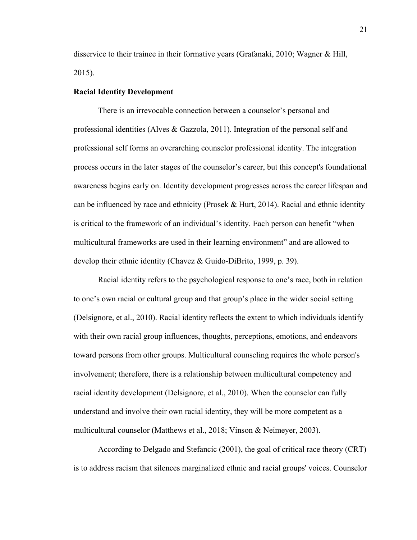disservice to their trainee in their formative years (Grafanaki, 2010; Wagner & Hill, 2015).

# <span id="page-29-0"></span>**Racial Identity Development**

There is an irrevocable connection between a counselor's personal and professional identities (Alves & Gazzola, 2011). Integration of the personal self and professional self forms an overarching counselor professional identity. The integration process occurs in the later stages of the counselor's career, but this concept's foundational awareness begins early on. Identity development progresses across the career lifespan and can be influenced by race and ethnicity (Prosek & Hurt, 2014). Racial and ethnic identity is critical to the framework of an individual's identity. Each person can benefit "when multicultural frameworks are used in their learning environment" and are allowed to develop their ethnic identity (Chavez & Guido-DiBrito, 1999, p. 39).

Racial identity refers to the psychological response to one's race, both in relation to one's own racial or cultural group and that group's place in the wider social setting (Delsignore, et al., 2010). Racial identity reflects the extent to which individuals identify with their own racial group influences, thoughts, perceptions, emotions, and endeavors toward persons from other groups. Multicultural counseling requires the whole person's involvement; therefore, there is a relationship between multicultural competency and racial identity development (Delsignore, et al., 2010). When the counselor can fully understand and involve their own racial identity, they will be more competent as a multicultural counselor (Matthews et al., 2018; Vinson & Neimeyer, 2003).

According to Delgado and Stefancic (2001), the goal of critical race theory (CRT) is to address racism that silences marginalized ethnic and racial groups' voices. Counselor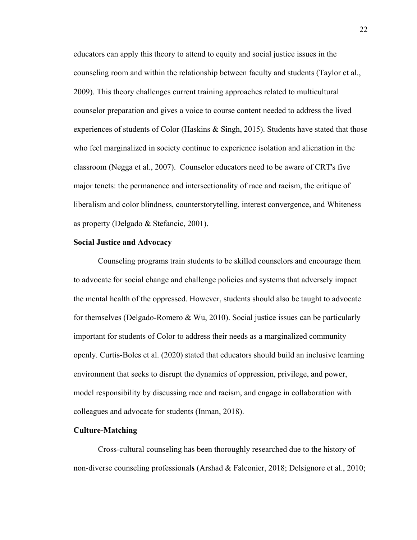educators can apply this theory to attend to equity and social justice issues in the counseling room and within the relationship between faculty and students (Taylor et al., 2009). This theory challenges current training approaches related to multicultural counselor preparation and gives a voice to course content needed to address the lived experiences of students of Color (Haskins  $\&$  Singh, 2015). Students have stated that those who feel marginalized in society continue to experience isolation and alienation in the classroom (Negga et al., 2007). Counselor educators need to be aware of CRT's five major tenets: the permanence and intersectionality of race and racism, the critique of liberalism and color blindness, counterstorytelling, interest convergence, and Whiteness as property (Delgado & Stefancic, 2001).

#### **Social Justice and Advocacy**

Counseling programs train students to be skilled counselors and encourage them to advocate for social change and challenge policies and systems that adversely impact the mental health of the oppressed. However, students should also be taught to advocate for themselves (Delgado-Romero & Wu, 2010). Social justice issues can be particularly important for students of Color to address their needs as a marginalized community openly. Curtis-Boles et al. (2020) stated that educators should build an inclusive learning environment that seeks to disrupt the dynamics of oppression, privilege, and power, model responsibility by discussing race and racism, and engage in collaboration with colleagues and advocate for students (Inman, 2018).

# <span id="page-30-0"></span>**Culture-Matching**

Cross-cultural counseling has been thoroughly researched due to the history of non-diverse counseling professional**s** (Arshad & Falconier, 2018; Delsignore et al., 2010;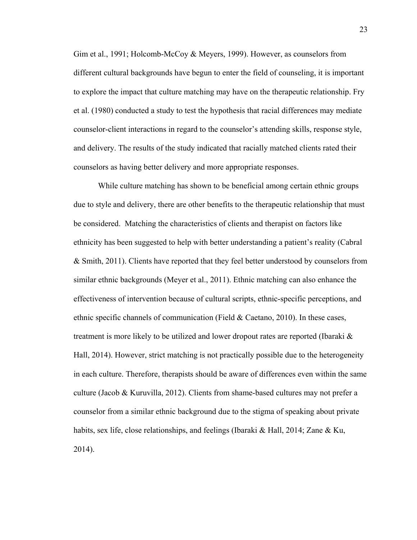Gim et al., 1991; Holcomb-McCoy & Meyers, 1999). However, as counselors from different cultural backgrounds have begun to enter the field of counseling, it is important to explore the impact that culture matching may have on the therapeutic relationship. Fry et al. (1980) conducted a study to test the hypothesis that racial differences may mediate counselor-client interactions in regard to the counselor's attending skills, response style, and delivery. The results of the study indicated that racially matched clients rated their counselors as having better delivery and more appropriate responses.

While culture matching has shown to be beneficial among certain ethnic groups due to style and delivery, there are other benefits to the therapeutic relationship that must be considered. Matching the characteristics of clients and therapist on factors like ethnicity has been suggested to help with better understanding a patient's reality (Cabral & Smith, 2011). Clients have reported that they feel better understood by counselors from similar ethnic backgrounds (Meyer et al., 2011). Ethnic matching can also enhance the effectiveness of intervention because of cultural scripts, ethnic-specific perceptions, and ethnic specific channels of communication (Field  $& Caetano, 2010$ ). In these cases, treatment is more likely to be utilized and lower dropout rates are reported (Ibaraki & Hall, 2014). However, strict matching is not practically possible due to the heterogeneity in each culture. Therefore, therapists should be aware of differences even within the same culture (Jacob & Kuruvilla, 2012). Clients from shame-based cultures may not prefer a counselor from a similar ethnic background due to the stigma of speaking about private habits, sex life, close relationships, and feelings (Ibaraki & Hall, 2014; Zane & Ku, 2014).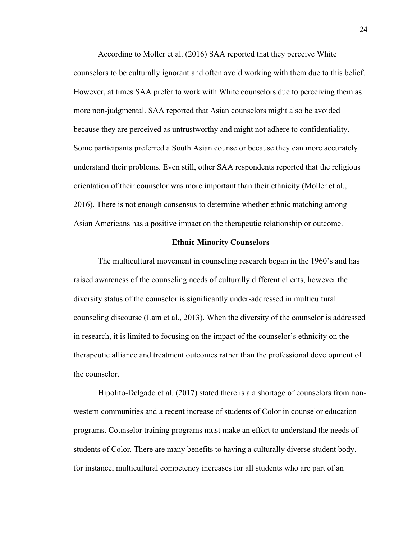According to Moller et al. (2016) SAA reported that they perceive White counselors to be culturally ignorant and often avoid working with them due to this belief. However, at times SAA prefer to work with White counselors due to perceiving them as more non-judgmental. SAA reported that Asian counselors might also be avoided because they are perceived as untrustworthy and might not adhere to confidentiality. Some participants preferred a South Asian counselor because they can more accurately understand their problems. Even still, other SAA respondents reported that the religious orientation of their counselor was more important than their ethnicity (Moller et al., 2016). There is not enough consensus to determine whether ethnic matching among Asian Americans has a positive impact on the therapeutic relationship or outcome.

#### **Ethnic Minority Counselors**

<span id="page-32-0"></span>The multicultural movement in counseling research began in the 1960's and has raised awareness of the counseling needs of culturally different clients, however the diversity status of the counselor is significantly under-addressed in multicultural counseling discourse (Lam et al., 2013). When the diversity of the counselor is addressed in research, it is limited to focusing on the impact of the counselor's ethnicity on the therapeutic alliance and treatment outcomes rather than the professional development of the counselor.

Hipolito-Delgado et al. (2017) stated there is a a shortage of counselors from nonwestern communities and a recent increase of students of Color in counselor education programs. Counselor training programs must make an effort to understand the needs of students of Color. There are many benefits to having a culturally diverse student body, for instance, multicultural competency increases for all students who are part of an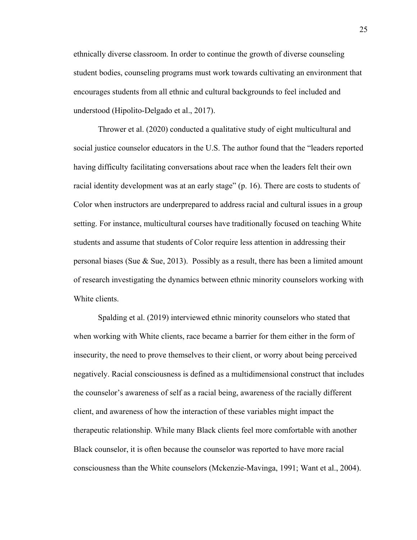ethnically diverse classroom. In order to continue the growth of diverse counseling student bodies, counseling programs must work towards cultivating an environment that encourages students from all ethnic and cultural backgrounds to feel included and understood (Hipolito-Delgado et al., 2017).

Thrower et al. (2020) conducted a qualitative study of eight multicultural and social justice counselor educators in the U.S. The author found that the "leaders reported having difficulty facilitating conversations about race when the leaders felt their own racial identity development was at an early stage" (p. 16). There are costs to students of Color when instructors are underprepared to address racial and cultural issues in a group setting. For instance, multicultural courses have traditionally focused on teaching White students and assume that students of Color require less attention in addressing their personal biases (Sue & Sue, 2013). Possibly as a result, there has been a limited amount of research investigating the dynamics between ethnic minority counselors working with White clients.

Spalding et al. (2019) interviewed ethnic minority counselors who stated that when working with White clients, race became a barrier for them either in the form of insecurity, the need to prove themselves to their client, or worry about being perceived negatively. Racial consciousness is defined as a multidimensional construct that includes the counselor's awareness of self as a racial being, awareness of the racially different client, and awareness of how the interaction of these variables might impact the therapeutic relationship. While many Black clients feel more comfortable with another Black counselor, it is often because the counselor was reported to have more racial consciousness than the White counselors (Mckenzie-Mavinga, 1991; Want et al., 2004).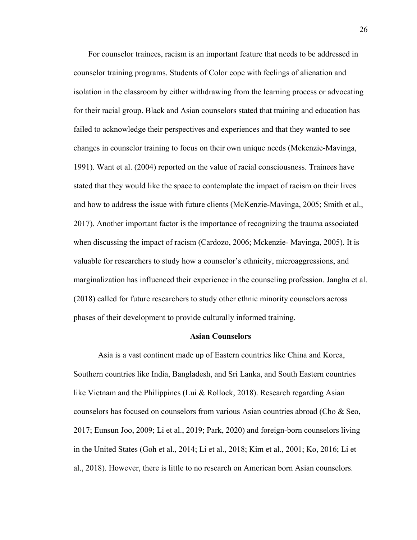For counselor trainees, racism is an important feature that needs to be addressed in counselor training programs. Students of Color cope with feelings of alienation and isolation in the classroom by either withdrawing from the learning process or advocating for their racial group. Black and Asian counselors stated that training and education has failed to acknowledge their perspectives and experiences and that they wanted to see changes in counselor training to focus on their own unique needs (Mckenzie-Mavinga, 1991). Want et al. (2004) reported on the value of racial consciousness. Trainees have stated that they would like the space to contemplate the impact of racism on their lives and how to address the issue with future clients (McKenzie-Mavinga, 2005; Smith et al., 2017). Another important factor is the importance of recognizing the trauma associated when discussing the impact of racism (Cardozo, 2006; Mckenzie- Mavinga, 2005). It is valuable for researchers to study how a counselor's ethnicity, microaggressions, and marginalization has influenced their experience in the counseling profession. Jangha et al. (2018) called for future researchers to study other ethnic minority counselors across phases of their development to provide culturally informed training.

### **Asian Counselors**

Asia is a vast continent made up of Eastern countries like China and Korea, Southern countries like India, Bangladesh, and Sri Lanka, and South Eastern countries like Vietnam and the Philippines (Lui & Rollock, 2018). Research regarding Asian counselors has focused on counselors from various Asian countries abroad (Cho & Seo, 2017; Eunsun Joo, 2009; Li et al., 2019; Park, 2020) and foreign-born counselors living in the United States (Goh et al., 2014; Li et al., 2018; Kim et al., 2001; Ko, 2016; Li et al., 2018). However, there is little to no research on American born Asian counselors.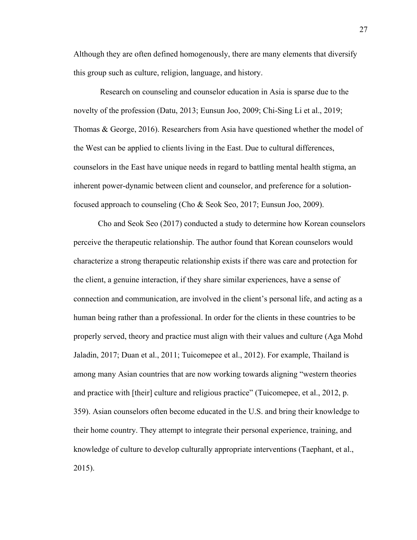Although they are often defined homogenously, there are many elements that diversify this group such as culture, religion, language, and history.

Research on counseling and counselor education in Asia is sparse due to the novelty of the profession (Datu, 2013; Eunsun Joo, 2009; Chi-Sing Li et al., 2019; Thomas & George, 2016). Researchers from Asia have questioned whether the model of the West can be applied to clients living in the East. Due to cultural differences, counselors in the East have unique needs in regard to battling mental health stigma, an inherent power-dynamic between client and counselor, and preference for a solutionfocused approach to counseling (Cho & Seok Seo, 2017; Eunsun Joo, 2009).

Cho and Seok Seo (2017) conducted a study to determine how Korean counselors perceive the therapeutic relationship. The author found that Korean counselors would characterize a strong therapeutic relationship exists if there was care and protection for the client, a genuine interaction, if they share similar experiences, have a sense of connection and communication, are involved in the client's personal life, and acting as a human being rather than a professional. In order for the clients in these countries to be properly served, theory and practice must align with their values and culture (Aga Mohd Jaladin, 2017; Duan et al., 2011; Tuicomepee et al., 2012). For example, Thailand is among many Asian countries that are now working towards aligning "western theories and practice with [their] culture and religious practice" (Tuicomepee, et al., 2012, p. 359). Asian counselors often become educated in the U.S. and bring their knowledge to their home country. They attempt to integrate their personal experience, training, and knowledge of culture to develop culturally appropriate interventions (Taephant, et al., 2015).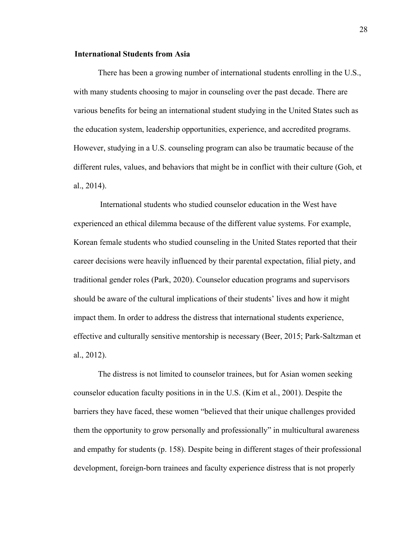## **International Students from Asia**

There has been a growing number of international students enrolling in the U.S., with many students choosing to major in counseling over the past decade. There are various benefits for being an international student studying in the United States such as the education system, leadership opportunities, experience, and accredited programs. However, studying in a U.S. counseling program can also be traumatic because of the different rules, values, and behaviors that might be in conflict with their culture (Goh, et al., 2014).

 International students who studied counselor education in the West have experienced an ethical dilemma because of the different value systems. For example, Korean female students who studied counseling in the United States reported that their career decisions were heavily influenced by their parental expectation, filial piety, and traditional gender roles (Park, 2020). Counselor education programs and supervisors should be aware of the cultural implications of their students' lives and how it might impact them. In order to address the distress that international students experience, effective and culturally sensitive mentorship is necessary (Beer, 2015; Park-Saltzman et al., 2012).

The distress is not limited to counselor trainees, but for Asian women seeking counselor education faculty positions in in the U.S. (Kim et al., 2001). Despite the barriers they have faced, these women "believed that their unique challenges provided them the opportunity to grow personally and professionally" in multicultural awareness and empathy for students (p. 158). Despite being in different stages of their professional development, foreign-born trainees and faculty experience distress that is not properly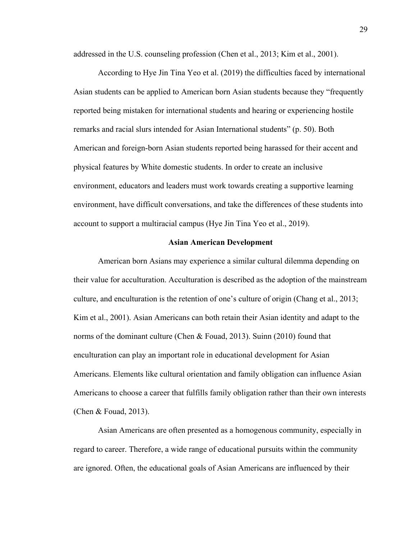addressed in the U.S. counseling profession (Chen et al., 2013; Kim et al., 2001).

According to Hye Jin Tina Yeo et al. (2019) the difficulties faced by international Asian students can be applied to American born Asian students because they "frequently reported being mistaken for international students and hearing or experiencing hostile remarks and racial slurs intended for Asian International students" (p. 50). Both American and foreign-born Asian students reported being harassed for their accent and physical features by White domestic students. In order to create an inclusive environment, educators and leaders must work towards creating a supportive learning environment, have difficult conversations, and take the differences of these students into account to support a multiracial campus (Hye Jin Tina Yeo et al., 2019).

#### **Asian American Development**

American born Asians may experience a similar cultural dilemma depending on their value for acculturation. Acculturation is described as the adoption of the mainstream culture, and enculturation is the retention of one's culture of origin (Chang et al., 2013; Kim et al., 2001). Asian Americans can both retain their Asian identity and adapt to the norms of the dominant culture (Chen & Fouad, 2013). Suinn (2010) found that enculturation can play an important role in educational development for Asian Americans. Elements like cultural orientation and family obligation can influence Asian Americans to choose a career that fulfills family obligation rather than their own interests (Chen & Fouad, 2013).

Asian Americans are often presented as a homogenous community, especially in regard to career. Therefore, a wide range of educational pursuits within the community are ignored. Often, the educational goals of Asian Americans are influenced by their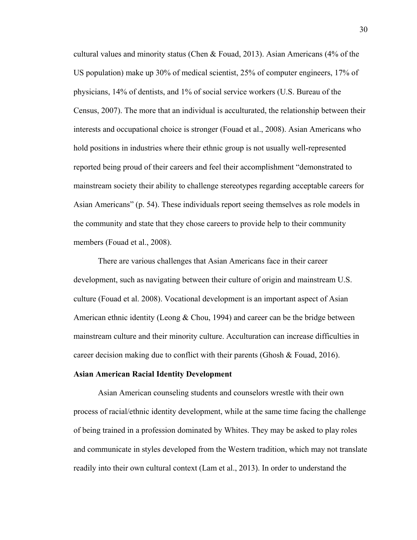cultural values and minority status (Chen & Fouad, 2013). Asian Americans (4% of the US population) make up 30% of medical scientist, 25% of computer engineers, 17% of physicians, 14% of dentists, and 1% of social service workers (U.S. Bureau of the Census, 2007). The more that an individual is acculturated, the relationship between their interests and occupational choice is stronger (Fouad et al., 2008). Asian Americans who hold positions in industries where their ethnic group is not usually well-represented reported being proud of their careers and feel their accomplishment "demonstrated to mainstream society their ability to challenge stereotypes regarding acceptable careers for Asian Americans" (p. 54). These individuals report seeing themselves as role models in the community and state that they chose careers to provide help to their community members (Fouad et al., 2008).

There are various challenges that Asian Americans face in their career development, such as navigating between their culture of origin and mainstream U.S. culture (Fouad et al. 2008). Vocational development is an important aspect of Asian American ethnic identity (Leong & Chou, 1994) and career can be the bridge between mainstream culture and their minority culture. Acculturation can increase difficulties in career decision making due to conflict with their parents (Ghosh & Fouad, 2016).

#### **Asian American Racial Identity Development**

Asian American counseling students and counselors wrestle with their own process of racial/ethnic identity development, while at the same time facing the challenge of being trained in a profession dominated by Whites. They may be asked to play roles and communicate in styles developed from the Western tradition, which may not translate readily into their own cultural context (Lam et al., 2013). In order to understand the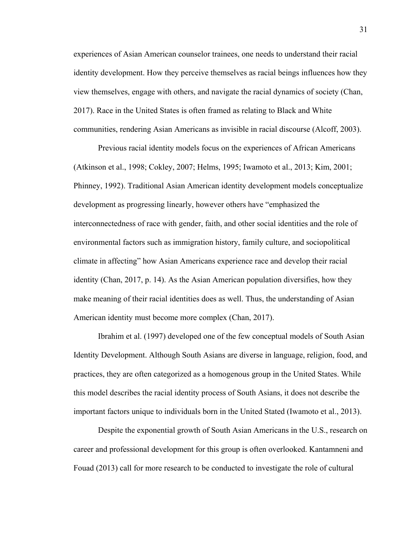experiences of Asian American counselor trainees, one needs to understand their racial identity development. How they perceive themselves as racial beings influences how they view themselves, engage with others, and navigate the racial dynamics of society (Chan, 2017). Race in the United States is often framed as relating to Black and White communities, rendering Asian Americans as invisible in racial discourse (Alcoff, 2003).

Previous racial identity models focus on the experiences of African Americans (Atkinson et al., 1998; Cokley, 2007; Helms, 1995; Iwamoto et al., 2013; Kim, 2001; Phinney, 1992). Traditional Asian American identity development models conceptualize development as progressing linearly, however others have "emphasized the interconnectedness of race with gender, faith, and other social identities and the role of environmental factors such as immigration history, family culture, and sociopolitical climate in affecting" how Asian Americans experience race and develop their racial identity (Chan, 2017, p. 14). As the Asian American population diversifies, how they make meaning of their racial identities does as well. Thus, the understanding of Asian American identity must become more complex (Chan, 2017).

Ibrahim et al. (1997) developed one of the few conceptual models of South Asian Identity Development. Although South Asians are diverse in language, religion, food, and practices, they are often categorized as a homogenous group in the United States. While this model describes the racial identity process of South Asians, it does not describe the important factors unique to individuals born in the United Stated (Iwamoto et al., 2013).

Despite the exponential growth of South Asian Americans in the U.S., research on career and professional development for this group is often overlooked. Kantamneni and Fouad (2013) call for more research to be conducted to investigate the role of cultural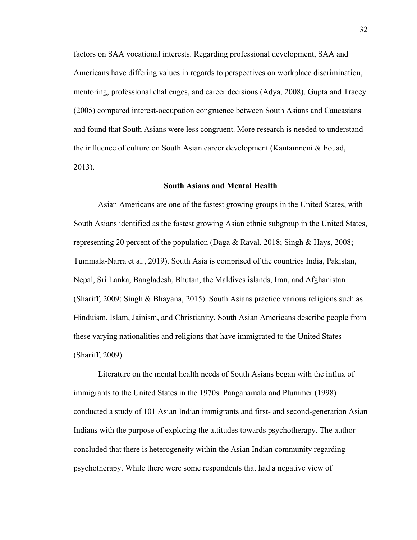factors on SAA vocational interests. Regarding professional development, SAA and Americans have differing values in regards to perspectives on workplace discrimination, mentoring, professional challenges, and career decisions (Adya, 2008). Gupta and Tracey (2005) compared interest-occupation congruence between South Asians and Caucasians and found that South Asians were less congruent. More research is needed to understand the influence of culture on South Asian career development (Kantamneni & Fouad, 2013).

### **South Asians and Mental Health**

Asian Americans are one of the fastest growing groups in the United States, with South Asians identified as the fastest growing Asian ethnic subgroup in the United States, representing 20 percent of the population (Daga & Raval, 2018; Singh & Hays, 2008; Tummala-Narra et al., 2019). South Asia is comprised of the countries India, Pakistan, Nepal, Sri Lanka, Bangladesh, Bhutan, the Maldives islands, Iran, and Afghanistan (Shariff, 2009; Singh & Bhayana, 2015). South Asians practice various religions such as Hinduism, Islam, Jainism, and Christianity. South Asian Americans describe people from these varying nationalities and religions that have immigrated to the United States (Shariff, 2009).

Literature on the mental health needs of South Asians began with the influx of immigrants to the United States in the 1970s. Panganamala and Plummer (1998) conducted a study of 101 Asian Indian immigrants and first- and second-generation Asian Indians with the purpose of exploring the attitudes towards psychotherapy. The author concluded that there is heterogeneity within the Asian Indian community regarding psychotherapy. While there were some respondents that had a negative view of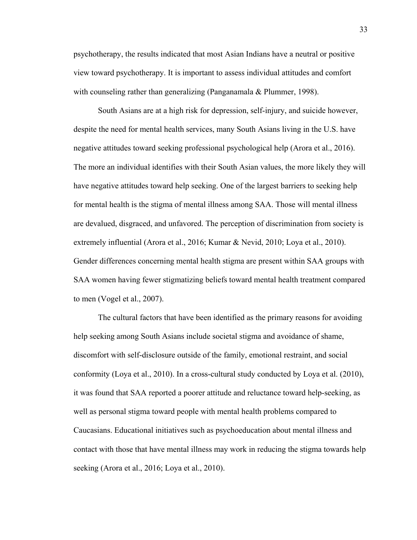psychotherapy, the results indicated that most Asian Indians have a neutral or positive view toward psychotherapy. It is important to assess individual attitudes and comfort with counseling rather than generalizing (Panganamala & Plummer, 1998).

South Asians are at a high risk for depression, self-injury, and suicide however, despite the need for mental health services, many South Asians living in the U.S. have negative attitudes toward seeking professional psychological help (Arora et al., 2016). The more an individual identifies with their South Asian values, the more likely they will have negative attitudes toward help seeking. One of the largest barriers to seeking help for mental health is the stigma of mental illness among SAA. Those will mental illness are devalued, disgraced, and unfavored. The perception of discrimination from society is extremely influential (Arora et al., 2016; Kumar & Nevid, 2010; Loya et al., 2010). Gender differences concerning mental health stigma are present within SAA groups with SAA women having fewer stigmatizing beliefs toward mental health treatment compared to men (Vogel et al., 2007).

The cultural factors that have been identified as the primary reasons for avoiding help seeking among South Asians include societal stigma and avoidance of shame, discomfort with self-disclosure outside of the family, emotional restraint, and social conformity (Loya et al., 2010). In a cross-cultural study conducted by Loya et al. (2010), it was found that SAA reported a poorer attitude and reluctance toward help-seeking, as well as personal stigma toward people with mental health problems compared to Caucasians. Educational initiatives such as psychoeducation about mental illness and contact with those that have mental illness may work in reducing the stigma towards help seeking (Arora et al., 2016; Loya et al., 2010).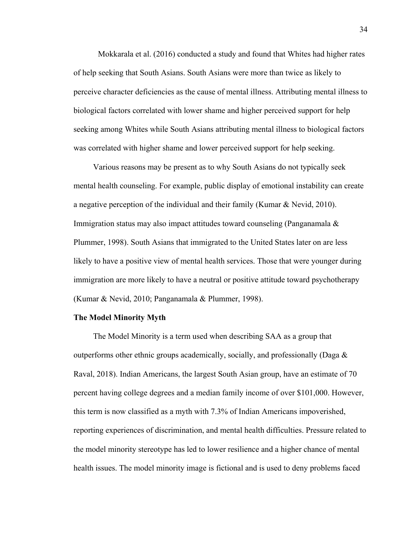Mokkarala et al. (2016) conducted a study and found that Whites had higher rates of help seeking that South Asians. South Asians were more than twice as likely to perceive character deficiencies as the cause of mental illness. Attributing mental illness to biological factors correlated with lower shame and higher perceived support for help seeking among Whites while South Asians attributing mental illness to biological factors was correlated with higher shame and lower perceived support for help seeking.

 Various reasons may be present as to why South Asians do not typically seek mental health counseling. For example, public display of emotional instability can create a negative perception of the individual and their family (Kumar & Nevid, 2010). Immigration status may also impact attitudes toward counseling (Panganamala & Plummer, 1998). South Asians that immigrated to the United States later on are less likely to have a positive view of mental health services. Those that were younger during immigration are more likely to have a neutral or positive attitude toward psychotherapy (Kumar & Nevid, 2010; Panganamala & Plummer, 1998).

#### **The Model Minority Myth**

The Model Minority is a term used when describing SAA as a group that outperforms other ethnic groups academically, socially, and professionally (Daga  $\&$ Raval, 2018). Indian Americans, the largest South Asian group, have an estimate of 70 percent having college degrees and a median family income of over \$101,000. However, this term is now classified as a myth with 7.3% of Indian Americans impoverished, reporting experiences of discrimination, and mental health difficulties. Pressure related to the model minority stereotype has led to lower resilience and a higher chance of mental health issues. The model minority image is fictional and is used to deny problems faced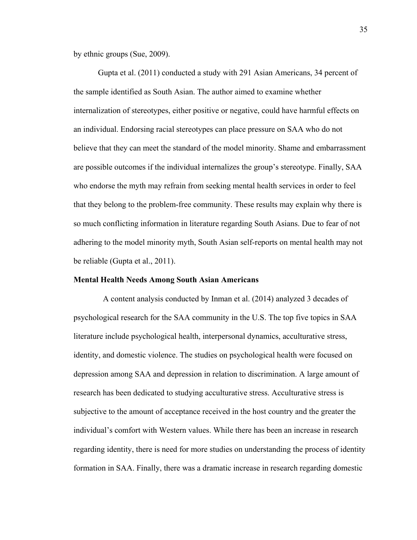by ethnic groups (Sue, 2009).

Gupta et al. (2011) conducted a study with 291 Asian Americans, 34 percent of the sample identified as South Asian. The author aimed to examine whether internalization of stereotypes, either positive or negative, could have harmful effects on an individual. Endorsing racial stereotypes can place pressure on SAA who do not believe that they can meet the standard of the model minority. Shame and embarrassment are possible outcomes if the individual internalizes the group's stereotype. Finally, SAA who endorse the myth may refrain from seeking mental health services in order to feel that they belong to the problem-free community. These results may explain why there is so much conflicting information in literature regarding South Asians. Due to fear of not adhering to the model minority myth, South Asian self-reports on mental health may not be reliable (Gupta et al., 2011).

# **Mental Health Needs Among South Asian Americans**

A content analysis conducted by Inman et al. (2014) analyzed 3 decades of psychological research for the SAA community in the U.S. The top five topics in SAA literature include psychological health, interpersonal dynamics, acculturative stress, identity, and domestic violence. The studies on psychological health were focused on depression among SAA and depression in relation to discrimination. A large amount of research has been dedicated to studying acculturative stress. Acculturative stress is subjective to the amount of acceptance received in the host country and the greater the individual's comfort with Western values. While there has been an increase in research regarding identity, there is need for more studies on understanding the process of identity formation in SAA. Finally, there was a dramatic increase in research regarding domestic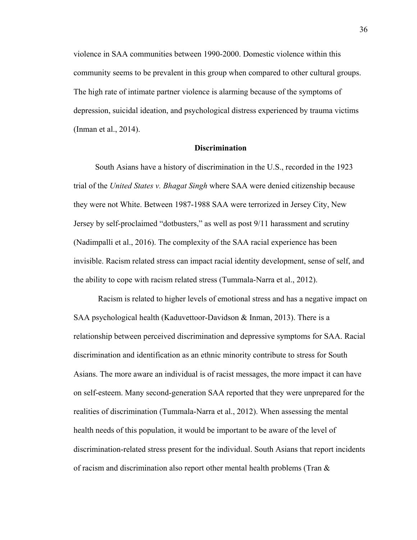violence in SAA communities between 1990-2000. Domestic violence within this community seems to be prevalent in this group when compared to other cultural groups. The high rate of intimate partner violence is alarming because of the symptoms of depression, suicidal ideation, and psychological distress experienced by trauma victims (Inman et al., 2014).

## **Discrimination**

South Asians have a history of discrimination in the U.S., recorded in the 1923 trial of the *United States v. Bhagat Singh* where SAA were denied citizenship because they were not White. Between 1987-1988 SAA were terrorized in Jersey City, New Jersey by self-proclaimed "dotbusters," as well as post 9/11 harassment and scrutiny (Nadimpalli et al., 2016). The complexity of the SAA racial experience has been invisible. Racism related stress can impact racial identity development, sense of self, and the ability to cope with racism related stress (Tummala-Narra et al., 2012).

Racism is related to higher levels of emotional stress and has a negative impact on SAA psychological health (Kaduvettoor-Davidson & Inman, 2013). There is a relationship between perceived discrimination and depressive symptoms for SAA. Racial discrimination and identification as an ethnic minority contribute to stress for South Asians. The more aware an individual is of racist messages, the more impact it can have on self-esteem. Many second-generation SAA reported that they were unprepared for the realities of discrimination (Tummala-Narra et al., 2012). When assessing the mental health needs of this population, it would be important to be aware of the level of discrimination-related stress present for the individual. South Asians that report incidents of racism and discrimination also report other mental health problems (Tran &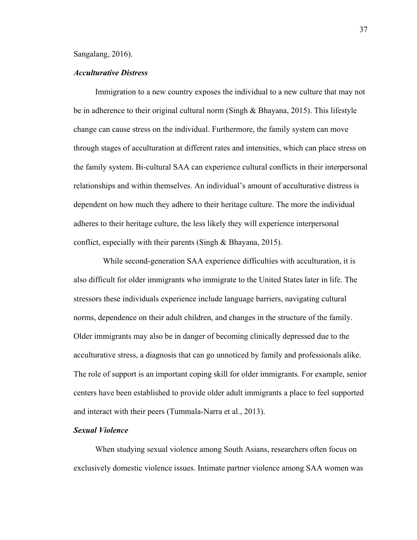#### Sangalang, 2016).

## *Acculturative Distress*

Immigration to a new country exposes the individual to a new culture that may not be in adherence to their original cultural norm (Singh & Bhayana, 2015). This lifestyle change can cause stress on the individual. Furthermore, the family system can move through stages of acculturation at different rates and intensities, which can place stress on the family system. Bi-cultural SAA can experience cultural conflicts in their interpersonal relationships and within themselves. An individual's amount of acculturative distress is dependent on how much they adhere to their heritage culture. The more the individual adheres to their heritage culture, the less likely they will experience interpersonal conflict, especially with their parents (Singh & Bhayana, 2015).

 While second-generation SAA experience difficulties with acculturation, it is also difficult for older immigrants who immigrate to the United States later in life. The stressors these individuals experience include language barriers, navigating cultural norms, dependence on their adult children, and changes in the structure of the family. Older immigrants may also be in danger of becoming clinically depressed due to the acculturative stress, a diagnosis that can go unnoticed by family and professionals alike. The role of support is an important coping skill for older immigrants. For example, senior centers have been established to provide older adult immigrants a place to feel supported and interact with their peers (Tummala-Narra et al., 2013).

## *Sexual Violence*

When studying sexual violence among South Asians, researchers often focus on exclusively domestic violence issues. Intimate partner violence among SAA women was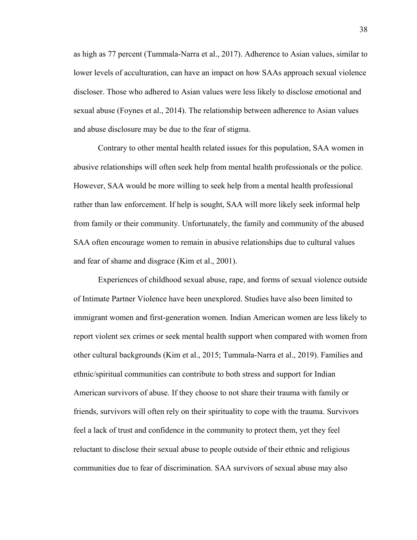as high as 77 percent (Tummala-Narra et al., 2017). Adherence to Asian values, similar to lower levels of acculturation, can have an impact on how SAAs approach sexual violence discloser. Those who adhered to Asian values were less likely to disclose emotional and sexual abuse (Foynes et al., 2014). The relationship between adherence to Asian values and abuse disclosure may be due to the fear of stigma.

Contrary to other mental health related issues for this population, SAA women in abusive relationships will often seek help from mental health professionals or the police. However, SAA would be more willing to seek help from a mental health professional rather than law enforcement. If help is sought, SAA will more likely seek informal help from family or their community. Unfortunately, the family and community of the abused SAA often encourage women to remain in abusive relationships due to cultural values and fear of shame and disgrace (Kim et al., 2001).

Experiences of childhood sexual abuse, rape, and forms of sexual violence outside of Intimate Partner Violence have been unexplored. Studies have also been limited to immigrant women and first-generation women. Indian American women are less likely to report violent sex crimes or seek mental health support when compared with women from other cultural backgrounds (Kim et al., 2015; Tummala-Narra et al., 2019). Families and ethnic/spiritual communities can contribute to both stress and support for Indian American survivors of abuse. If they choose to not share their trauma with family or friends, survivors will often rely on their spirituality to cope with the trauma. Survivors feel a lack of trust and confidence in the community to protect them, yet they feel reluctant to disclose their sexual abuse to people outside of their ethnic and religious communities due to fear of discrimination. SAA survivors of sexual abuse may also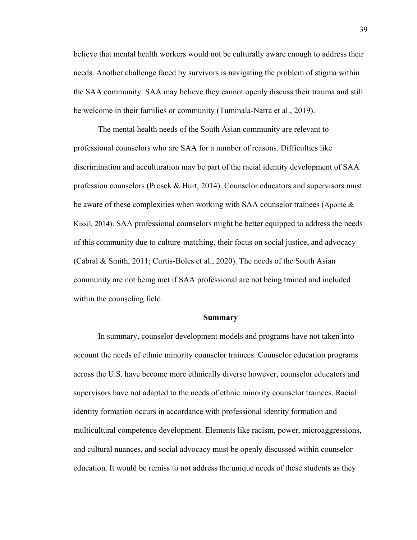believe that mental health workers would not be culturally aware enough to address their needs. Another challenge faced by survivors is navigating the problem of stigma within the SAA community. SAA may believe they cannot openly discuss their trauma and still be welcome in their families or community (Tummala-Narra et al., 2019).

The mental health needs of the South Asian community are relevant to professional counselors who are SAA for a number of reasons. Difficulties like discrimination and acculturation may be part of the racial identity development of SAA profession counselors (Prosek & Hurt, 2014). Counselor educators and supervisors must be aware of these complexities when working with SAA counselor trainees (Aponte & Kissil, 2014). SAA professional counselors might be better equipped to address the needs of this community due to culture-matching, their focus on social justice, and advocacy (Cabral & Smith, 2011; Curtis-Boles et al., 2020). The needs of the South Asian community are not being met if SAA professional are not being trained and included within the counseling field.

#### **Summary**

In summary, counselor development models and programs have not taken into account the needs of ethnic minority counselor trainees. Counselor education programs across the U.S. have become more ethnically diverse however, counselor educators and supervisors have not adapted to the needs of ethnic minority counselor trainees. Racial identity formation occurs in accordance with professional identity formation and multicultural competence development. Elements like racism, power, microaggressions, and cultural nuances, and social advocacy must be openly discussed within counselor education. It would be remiss to not address the unique needs of these students as they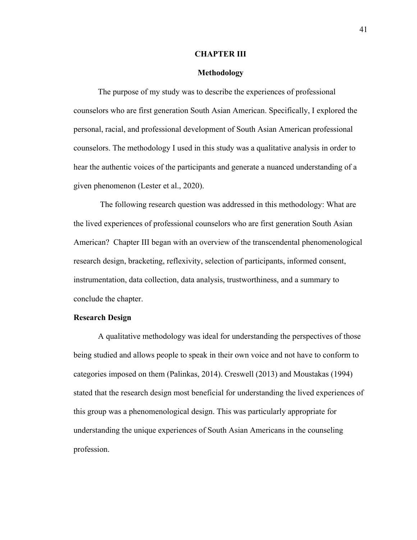### **CHAPTER III**

## **Methodology**

The purpose of my study was to describe the experiences of professional counselors who are first generation South Asian American. Specifically, I explored the personal, racial, and professional development of South Asian American professional counselors. The methodology I used in this study was a qualitative analysis in order to hear the authentic voices of the participants and generate a nuanced understanding of a given phenomenon (Lester et al., 2020).

 The following research question was addressed in this methodology: What are the lived experiences of professional counselors who are first generation South Asian American? Chapter III began with an overview of the transcendental phenomenological research design, bracketing, reflexivity, selection of participants, informed consent, instrumentation, data collection, data analysis, trustworthiness, and a summary to conclude the chapter.

### **Research Design**

A qualitative methodology was ideal for understanding the perspectives of those being studied and allows people to speak in their own voice and not have to conform to categories imposed on them (Palinkas, 2014). Creswell (2013) and Moustakas (1994) stated that the research design most beneficial for understanding the lived experiences of this group was a phenomenological design. This was particularly appropriate for understanding the unique experiences of South Asian Americans in the counseling profession.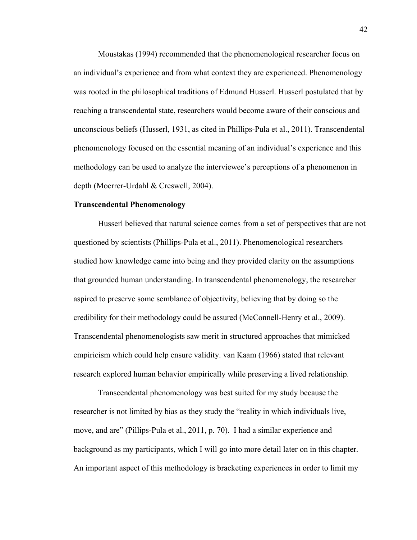Moustakas (1994) recommended that the phenomenological researcher focus on an individual's experience and from what context they are experienced. Phenomenology was rooted in the philosophical traditions of Edmund Husserl. Husserl postulated that by reaching a transcendental state, researchers would become aware of their conscious and unconscious beliefs (Husserl, 1931, as cited in Phillips-Pula et al., 2011). Transcendental phenomenology focused on the essential meaning of an individual's experience and this methodology can be used to analyze the interviewee's perceptions of a phenomenon in depth (Moerrer-Urdahl & Creswell, 2004).

### **Transcendental Phenomenology**

Husserl believed that natural science comes from a set of perspectives that are not questioned by scientists (Phillips-Pula et al., 2011). Phenomenological researchers studied how knowledge came into being and they provided clarity on the assumptions that grounded human understanding. In transcendental phenomenology, the researcher aspired to preserve some semblance of objectivity, believing that by doing so the credibility for their methodology could be assured (McConnell-Henry et al., 2009). Transcendental phenomenologists saw merit in structured approaches that mimicked empiricism which could help ensure validity. van Kaam (1966) stated that relevant research explored human behavior empirically while preserving a lived relationship.

Transcendental phenomenology was best suited for my study because the researcher is not limited by bias as they study the "reality in which individuals live, move, and are" (Pillips-Pula et al., 2011, p. 70). I had a similar experience and background as my participants, which I will go into more detail later on in this chapter. An important aspect of this methodology is bracketing experiences in order to limit my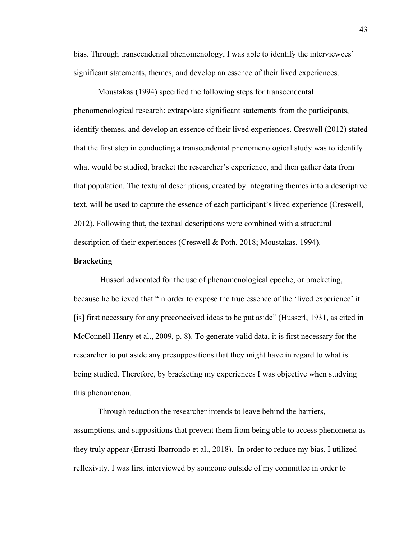bias. Through transcendental phenomenology, I was able to identify the interviewees' significant statements, themes, and develop an essence of their lived experiences.

Moustakas (1994) specified the following steps for transcendental phenomenological research: extrapolate significant statements from the participants, identify themes, and develop an essence of their lived experiences. Creswell (2012) stated that the first step in conducting a transcendental phenomenological study was to identify what would be studied, bracket the researcher's experience, and then gather data from that population. The textural descriptions, created by integrating themes into a descriptive text, will be used to capture the essence of each participant's lived experience (Creswell, 2012). Following that, the textual descriptions were combined with a structural description of their experiences (Creswell & Poth, 2018; Moustakas, 1994).

### **Bracketing**

 Husserl advocated for the use of phenomenological epoche, or bracketing, because he believed that "in order to expose the true essence of the 'lived experience' it [is] first necessary for any preconceived ideas to be put aside" (Husserl, 1931, as cited in McConnell-Henry et al., 2009, p. 8). To generate valid data, it is first necessary for the researcher to put aside any presuppositions that they might have in regard to what is being studied. Therefore, by bracketing my experiences I was objective when studying this phenomenon.

 Through reduction the researcher intends to leave behind the barriers, assumptions, and suppositions that prevent them from being able to access phenomena as they truly appear (Errasti-Ibarrondo et al., 2018). In order to reduce my bias, I utilized reflexivity. I was first interviewed by someone outside of my committee in order to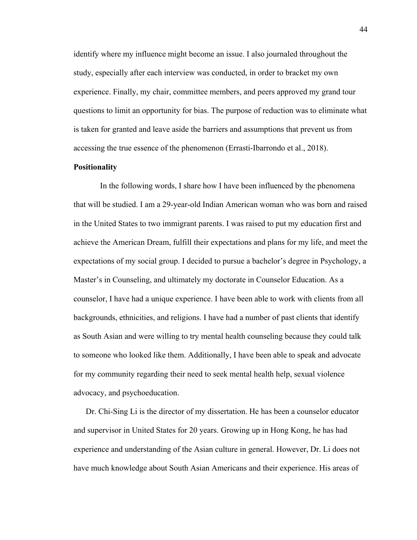identify where my influence might become an issue. I also journaled throughout the study, especially after each interview was conducted, in order to bracket my own experience. Finally, my chair, committee members, and peers approved my grand tour questions to limit an opportunity for bias. The purpose of reduction was to eliminate what is taken for granted and leave aside the barriers and assumptions that prevent us from accessing the true essence of the phenomenon (Errasti-Ibarrondo et al., 2018).

## **Positionality**

 In the following words, I share how I have been influenced by the phenomena that will be studied. I am a 29-year-old Indian American woman who was born and raised in the United States to two immigrant parents. I was raised to put my education first and achieve the American Dream, fulfill their expectations and plans for my life, and meet the expectations of my social group. I decided to pursue a bachelor's degree in Psychology, a Master's in Counseling, and ultimately my doctorate in Counselor Education. As a counselor, I have had a unique experience. I have been able to work with clients from all backgrounds, ethnicities, and religions. I have had a number of past clients that identify as South Asian and were willing to try mental health counseling because they could talk to someone who looked like them. Additionally, I have been able to speak and advocate for my community regarding their need to seek mental health help, sexual violence advocacy, and psychoeducation.

Dr. Chi-Sing Li is the director of my dissertation. He has been a counselor educator and supervisor in United States for 20 years. Growing up in Hong Kong, he has had experience and understanding of the Asian culture in general. However, Dr. Li does not have much knowledge about South Asian Americans and their experience. His areas of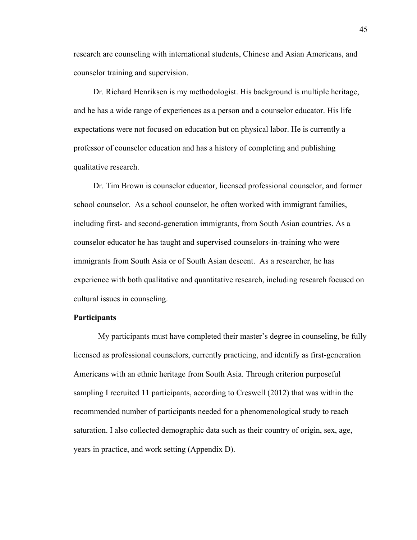research are counseling with international students, Chinese and Asian Americans, and counselor training and supervision.

 Dr. Richard Henriksen is my methodologist. His background is multiple heritage, and he has a wide range of experiences as a person and a counselor educator. His life expectations were not focused on education but on physical labor. He is currently a professor of counselor education and has a history of completing and publishing qualitative research.

 Dr. Tim Brown is counselor educator, licensed professional counselor, and former school counselor. As a school counselor, he often worked with immigrant families, including first- and second-generation immigrants, from South Asian countries. As a counselor educator he has taught and supervised counselors-in-training who were immigrants from South Asia or of South Asian descent. As a researcher, he has experience with both qualitative and quantitative research, including research focused on cultural issues in counseling.

# **Participants**

My participants must have completed their master's degree in counseling, be fully licensed as professional counselors, currently practicing, and identify as first-generation Americans with an ethnic heritage from South Asia. Through criterion purposeful sampling I recruited 11 participants, according to Creswell (2012) that was within the recommended number of participants needed for a phenomenological study to reach saturation. I also collected demographic data such as their country of origin, sex, age, years in practice, and work setting (Appendix D).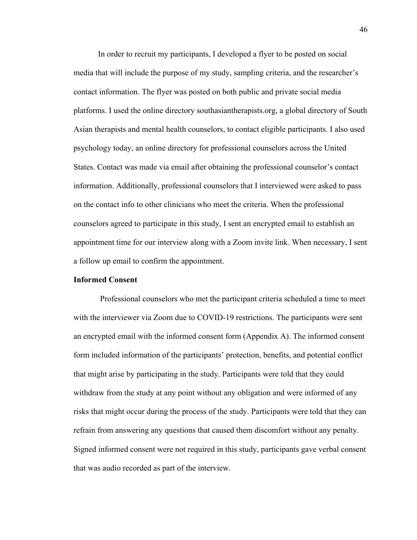In order to recruit my participants, I developed a flyer to be posted on social media that will include the purpose of my study, sampling criteria, and the researcher's contact information. The flyer was posted on both public and private social media platforms. I used the online directory southasiantherapists.org, a global directory of South Asian therapists and mental health counselors, to contact eligible participants. I also used psychology today, an online directory for professional counselors across the United States. Contact was made via email after obtaining the professional counselor's contact information. Additionally, professional counselors that I interviewed were asked to pass on the contact info to other clinicians who meet the criteria. When the professional counselors agreed to participate in this study, I sent an encrypted email to establish an appointment time for our interview along with a Zoom invite link. When necessary, I sent a follow up email to confirm the appointment.

## **Informed Consent**

Professional counselors who met the participant criteria scheduled a time to meet with the interviewer via Zoom due to COVID-19 restrictions. The participants were sent an encrypted email with the informed consent form (Appendix A). The informed consent form included information of the participants' protection, benefits, and potential conflict that might arise by participating in the study. Participants were told that they could withdraw from the study at any point without any obligation and were informed of any risks that might occur during the process of the study. Participants were told that they can refrain from answering any questions that caused them discomfort without any penalty. Signed informed consent were not required in this study, participants gave verbal consent that was audio recorded as part of the interview.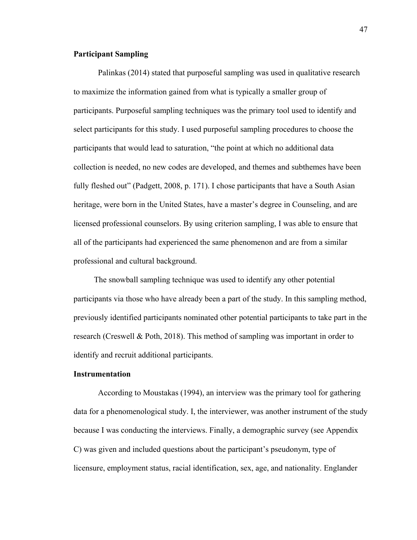# **Participant Sampling**

Palinkas (2014) stated that purposeful sampling was used in qualitative research to maximize the information gained from what is typically a smaller group of participants. Purposeful sampling techniques was the primary tool used to identify and select participants for this study. I used purposeful sampling procedures to choose the participants that would lead to saturation, "the point at which no additional data collection is needed, no new codes are developed, and themes and subthemes have been fully fleshed out" (Padgett, 2008, p. 171). I chose participants that have a South Asian heritage, were born in the United States, have a master's degree in Counseling, and are licensed professional counselors. By using criterion sampling, I was able to ensure that all of the participants had experienced the same phenomenon and are from a similar professional and cultural background.

 The snowball sampling technique was used to identify any other potential participants via those who have already been a part of the study. In this sampling method, previously identified participants nominated other potential participants to take part in the research (Creswell & Poth, 2018). This method of sampling was important in order to identify and recruit additional participants.

# **Instrumentation**

 According to Moustakas (1994), an interview was the primary tool for gathering data for a phenomenological study. I, the interviewer, was another instrument of the study because I was conducting the interviews. Finally, a demographic survey (see Appendix C) was given and included questions about the participant's pseudonym, type of licensure, employment status, racial identification, sex, age, and nationality. Englander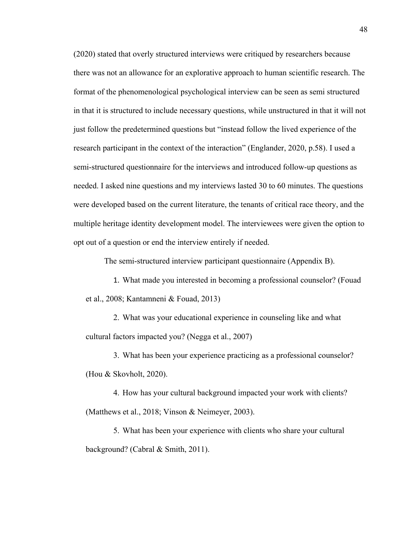(2020) stated that overly structured interviews were critiqued by researchers because there was not an allowance for an explorative approach to human scientific research. The format of the phenomenological psychological interview can be seen as semi structured in that it is structured to include necessary questions, while unstructured in that it will not just follow the predetermined questions but "instead follow the lived experience of the research participant in the context of the interaction" (Englander, 2020, p.58). I used a semi-structured questionnaire for the interviews and introduced follow-up questions as needed. I asked nine questions and my interviews lasted 30 to 60 minutes. The questions were developed based on the current literature, the tenants of critical race theory, and the multiple heritage identity development model. The interviewees were given the option to opt out of a question or end the interview entirely if needed.

The semi-structured interview participant questionnaire (Appendix B).

1. What made you interested in becoming a professional counselor? (Fouad et al., 2008; Kantamneni & Fouad, 2013)

2. What was your educational experience in counseling like and what cultural factors impacted you? (Negga et al., 2007)

3. What has been your experience practicing as a professional counselor? (Hou & Skovholt, 2020).

4. How has your cultural background impacted your work with clients? (Matthews et al., 2018; Vinson & Neimeyer, 2003).

5. What has been your experience with clients who share your cultural background? (Cabral & Smith, 2011).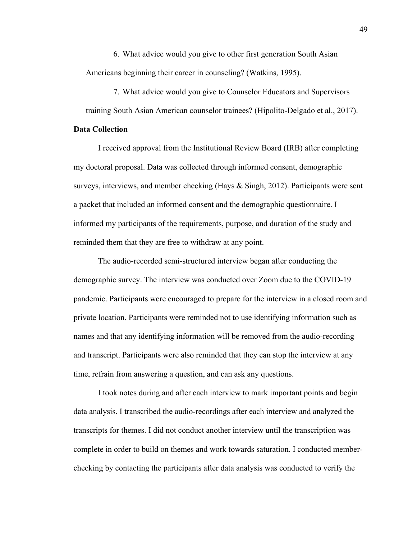6. What advice would you give to other first generation South Asian Americans beginning their career in counseling? (Watkins, 1995).

7. What advice would you give to Counselor Educators and Supervisors training South Asian American counselor trainees? (Hipolito-Delgado et al., 2017).

## **Data Collection**

I received approval from the Institutional Review Board (IRB) after completing my doctoral proposal. Data was collected through informed consent, demographic surveys, interviews, and member checking (Hays & Singh, 2012). Participants were sent a packet that included an informed consent and the demographic questionnaire. I informed my participants of the requirements, purpose, and duration of the study and reminded them that they are free to withdraw at any point.

 The audio-recorded semi-structured interview began after conducting the demographic survey. The interview was conducted over Zoom due to the COVID-19 pandemic. Participants were encouraged to prepare for the interview in a closed room and private location. Participants were reminded not to use identifying information such as names and that any identifying information will be removed from the audio-recording and transcript. Participants were also reminded that they can stop the interview at any time, refrain from answering a question, and can ask any questions.

 I took notes during and after each interview to mark important points and begin data analysis. I transcribed the audio-recordings after each interview and analyzed the transcripts for themes. I did not conduct another interview until the transcription was complete in order to build on themes and work towards saturation. I conducted memberchecking by contacting the participants after data analysis was conducted to verify the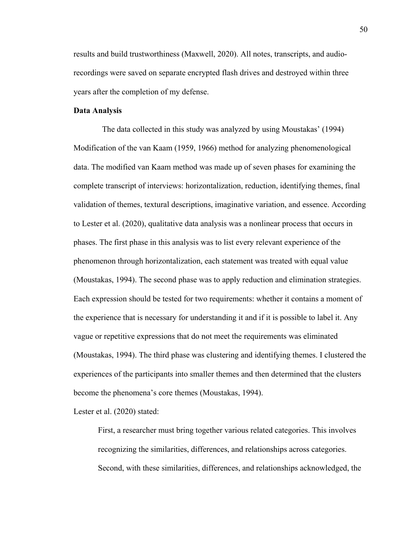results and build trustworthiness (Maxwell, 2020). All notes, transcripts, and audiorecordings were saved on separate encrypted flash drives and destroyed within three years after the completion of my defense.

### **Data Analysis**

 The data collected in this study was analyzed by using Moustakas' (1994) Modification of the van Kaam (1959, 1966) method for analyzing phenomenological data. The modified van Kaam method was made up of seven phases for examining the complete transcript of interviews: horizontalization, reduction, identifying themes, final validation of themes, textural descriptions, imaginative variation, and essence. According to Lester et al. (2020), qualitative data analysis was a nonlinear process that occurs in phases. The first phase in this analysis was to list every relevant experience of the phenomenon through horizontalization, each statement was treated with equal value (Moustakas, 1994). The second phase was to apply reduction and elimination strategies. Each expression should be tested for two requirements: whether it contains a moment of the experience that is necessary for understanding it and if it is possible to label it. Any vague or repetitive expressions that do not meet the requirements was eliminated (Moustakas, 1994). The third phase was clustering and identifying themes. I clustered the experiences of the participants into smaller themes and then determined that the clusters become the phenomena's core themes (Moustakas, 1994).

Lester et al. (2020) stated:

First, a researcher must bring together various related categories. This involves recognizing the similarities, differences, and relationships across categories. Second, with these similarities, differences, and relationships acknowledged, the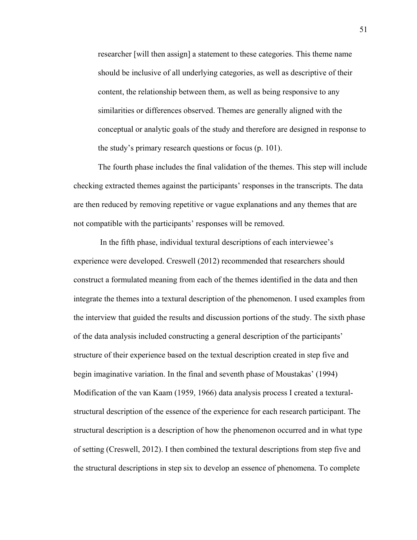researcher [will then assign] a statement to these categories. This theme name should be inclusive of all underlying categories, as well as descriptive of their content, the relationship between them, as well as being responsive to any similarities or differences observed. Themes are generally aligned with the conceptual or analytic goals of the study and therefore are designed in response to the study's primary research questions or focus (p. 101).

 The fourth phase includes the final validation of the themes. This step will include checking extracted themes against the participants' responses in the transcripts. The data are then reduced by removing repetitive or vague explanations and any themes that are not compatible with the participants' responses will be removed.

 In the fifth phase, individual textural descriptions of each interviewee's experience were developed. Creswell (2012) recommended that researchers should construct a formulated meaning from each of the themes identified in the data and then integrate the themes into a textural description of the phenomenon. I used examples from the interview that guided the results and discussion portions of the study. The sixth phase of the data analysis included constructing a general description of the participants' structure of their experience based on the textual description created in step five and begin imaginative variation. In the final and seventh phase of Moustakas' (1994) Modification of the van Kaam (1959, 1966) data analysis process I created a texturalstructural description of the essence of the experience for each research participant. The structural description is a description of how the phenomenon occurred and in what type of setting (Creswell, 2012). I then combined the textural descriptions from step five and the structural descriptions in step six to develop an essence of phenomena. To complete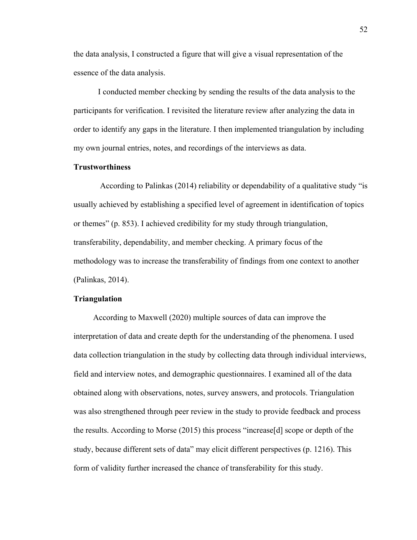the data analysis, I constructed a figure that will give a visual representation of the essence of the data analysis.

 I conducted member checking by sending the results of the data analysis to the participants for verification. I revisited the literature review after analyzing the data in order to identify any gaps in the literature. I then implemented triangulation by including my own journal entries, notes, and recordings of the interviews as data.

# **Trustworthiness**

 According to Palinkas (2014) reliability or dependability of a qualitative study "is usually achieved by establishing a specified level of agreement in identification of topics or themes" (p. 853). I achieved credibility for my study through triangulation, transferability, dependability, and member checking. A primary focus of the methodology was to increase the transferability of findings from one context to another (Palinkas, 2014).

### **Triangulation**

 According to Maxwell (2020) multiple sources of data can improve the interpretation of data and create depth for the understanding of the phenomena. I used data collection triangulation in the study by collecting data through individual interviews, field and interview notes, and demographic questionnaires. I examined all of the data obtained along with observations, notes, survey answers, and protocols. Triangulation was also strengthened through peer review in the study to provide feedback and process the results. According to Morse (2015) this process "increase[d] scope or depth of the study, because different sets of data" may elicit different perspectives (p. 1216). This form of validity further increased the chance of transferability for this study.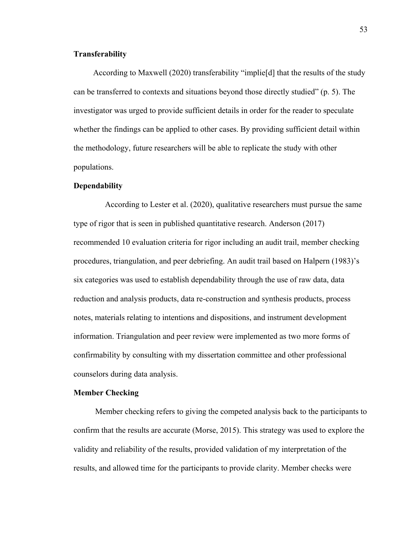# **Transferability**

 According to Maxwell (2020) transferability "implie[d] that the results of the study can be transferred to contexts and situations beyond those directly studied" (p. 5). The investigator was urged to provide sufficient details in order for the reader to speculate whether the findings can be applied to other cases. By providing sufficient detail within the methodology, future researchers will be able to replicate the study with other populations.

# **Dependability**

According to Lester et al. (2020), qualitative researchers must pursue the same type of rigor that is seen in published quantitative research. Anderson (2017) recommended 10 evaluation criteria for rigor including an audit trail, member checking procedures, triangulation, and peer debriefing. An audit trail based on Halpern (1983)'s six categories was used to establish dependability through the use of raw data, data reduction and analysis products, data re-construction and synthesis products, process notes, materials relating to intentions and dispositions, and instrument development information. Triangulation and peer review were implemented as two more forms of confirmability by consulting with my dissertation committee and other professional counselors during data analysis.

### **Member Checking**

Member checking refers to giving the competed analysis back to the participants to confirm that the results are accurate (Morse, 2015). This strategy was used to explore the validity and reliability of the results, provided validation of my interpretation of the results, and allowed time for the participants to provide clarity. Member checks were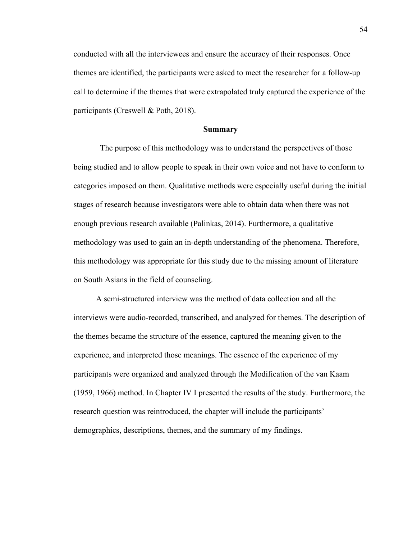conducted with all the interviewees and ensure the accuracy of their responses. Once themes are identified, the participants were asked to meet the researcher for a follow-up call to determine if the themes that were extrapolated truly captured the experience of the participants (Creswell & Poth, 2018).

### **Summary**

 The purpose of this methodology was to understand the perspectives of those being studied and to allow people to speak in their own voice and not have to conform to categories imposed on them. Qualitative methods were especially useful during the initial stages of research because investigators were able to obtain data when there was not enough previous research available (Palinkas, 2014). Furthermore, a qualitative methodology was used to gain an in-depth understanding of the phenomena. Therefore, this methodology was appropriate for this study due to the missing amount of literature on South Asians in the field of counseling.

 A semi-structured interview was the method of data collection and all the interviews were audio-recorded, transcribed, and analyzed for themes. The description of the themes became the structure of the essence, captured the meaning given to the experience, and interpreted those meanings. The essence of the experience of my participants were organized and analyzed through the Modification of the van Kaam (1959, 1966) method. In Chapter IV I presented the results of the study. Furthermore, the research question was reintroduced, the chapter will include the participants' demographics, descriptions, themes, and the summary of my findings.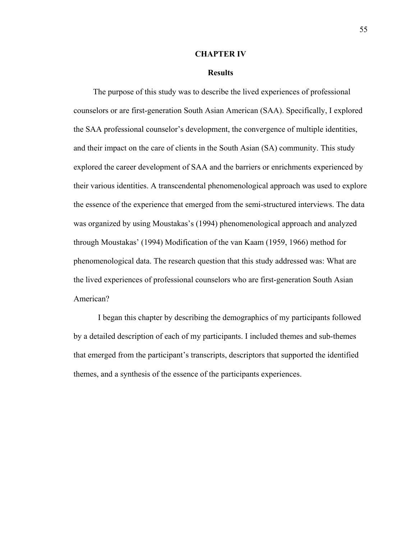### **CHAPTER IV**

### **Results**

 The purpose of this study was to describe the lived experiences of professional counselors or are first-generation South Asian American (SAA). Specifically, I explored the SAA professional counselor's development, the convergence of multiple identities, and their impact on the care of clients in the South Asian (SA) community. This study explored the career development of SAA and the barriers or enrichments experienced by their various identities. A transcendental phenomenological approach was used to explore the essence of the experience that emerged from the semi-structured interviews. The data was organized by using Moustakas's (1994) phenomenological approach and analyzed through Moustakas' (1994) Modification of the van Kaam (1959, 1966) method for phenomenological data. The research question that this study addressed was: What are the lived experiences of professional counselors who are first-generation South Asian American?

I began this chapter by describing the demographics of my participants followed by a detailed description of each of my participants. I included themes and sub-themes that emerged from the participant's transcripts, descriptors that supported the identified themes, and a synthesis of the essence of the participants experiences.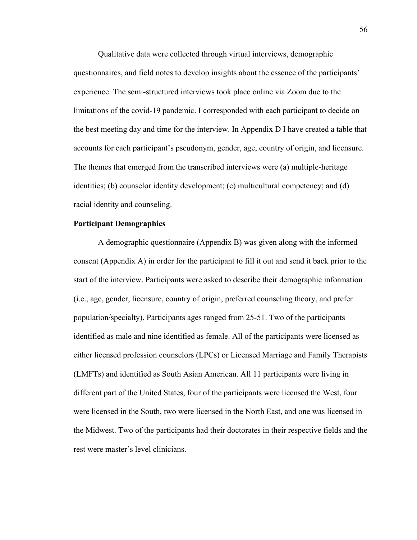Qualitative data were collected through virtual interviews, demographic questionnaires, and field notes to develop insights about the essence of the participants' experience. The semi-structured interviews took place online via Zoom due to the limitations of the covid-19 pandemic. I corresponded with each participant to decide on the best meeting day and time for the interview. In Appendix D I have created a table that accounts for each participant's pseudonym, gender, age, country of origin, and licensure. The themes that emerged from the transcribed interviews were (a) multiple-heritage identities; (b) counselor identity development; (c) multicultural competency; and (d) racial identity and counseling.

### **Participant Demographics**

A demographic questionnaire (Appendix B) was given along with the informed consent (Appendix A) in order for the participant to fill it out and send it back prior to the start of the interview. Participants were asked to describe their demographic information (i.e., age, gender, licensure, country of origin, preferred counseling theory, and prefer population/specialty). Participants ages ranged from 25-51. Two of the participants identified as male and nine identified as female. All of the participants were licensed as either licensed profession counselors (LPCs) or Licensed Marriage and Family Therapists (LMFTs) and identified as South Asian American. All 11 participants were living in different part of the United States, four of the participants were licensed the West, four were licensed in the South, two were licensed in the North East, and one was licensed in the Midwest. Two of the participants had their doctorates in their respective fields and the rest were master's level clinicians.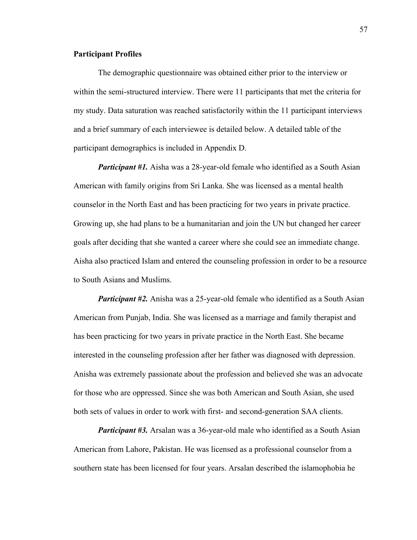### **Participant Profiles**

The demographic questionnaire was obtained either prior to the interview or within the semi-structured interview. There were 11 participants that met the criteria for my study. Data saturation was reached satisfactorily within the 11 participant interviews and a brief summary of each interviewee is detailed below. A detailed table of the participant demographics is included in Appendix D.

*Participant #1.* Aisha was a 28-year-old female who identified as a South Asian American with family origins from Sri Lanka. She was licensed as a mental health counselor in the North East and has been practicing for two years in private practice. Growing up, she had plans to be a humanitarian and join the UN but changed her career goals after deciding that she wanted a career where she could see an immediate change. Aisha also practiced Islam and entered the counseling profession in order to be a resource to South Asians and Muslims.

*Participant #2.* Anisha was a 25-year-old female who identified as a South Asian American from Punjab, India. She was licensed as a marriage and family therapist and has been practicing for two years in private practice in the North East. She became interested in the counseling profession after her father was diagnosed with depression. Anisha was extremely passionate about the profession and believed she was an advocate for those who are oppressed. Since she was both American and South Asian, she used both sets of values in order to work with first- and second-generation SAA clients.

*Participant #3.* Arsalan was a 36-year-old male who identified as a South Asian American from Lahore, Pakistan. He was licensed as a professional counselor from a southern state has been licensed for four years. Arsalan described the islamophobia he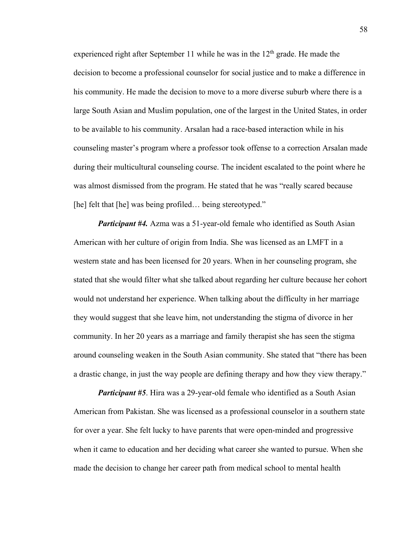experienced right after September 11 while he was in the  $12<sup>th</sup>$  grade. He made the decision to become a professional counselor for social justice and to make a difference in his community. He made the decision to move to a more diverse suburb where there is a large South Asian and Muslim population, one of the largest in the United States, in order to be available to his community. Arsalan had a race-based interaction while in his counseling master's program where a professor took offense to a correction Arsalan made during their multicultural counseling course. The incident escalated to the point where he was almost dismissed from the program. He stated that he was "really scared because [he] felt that [he] was being profiled... being stereotyped."

*Participant #4.* Azma was a 51-year-old female who identified as South Asian American with her culture of origin from India. She was licensed as an LMFT in a western state and has been licensed for 20 years. When in her counseling program, she stated that she would filter what she talked about regarding her culture because her cohort would not understand her experience. When talking about the difficulty in her marriage they would suggest that she leave him, not understanding the stigma of divorce in her community. In her 20 years as a marriage and family therapist she has seen the stigma around counseling weaken in the South Asian community. She stated that "there has been a drastic change, in just the way people are defining therapy and how they view therapy."

*Participant #5.* Hira was a 29-year-old female who identified as a South Asian American from Pakistan. She was licensed as a professional counselor in a southern state for over a year. She felt lucky to have parents that were open-minded and progressive when it came to education and her deciding what career she wanted to pursue. When she made the decision to change her career path from medical school to mental health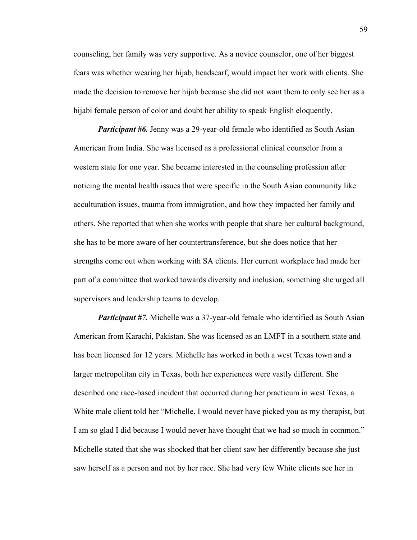counseling, her family was very supportive. As a novice counselor, one of her biggest fears was whether wearing her hijab, headscarf, would impact her work with clients. She made the decision to remove her hijab because she did not want them to only see her as a hijabi female person of color and doubt her ability to speak English eloquently.

*Participant #6.* Jenny was a 29-year-old female who identified as South Asian American from India. She was licensed as a professional clinical counselor from a western state for one year. She became interested in the counseling profession after noticing the mental health issues that were specific in the South Asian community like acculturation issues, trauma from immigration, and how they impacted her family and others. She reported that when she works with people that share her cultural background, she has to be more aware of her countertransference, but she does notice that her strengths come out when working with SA clients. Her current workplace had made her part of a committee that worked towards diversity and inclusion, something she urged all supervisors and leadership teams to develop.

*Participant #7.* Michelle was a 37-year-old female who identified as South Asian American from Karachi, Pakistan. She was licensed as an LMFT in a southern state and has been licensed for 12 years. Michelle has worked in both a west Texas town and a larger metropolitan city in Texas, both her experiences were vastly different. She described one race-based incident that occurred during her practicum in west Texas, a White male client told her "Michelle, I would never have picked you as my therapist, but I am so glad I did because I would never have thought that we had so much in common." Michelle stated that she was shocked that her client saw her differently because she just saw herself as a person and not by her race. She had very few White clients see her in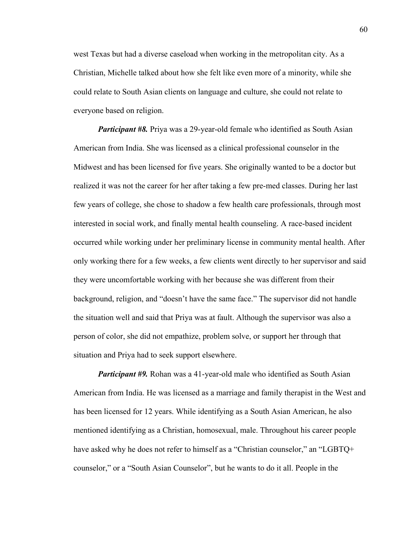west Texas but had a diverse caseload when working in the metropolitan city. As a Christian, Michelle talked about how she felt like even more of a minority, while she could relate to South Asian clients on language and culture, she could not relate to everyone based on religion.

*Participant #8.* Priya was a 29-year-old female who identified as South Asian American from India. She was licensed as a clinical professional counselor in the Midwest and has been licensed for five years. She originally wanted to be a doctor but realized it was not the career for her after taking a few pre-med classes. During her last few years of college, she chose to shadow a few health care professionals, through most interested in social work, and finally mental health counseling. A race-based incident occurred while working under her preliminary license in community mental health. After only working there for a few weeks, a few clients went directly to her supervisor and said they were uncomfortable working with her because she was different from their background, religion, and "doesn't have the same face." The supervisor did not handle the situation well and said that Priya was at fault. Although the supervisor was also a person of color, she did not empathize, problem solve, or support her through that situation and Priya had to seek support elsewhere.

*Participant #9.* Rohan was a 41-year-old male who identified as South Asian American from India. He was licensed as a marriage and family therapist in the West and has been licensed for 12 years. While identifying as a South Asian American, he also mentioned identifying as a Christian, homosexual, male. Throughout his career people have asked why he does not refer to himself as a "Christian counselor," an "LGBTQ+ counselor," or a "South Asian Counselor", but he wants to do it all. People in the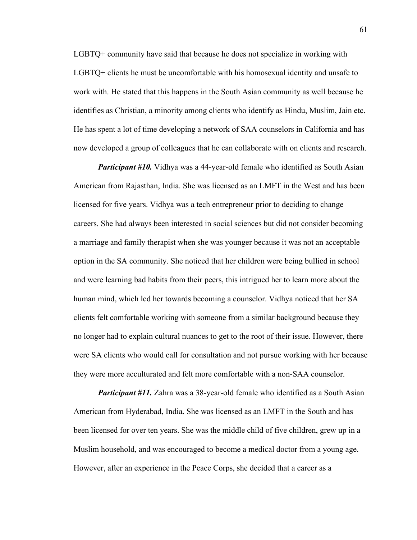LGBTQ+ community have said that because he does not specialize in working with LGBTQ+ clients he must be uncomfortable with his homosexual identity and unsafe to work with. He stated that this happens in the South Asian community as well because he identifies as Christian, a minority among clients who identify as Hindu, Muslim, Jain etc. He has spent a lot of time developing a network of SAA counselors in California and has now developed a group of colleagues that he can collaborate with on clients and research.

*Participant #10.* Vidhya was a 44-year-old female who identified as South Asian American from Rajasthan, India. She was licensed as an LMFT in the West and has been licensed for five years. Vidhya was a tech entrepreneur prior to deciding to change careers. She had always been interested in social sciences but did not consider becoming a marriage and family therapist when she was younger because it was not an acceptable option in the SA community. She noticed that her children were being bullied in school and were learning bad habits from their peers, this intrigued her to learn more about the human mind, which led her towards becoming a counselor. Vidhya noticed that her SA clients felt comfortable working with someone from a similar background because they no longer had to explain cultural nuances to get to the root of their issue. However, there were SA clients who would call for consultation and not pursue working with her because they were more acculturated and felt more comfortable with a non-SAA counselor.

*Participant #11.* Zahra was a 38-year-old female who identified as a South Asian American from Hyderabad, India. She was licensed as an LMFT in the South and has been licensed for over ten years. She was the middle child of five children, grew up in a Muslim household, and was encouraged to become a medical doctor from a young age. However, after an experience in the Peace Corps, she decided that a career as a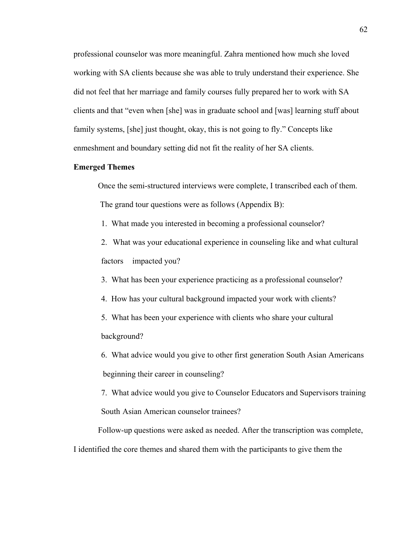professional counselor was more meaningful. Zahra mentioned how much she loved working with SA clients because she was able to truly understand their experience. She did not feel that her marriage and family courses fully prepared her to work with SA clients and that "even when [she] was in graduate school and [was] learning stuff about family systems, [she] just thought, okay, this is not going to fly." Concepts like enmeshment and boundary setting did not fit the reality of her SA clients.

# **Emerged Themes**

Once the semi-structured interviews were complete, I transcribed each of them. The grand tour questions were as follows (Appendix B):

- 1. What made you interested in becoming a professional counselor?
- 2. What was your educational experience in counseling like and what cultural factors impacted you?
- 3. What has been your experience practicing as a professional counselor?
- 4. How has your cultural background impacted your work with clients?
- 5. What has been your experience with clients who share your cultural background?
- 6. What advice would you give to other first generation South Asian Americans beginning their career in counseling?
- 7. What advice would you give to Counselor Educators and Supervisors training South Asian American counselor trainees?

Follow-up questions were asked as needed. After the transcription was complete,

I identified the core themes and shared them with the participants to give them the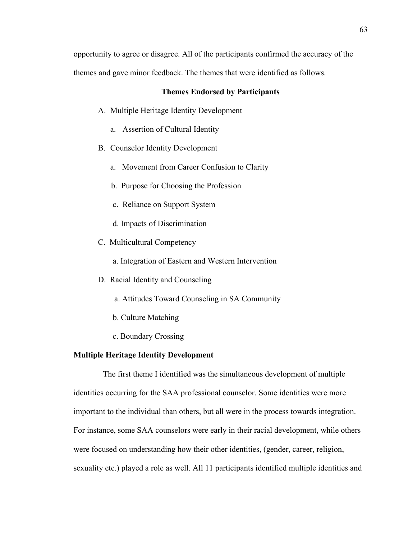opportunity to agree or disagree. All of the participants confirmed the accuracy of the themes and gave minor feedback. The themes that were identified as follows.

## **Themes Endorsed by Participants**

A. Multiple Heritage Identity Development

- a. Assertion of Cultural Identity
- B. Counselor Identity Development
	- a. Movement from Career Confusion to Clarity
	- b. Purpose for Choosing the Profession
	- c. Reliance on Support System
	- d. Impacts of Discrimination
- C. Multicultural Competency
	- a. Integration of Eastern and Western Intervention
- D. Racial Identity and Counseling
	- a. Attitudes Toward Counseling in SA Community
	- b. Culture Matching
	- c. Boundary Crossing

# **Multiple Heritage Identity Development**

 The first theme I identified was the simultaneous development of multiple identities occurring for the SAA professional counselor. Some identities were more important to the individual than others, but all were in the process towards integration. For instance, some SAA counselors were early in their racial development, while others were focused on understanding how their other identities, (gender, career, religion, sexuality etc.) played a role as well. All 11 participants identified multiple identities and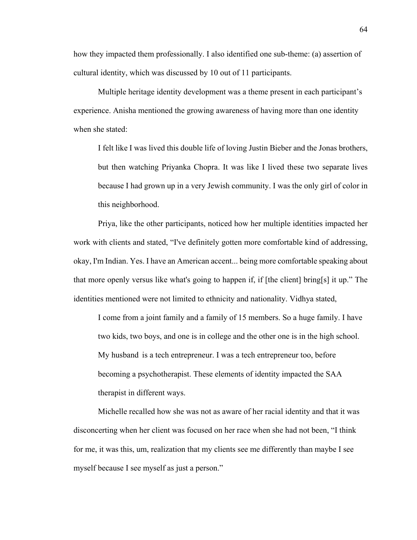how they impacted them professionally. I also identified one sub-theme: (a) assertion of cultural identity, which was discussed by 10 out of 11 participants.

Multiple heritage identity development was a theme present in each participant's experience. Anisha mentioned the growing awareness of having more than one identity when she stated:

I felt like I was lived this double life of loving Justin Bieber and the Jonas brothers, but then watching Priyanka Chopra. It was like I lived these two separate lives because I had grown up in a very Jewish community. I was the only girl of color in this neighborhood.

Priya, like the other participants, noticed how her multiple identities impacted her work with clients and stated, "I've definitely gotten more comfortable kind of addressing, okay, I'm Indian. Yes. I have an American accent... being more comfortable speaking about that more openly versus like what's going to happen if, if [the client] bring[s] it up." The identities mentioned were not limited to ethnicity and nationality. Vidhya stated,

I come from a joint family and a family of 15 members. So a huge family. I have two kids, two boys, and one is in college and the other one is in the high school. My husband is a tech entrepreneur. I was a tech entrepreneur too, before becoming a psychotherapist. These elements of identity impacted the SAA therapist in different ways.

Michelle recalled how she was not as aware of her racial identity and that it was disconcerting when her client was focused on her race when she had not been, "I think for me, it was this, um, realization that my clients see me differently than maybe I see myself because I see myself as just a person."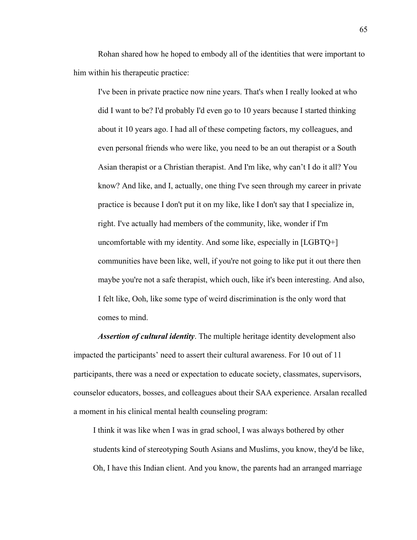Rohan shared how he hoped to embody all of the identities that were important to him within his therapeutic practice:

I've been in private practice now nine years. That's when I really looked at who did I want to be? I'd probably I'd even go to 10 years because I started thinking about it 10 years ago. I had all of these competing factors, my colleagues, and even personal friends who were like, you need to be an out therapist or a South Asian therapist or a Christian therapist. And I'm like, why can't I do it all? You know? And like, and I, actually, one thing I've seen through my career in private practice is because I don't put it on my like, like I don't say that I specialize in, right. I've actually had members of the community, like, wonder if I'm uncomfortable with my identity. And some like, especially in [LGBTQ+] communities have been like, well, if you're not going to like put it out there then maybe you're not a safe therapist, which ouch, like it's been interesting. And also, I felt like, Ooh, like some type of weird discrimination is the only word that comes to mind.

*Assertion of cultural identity*. The multiple heritage identity development also impacted the participants' need to assert their cultural awareness. For 10 out of 11 participants, there was a need or expectation to educate society, classmates, supervisors, counselor educators, bosses, and colleagues about their SAA experience. Arsalan recalled a moment in his clinical mental health counseling program:

I think it was like when I was in grad school, I was always bothered by other students kind of stereotyping South Asians and Muslims, you know, they'd be like, Oh, I have this Indian client. And you know, the parents had an arranged marriage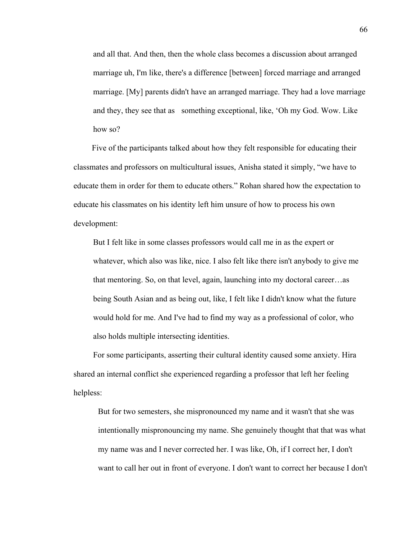and all that. And then, then the whole class becomes a discussion about arranged marriage uh, I'm like, there's a difference [between] forced marriage and arranged marriage. [My] parents didn't have an arranged marriage. They had a love marriage and they, they see that as something exceptional, like, 'Oh my God. Wow. Like how so?

Five of the participants talked about how they felt responsible for educating their classmates and professors on multicultural issues, Anisha stated it simply, "we have to educate them in order for them to educate others." Rohan shared how the expectation to educate his classmates on his identity left him unsure of how to process his own development:

But I felt like in some classes professors would call me in as the expert or whatever, which also was like, nice. I also felt like there isn't anybody to give me that mentoring. So, on that level, again, launching into my doctoral career…as being South Asian and as being out, like, I felt like I didn't know what the future would hold for me. And I've had to find my way as a professional of color, who also holds multiple intersecting identities.

 For some participants, asserting their cultural identity caused some anxiety. Hira shared an internal conflict she experienced regarding a professor that left her feeling helpless:

But for two semesters, she mispronounced my name and it wasn't that she was intentionally mispronouncing my name. She genuinely thought that that was what my name was and I never corrected her. I was like, Oh, if I correct her, I don't want to call her out in front of everyone. I don't want to correct her because I don't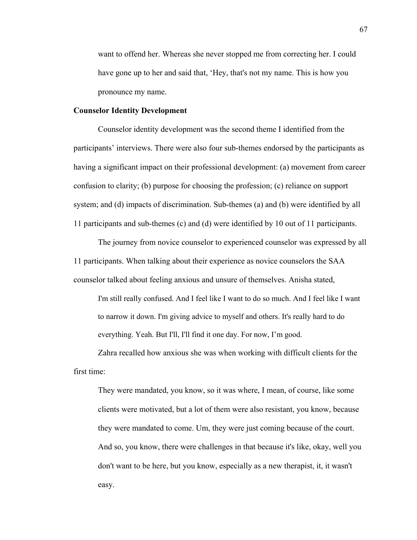want to offend her. Whereas she never stopped me from correcting her. I could have gone up to her and said that, 'Hey, that's not my name. This is how you pronounce my name.

### **Counselor Identity Development**

Counselor identity development was the second theme I identified from the participants' interviews. There were also four sub-themes endorsed by the participants as having a significant impact on their professional development: (a) movement from career confusion to clarity; (b) purpose for choosing the profession; (c) reliance on support system; and (d) impacts of discrimination. Sub-themes (a) and (b) were identified by all 11 participants and sub-themes (c) and (d) were identified by 10 out of 11 participants.

The journey from novice counselor to experienced counselor was expressed by all 11 participants. When talking about their experience as novice counselors the SAA counselor talked about feeling anxious and unsure of themselves. Anisha stated,

I'm still really confused. And I feel like I want to do so much. And I feel like I want to narrow it down. I'm giving advice to myself and others. It's really hard to do everything. Yeah. But I'll, I'll find it one day. For now, I'm good.

Zahra recalled how anxious she was when working with difficult clients for the first time:

They were mandated, you know, so it was where, I mean, of course, like some clients were motivated, but a lot of them were also resistant, you know, because they were mandated to come. Um, they were just coming because of the court. And so, you know, there were challenges in that because it's like, okay, well you don't want to be here, but you know, especially as a new therapist, it, it wasn't easy.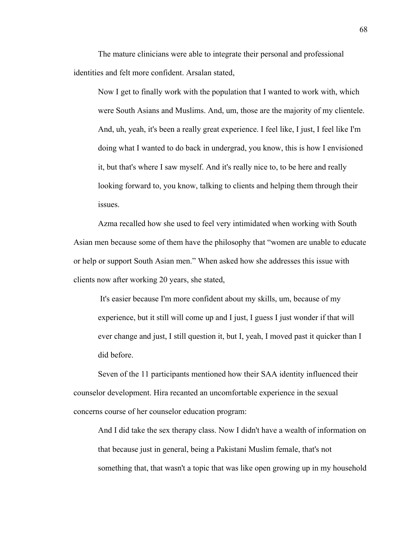The mature clinicians were able to integrate their personal and professional identities and felt more confident. Arsalan stated,

Now I get to finally work with the population that I wanted to work with, which were South Asians and Muslims. And, um, those are the majority of my clientele. And, uh, yeah, it's been a really great experience. I feel like, I just, I feel like I'm doing what I wanted to do back in undergrad, you know, this is how I envisioned it, but that's where I saw myself. And it's really nice to, to be here and really looking forward to, you know, talking to clients and helping them through their issues.

Azma recalled how she used to feel very intimidated when working with South Asian men because some of them have the philosophy that "women are unable to educate or help or support South Asian men." When asked how she addresses this issue with clients now after working 20 years, she stated,

 It's easier because I'm more confident about my skills, um, because of my experience, but it still will come up and I just, I guess I just wonder if that will ever change and just, I still question it, but I, yeah, I moved past it quicker than I did before.

Seven of the 11 participants mentioned how their SAA identity influenced their counselor development. Hira recanted an uncomfortable experience in the sexual concerns course of her counselor education program:

And I did take the sex therapy class. Now I didn't have a wealth of information on that because just in general, being a Pakistani Muslim female, that's not something that, that wasn't a topic that was like open growing up in my household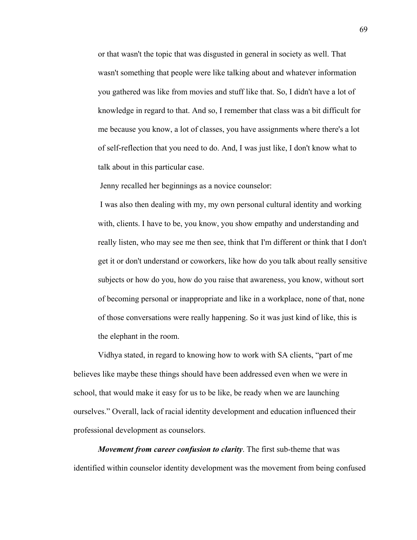or that wasn't the topic that was disgusted in general in society as well. That wasn't something that people were like talking about and whatever information you gathered was like from movies and stuff like that. So, I didn't have a lot of knowledge in regard to that. And so, I remember that class was a bit difficult for me because you know, a lot of classes, you have assignments where there's a lot of self-reflection that you need to do. And, I was just like, I don't know what to talk about in this particular case.

Jenny recalled her beginnings as a novice counselor:

 I was also then dealing with my, my own personal cultural identity and working with, clients. I have to be, you know, you show empathy and understanding and really listen, who may see me then see, think that I'm different or think that I don't get it or don't understand or coworkers, like how do you talk about really sensitive subjects or how do you, how do you raise that awareness, you know, without sort of becoming personal or inappropriate and like in a workplace, none of that, none of those conversations were really happening. So it was just kind of like, this is the elephant in the room.

Vidhya stated, in regard to knowing how to work with SA clients, "part of me believes like maybe these things should have been addressed even when we were in school, that would make it easy for us to be like, be ready when we are launching ourselves." Overall, lack of racial identity development and education influenced their professional development as counselors.

*Movement from career confusion to clarity*. The first sub-theme that was identified within counselor identity development was the movement from being confused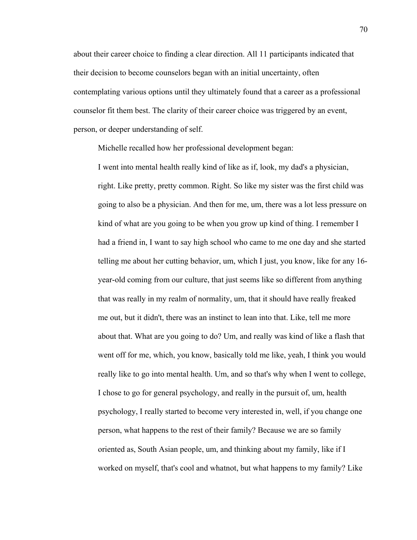about their career choice to finding a clear direction. All 11 participants indicated that their decision to become counselors began with an initial uncertainty, often contemplating various options until they ultimately found that a career as a professional counselor fit them best. The clarity of their career choice was triggered by an event, person, or deeper understanding of self.

Michelle recalled how her professional development began:

I went into mental health really kind of like as if, look, my dad's a physician, right. Like pretty, pretty common. Right. So like my sister was the first child was going to also be a physician. And then for me, um, there was a lot less pressure on kind of what are you going to be when you grow up kind of thing. I remember I had a friend in, I want to say high school who came to me one day and she started telling me about her cutting behavior, um, which I just, you know, like for any 16 year-old coming from our culture, that just seems like so different from anything that was really in my realm of normality, um, that it should have really freaked me out, but it didn't, there was an instinct to lean into that. Like, tell me more about that. What are you going to do? Um, and really was kind of like a flash that went off for me, which, you know, basically told me like, yeah, I think you would really like to go into mental health. Um, and so that's why when I went to college, I chose to go for general psychology, and really in the pursuit of, um, health psychology, I really started to become very interested in, well, if you change one person, what happens to the rest of their family? Because we are so family oriented as, South Asian people, um, and thinking about my family, like if I worked on myself, that's cool and whatnot, but what happens to my family? Like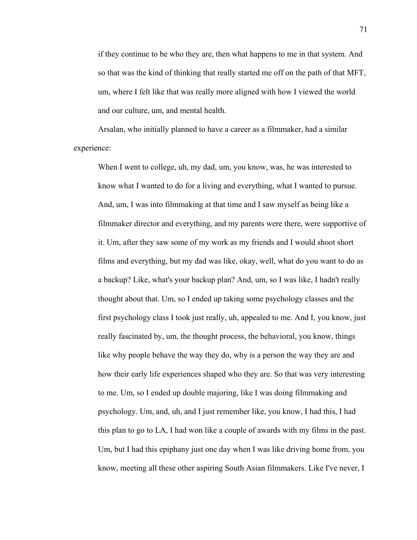if they continue to be who they are, then what happens to me in that system. And so that was the kind of thinking that really started me off on the path of that MFT, um, where I felt like that was really more aligned with how I viewed the world and our culture, um, and mental health.

Arsalan, who initially planned to have a career as a filmmaker, had a similar experience:

When I went to college, uh, my dad, um, you know, was, he was interested to know what I wanted to do for a living and everything, what I wanted to pursue. And, um, I was into filmmaking at that time and I saw myself as being like a filmmaker director and everything, and my parents were there, were supportive of it. Um, after they saw some of my work as my friends and I would shoot short films and everything, but my dad was like, okay, well, what do you want to do as a backup? Like, what's your backup plan? And, um, so I was like, I hadn't really thought about that. Um, so I ended up taking some psychology classes and the first psychology class I took just really, uh, appealed to me. And I, you know, just really fascinated by, um, the thought process, the behavioral, you know, things like why people behave the way they do, why is a person the way they are and how their early life experiences shaped who they are. So that was very interesting to me. Um, so I ended up double majoring, like I was doing filmmaking and psychology. Um, and, uh, and I just remember like, you know, I had this, I had this plan to go to LA, I had won like a couple of awards with my films in the past. Um, but I had this epiphany just one day when I was like driving home from, you know, meeting all these other aspiring South Asian filmmakers. Like I've never, I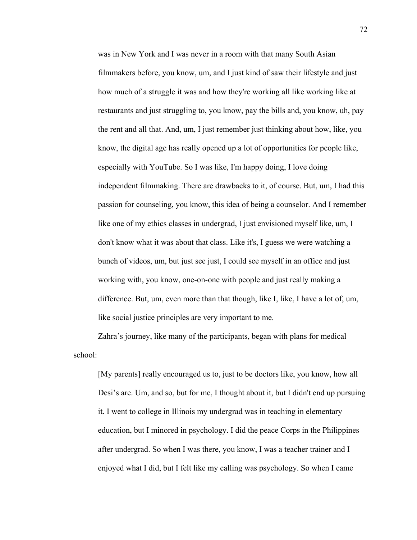was in New York and I was never in a room with that many South Asian filmmakers before, you know, um, and I just kind of saw their lifestyle and just how much of a struggle it was and how they're working all like working like at restaurants and just struggling to, you know, pay the bills and, you know, uh, pay the rent and all that. And, um, I just remember just thinking about how, like, you know, the digital age has really opened up a lot of opportunities for people like, especially with YouTube. So I was like, I'm happy doing, I love doing independent filmmaking. There are drawbacks to it, of course. But, um, I had this passion for counseling, you know, this idea of being a counselor. And I remember like one of my ethics classes in undergrad, I just envisioned myself like, um, I don't know what it was about that class. Like it's, I guess we were watching a bunch of videos, um, but just see just, I could see myself in an office and just working with, you know, one-on-one with people and just really making a difference. But, um, even more than that though, like I, like, I have a lot of, um, like social justice principles are very important to me.

Zahra's journey, like many of the participants, began with plans for medical school:

[My parents] really encouraged us to, just to be doctors like, you know, how all Desi's are. Um, and so, but for me, I thought about it, but I didn't end up pursuing it. I went to college in Illinois my undergrad was in teaching in elementary education, but I minored in psychology. I did the peace Corps in the Philippines after undergrad. So when I was there, you know, I was a teacher trainer and I enjoyed what I did, but I felt like my calling was psychology. So when I came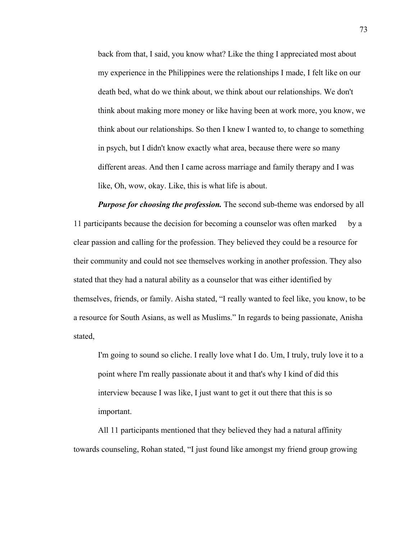back from that, I said, you know what? Like the thing I appreciated most about my experience in the Philippines were the relationships I made, I felt like on our death bed, what do we think about, we think about our relationships. We don't think about making more money or like having been at work more, you know, we think about our relationships. So then I knew I wanted to, to change to something in psych, but I didn't know exactly what area, because there were so many different areas. And then I came across marriage and family therapy and I was like, Oh, wow, okay. Like, this is what life is about.

*Purpose for choosing the profession.* The second sub-theme was endorsed by all 11 participants because the decision for becoming a counselor was often marked by a clear passion and calling for the profession. They believed they could be a resource for their community and could not see themselves working in another profession. They also stated that they had a natural ability as a counselor that was either identified by themselves, friends, or family. Aisha stated, "I really wanted to feel like, you know, to be a resource for South Asians, as well as Muslims." In regards to being passionate, Anisha stated,

I'm going to sound so cliche. I really love what I do. Um, I truly, truly love it to a point where I'm really passionate about it and that's why I kind of did this interview because I was like, I just want to get it out there that this is so important.

All 11 participants mentioned that they believed they had a natural affinity towards counseling, Rohan stated, "I just found like amongst my friend group growing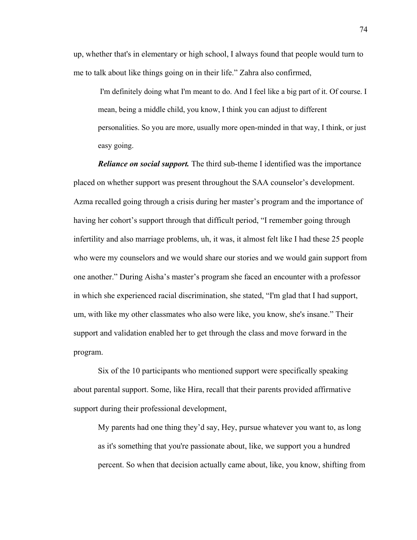up, whether that's in elementary or high school, I always found that people would turn to me to talk about like things going on in their life." Zahra also confirmed,

 I'm definitely doing what I'm meant to do. And I feel like a big part of it. Of course. I mean, being a middle child, you know, I think you can adjust to different personalities. So you are more, usually more open-minded in that way, I think, or just easy going.

*Reliance on social support.* The third sub-theme I identified was the importance placed on whether support was present throughout the SAA counselor's development. Azma recalled going through a crisis during her master's program and the importance of having her cohort's support through that difficult period, "I remember going through infertility and also marriage problems, uh, it was, it almost felt like I had these 25 people who were my counselors and we would share our stories and we would gain support from one another." During Aisha's master's program she faced an encounter with a professor in which she experienced racial discrimination, she stated, "I'm glad that I had support, um, with like my other classmates who also were like, you know, she's insane." Their support and validation enabled her to get through the class and move forward in the program.

Six of the 10 participants who mentioned support were specifically speaking about parental support. Some, like Hira, recall that their parents provided affirmative support during their professional development,

My parents had one thing they'd say, Hey, pursue whatever you want to, as long as it's something that you're passionate about, like, we support you a hundred percent. So when that decision actually came about, like, you know, shifting from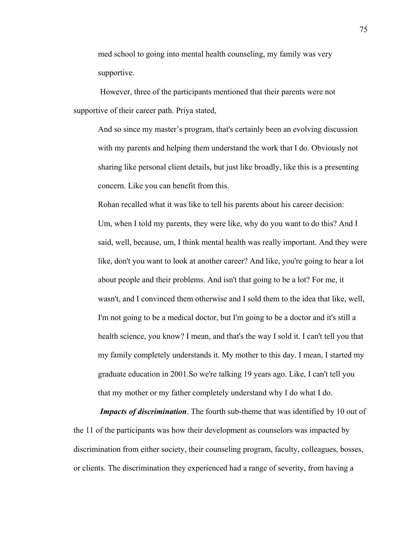med school to going into mental health counseling, my family was very supportive.

 However, three of the participants mentioned that their parents were not supportive of their career path. Priya stated,

And so since my master's program, that's certainly been an evolving discussion with my parents and helping them understand the work that I do. Obviously not sharing like personal client details, but just like broadly, like this is a presenting concern. Like you can benefit from this.

Rohan recalled what it was like to tell his parents about his career decision: Um, when I told my parents, they were like, why do you want to do this? And I said, well, because, um, I think mental health was really important. And they were like, don't you want to look at another career? And like, you're going to hear a lot about people and their problems. And isn't that going to be a lot? For me, it wasn't, and I convinced them otherwise and I sold them to the idea that like, well, I'm not going to be a medical doctor, but I'm going to be a doctor and it's still a health science, you know? I mean, and that's the way I sold it. I can't tell you that my family completely understands it. My mother to this day. I mean, I started my graduate education in 2001.So we're talking 19 years ago. Like, I can't tell you that my mother or my father completely understand why I do what I do.

*Impacts of discrimination*. The fourth sub-theme that was identified by 10 out of the 11 of the participants was how their development as counselors was impacted by discrimination from either society, their counseling program, faculty, colleagues, bosses, or clients. The discrimination they experienced had a range of severity, from having a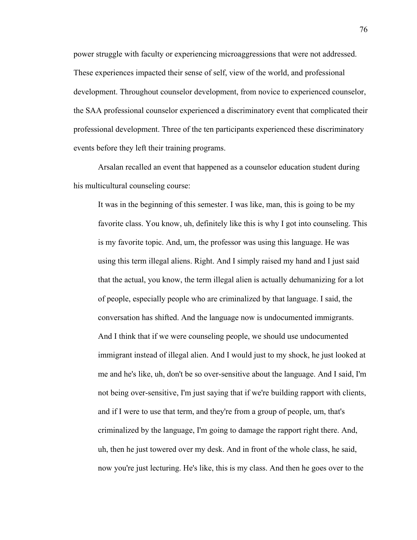power struggle with faculty or experiencing microaggressions that were not addressed. These experiences impacted their sense of self, view of the world, and professional development. Throughout counselor development, from novice to experienced counselor, the SAA professional counselor experienced a discriminatory event that complicated their professional development. Three of the ten participants experienced these discriminatory events before they left their training programs.

Arsalan recalled an event that happened as a counselor education student during his multicultural counseling course:

It was in the beginning of this semester. I was like, man, this is going to be my favorite class. You know, uh, definitely like this is why I got into counseling. This is my favorite topic. And, um, the professor was using this language. He was using this term illegal aliens. Right. And I simply raised my hand and I just said that the actual, you know, the term illegal alien is actually dehumanizing for a lot of people, especially people who are criminalized by that language. I said, the conversation has shifted. And the language now is undocumented immigrants. And I think that if we were counseling people, we should use undocumented immigrant instead of illegal alien. And I would just to my shock, he just looked at me and he's like, uh, don't be so over-sensitive about the language. And I said, I'm not being over-sensitive, I'm just saying that if we're building rapport with clients, and if I were to use that term, and they're from a group of people, um, that's criminalized by the language, I'm going to damage the rapport right there. And, uh, then he just towered over my desk. And in front of the whole class, he said, now you're just lecturing. He's like, this is my class. And then he goes over to the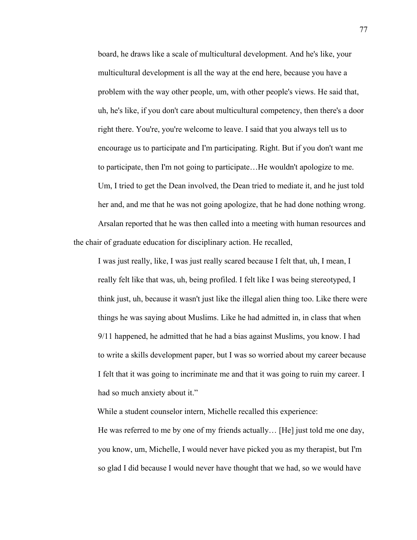board, he draws like a scale of multicultural development. And he's like, your multicultural development is all the way at the end here, because you have a problem with the way other people, um, with other people's views. He said that, uh, he's like, if you don't care about multicultural competency, then there's a door right there. You're, you're welcome to leave. I said that you always tell us to encourage us to participate and I'm participating. Right. But if you don't want me to participate, then I'm not going to participate…He wouldn't apologize to me. Um, I tried to get the Dean involved, the Dean tried to mediate it, and he just told her and, and me that he was not going apologize, that he had done nothing wrong. Arsalan reported that he was then called into a meeting with human resources and the chair of graduate education for disciplinary action. He recalled,

I was just really, like, I was just really scared because I felt that, uh, I mean, I really felt like that was, uh, being profiled. I felt like I was being stereotyped, I think just, uh, because it wasn't just like the illegal alien thing too. Like there were things he was saying about Muslims. Like he had admitted in, in class that when 9/11 happened, he admitted that he had a bias against Muslims, you know. I had to write a skills development paper, but I was so worried about my career because I felt that it was going to incriminate me and that it was going to ruin my career. I had so much anxiety about it."

While a student counselor intern, Michelle recalled this experience:

He was referred to me by one of my friends actually… [He] just told me one day, you know, um, Michelle, I would never have picked you as my therapist, but I'm so glad I did because I would never have thought that we had, so we would have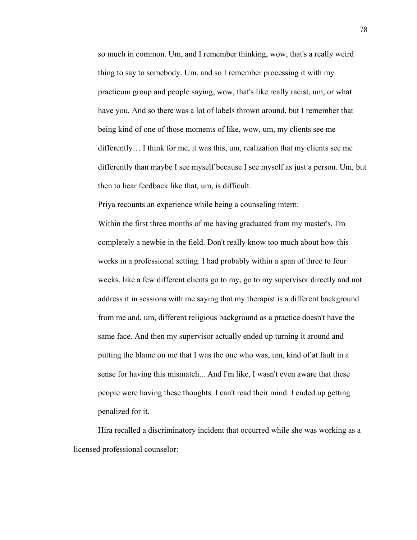so much in common. Um, and I remember thinking, wow, that's a really weird thing to say to somebody. Um, and so I remember processing it with my practicum group and people saying, wow, that's like really racist, um, or what have you. And so there was a lot of labels thrown around, but I remember that being kind of one of those moments of like, wow, um, my clients see me differently… I think for me, it was this, um, realization that my clients see me differently than maybe I see myself because I see myself as just a person. Um, but then to hear feedback like that, um, is difficult.

Priya recounts an experience while being a counseling intern: Within the first three months of me having graduated from my master's, I'm completely a newbie in the field. Don't really know too much about how this works in a professional setting. I had probably within a span of three to four weeks, like a few different clients go to my, go to my supervisor directly and not address it in sessions with me saying that my therapist is a different background from me and, um, different religious background as a practice doesn't have the same face. And then my supervisor actually ended up turning it around and putting the blame on me that I was the one who was, um, kind of at fault in a sense for having this mismatch... And I'm like, I wasn't even aware that these

people were having these thoughts. I can't read their mind. I ended up getting penalized for it.

Hira recalled a discriminatory incident that occurred while she was working as a licensed professional counselor: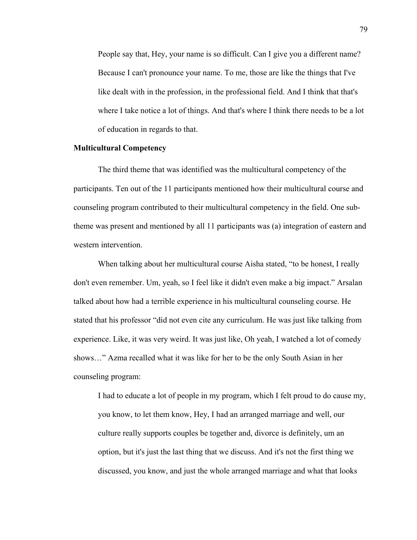People say that, Hey, your name is so difficult. Can I give you a different name? Because I can't pronounce your name. To me, those are like the things that I've like dealt with in the profession, in the professional field. And I think that that's where I take notice a lot of things. And that's where I think there needs to be a lot of education in regards to that.

## **Multicultural Competency**

The third theme that was identified was the multicultural competency of the participants. Ten out of the 11 participants mentioned how their multicultural course and counseling program contributed to their multicultural competency in the field. One subtheme was present and mentioned by all 11 participants was (a) integration of eastern and western intervention.

When talking about her multicultural course Aisha stated, "to be honest, I really don't even remember. Um, yeah, so I feel like it didn't even make a big impact." Arsalan talked about how had a terrible experience in his multicultural counseling course. He stated that his professor "did not even cite any curriculum. He was just like talking from experience. Like, it was very weird. It was just like, Oh yeah, I watched a lot of comedy shows…" Azma recalled what it was like for her to be the only South Asian in her counseling program:

I had to educate a lot of people in my program, which I felt proud to do cause my, you know, to let them know, Hey, I had an arranged marriage and well, our culture really supports couples be together and, divorce is definitely, um an option, but it's just the last thing that we discuss. And it's not the first thing we discussed, you know, and just the whole arranged marriage and what that looks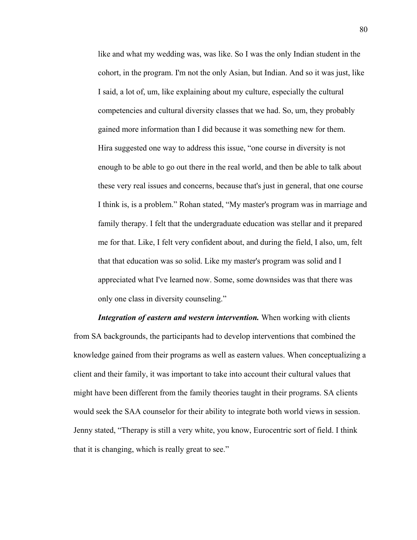like and what my wedding was, was like. So I was the only Indian student in the cohort, in the program. I'm not the only Asian, but Indian. And so it was just, like I said, a lot of, um, like explaining about my culture, especially the cultural competencies and cultural diversity classes that we had. So, um, they probably gained more information than I did because it was something new for them. Hira suggested one way to address this issue, "one course in diversity is not enough to be able to go out there in the real world, and then be able to talk about these very real issues and concerns, because that's just in general, that one course I think is, is a problem." Rohan stated, "My master's program was in marriage and family therapy. I felt that the undergraduate education was stellar and it prepared me for that. Like, I felt very confident about, and during the field, I also, um, felt that that education was so solid. Like my master's program was solid and I appreciated what I've learned now. Some, some downsides was that there was only one class in diversity counseling."

*Integration of eastern and western intervention.* When working with clients from SA backgrounds, the participants had to develop interventions that combined the knowledge gained from their programs as well as eastern values. When conceptualizing a client and their family, it was important to take into account their cultural values that might have been different from the family theories taught in their programs. SA clients would seek the SAA counselor for their ability to integrate both world views in session. Jenny stated, "Therapy is still a very white, you know, Eurocentric sort of field. I think that it is changing, which is really great to see."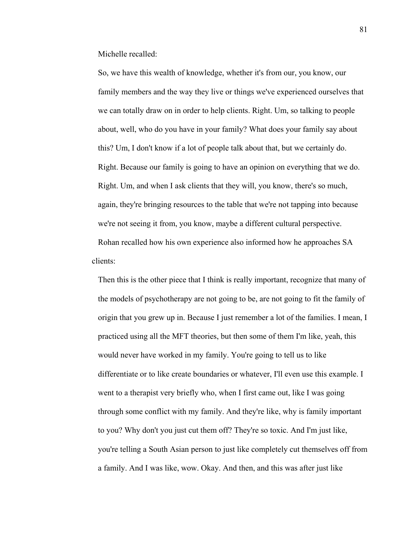Michelle recalled:

So, we have this wealth of knowledge, whether it's from our, you know, our family members and the way they live or things we've experienced ourselves that we can totally draw on in order to help clients. Right. Um, so talking to people about, well, who do you have in your family? What does your family say about this? Um, I don't know if a lot of people talk about that, but we certainly do. Right. Because our family is going to have an opinion on everything that we do. Right. Um, and when I ask clients that they will, you know, there's so much, again, they're bringing resources to the table that we're not tapping into because we're not seeing it from, you know, maybe a different cultural perspective. Rohan recalled how his own experience also informed how he approaches SA clients:

Then this is the other piece that I think is really important, recognize that many of the models of psychotherapy are not going to be, are not going to fit the family of origin that you grew up in. Because I just remember a lot of the families. I mean, I practiced using all the MFT theories, but then some of them I'm like, yeah, this would never have worked in my family. You're going to tell us to like differentiate or to like create boundaries or whatever, I'll even use this example. I went to a therapist very briefly who, when I first came out, like I was going through some conflict with my family. And they're like, why is family important to you? Why don't you just cut them off? They're so toxic. And I'm just like, you're telling a South Asian person to just like completely cut themselves off from a family. And I was like, wow. Okay. And then, and this was after just like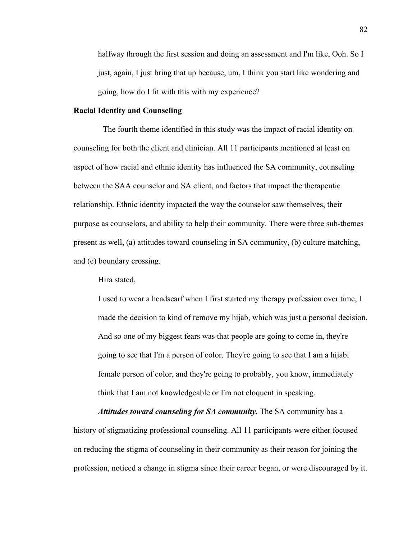halfway through the first session and doing an assessment and I'm like, Ooh. So I just, again, I just bring that up because, um, I think you start like wondering and going, how do I fit with this with my experience?

# **Racial Identity and Counseling**

 The fourth theme identified in this study was the impact of racial identity on counseling for both the client and clinician. All 11 participants mentioned at least on aspect of how racial and ethnic identity has influenced the SA community, counseling between the SAA counselor and SA client, and factors that impact the therapeutic relationship. Ethnic identity impacted the way the counselor saw themselves, their purpose as counselors, and ability to help their community. There were three sub-themes present as well, (a) attitudes toward counseling in SA community, (b) culture matching, and (c) boundary crossing.

Hira stated,

I used to wear a headscarf when I first started my therapy profession over time, I made the decision to kind of remove my hijab, which was just a personal decision. And so one of my biggest fears was that people are going to come in, they're going to see that I'm a person of color. They're going to see that I am a hijabi female person of color, and they're going to probably, you know, immediately think that I am not knowledgeable or I'm not eloquent in speaking.

*Attitudes toward counseling for SA community.* The SA community has a history of stigmatizing professional counseling. All 11 participants were either focused on reducing the stigma of counseling in their community as their reason for joining the profession, noticed a change in stigma since their career began, or were discouraged by it.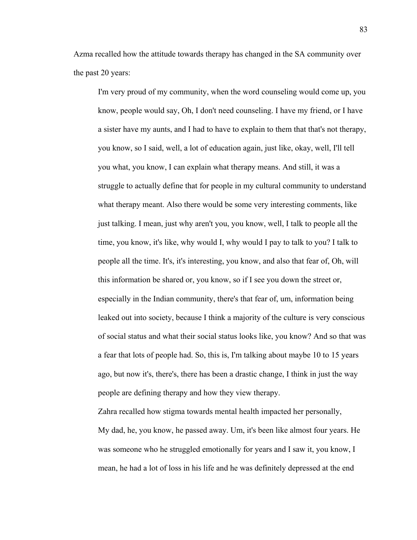Azma recalled how the attitude towards therapy has changed in the SA community over the past 20 years:

I'm very proud of my community, when the word counseling would come up, you know, people would say, Oh, I don't need counseling. I have my friend, or I have a sister have my aunts, and I had to have to explain to them that that's not therapy, you know, so I said, well, a lot of education again, just like, okay, well, I'll tell you what, you know, I can explain what therapy means. And still, it was a struggle to actually define that for people in my cultural community to understand what therapy meant. Also there would be some very interesting comments, like just talking. I mean, just why aren't you, you know, well, I talk to people all the time, you know, it's like, why would I, why would I pay to talk to you? I talk to people all the time. It's, it's interesting, you know, and also that fear of, Oh, will this information be shared or, you know, so if I see you down the street or, especially in the Indian community, there's that fear of, um, information being leaked out into society, because I think a majority of the culture is very conscious of social status and what their social status looks like, you know? And so that was a fear that lots of people had. So, this is, I'm talking about maybe 10 to 15 years ago, but now it's, there's, there has been a drastic change, I think in just the way people are defining therapy and how they view therapy.

Zahra recalled how stigma towards mental health impacted her personally, My dad, he, you know, he passed away. Um, it's been like almost four years. He was someone who he struggled emotionally for years and I saw it, you know, I mean, he had a lot of loss in his life and he was definitely depressed at the end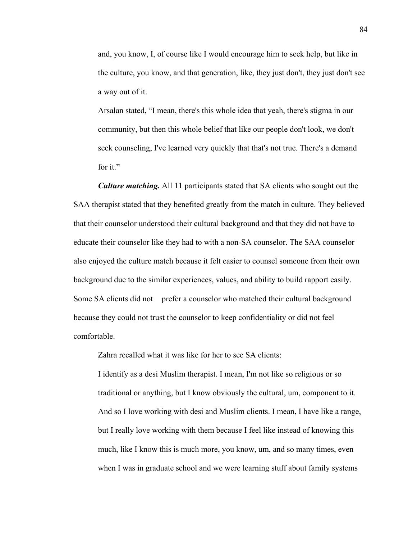and, you know, I, of course like I would encourage him to seek help, but like in the culture, you know, and that generation, like, they just don't, they just don't see a way out of it.

Arsalan stated, "I mean, there's this whole idea that yeah, there's stigma in our community, but then this whole belief that like our people don't look, we don't seek counseling, I've learned very quickly that that's not true. There's a demand for it."

*Culture matching.* All 11 participants stated that SA clients who sought out the SAA therapist stated that they benefited greatly from the match in culture. They believed that their counselor understood their cultural background and that they did not have to educate their counselor like they had to with a non-SA counselor. The SAA counselor also enjoyed the culture match because it felt easier to counsel someone from their own background due to the similar experiences, values, and ability to build rapport easily. Some SA clients did not prefer a counselor who matched their cultural background because they could not trust the counselor to keep confidentiality or did not feel comfortable.

Zahra recalled what it was like for her to see SA clients:

I identify as a desi Muslim therapist. I mean, I'm not like so religious or so traditional or anything, but I know obviously the cultural, um, component to it. And so I love working with desi and Muslim clients. I mean, I have like a range, but I really love working with them because I feel like instead of knowing this much, like I know this is much more, you know, um, and so many times, even when I was in graduate school and we were learning stuff about family systems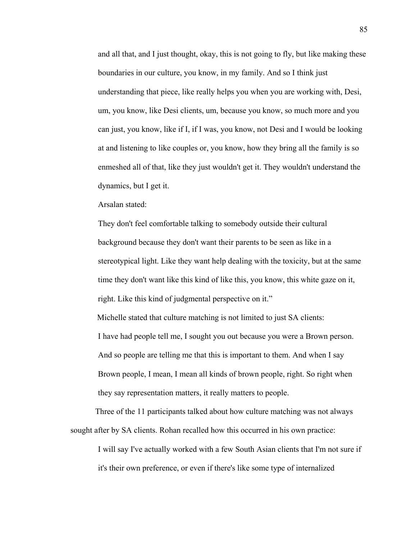and all that, and I just thought, okay, this is not going to fly, but like making these boundaries in our culture, you know, in my family. And so I think just understanding that piece, like really helps you when you are working with, Desi, um, you know, like Desi clients, um, because you know, so much more and you can just, you know, like if I, if I was, you know, not Desi and I would be looking at and listening to like couples or, you know, how they bring all the family is so enmeshed all of that, like they just wouldn't get it. They wouldn't understand the dynamics, but I get it.

Arsalan stated:

They don't feel comfortable talking to somebody outside their cultural background because they don't want their parents to be seen as like in a stereotypical light. Like they want help dealing with the toxicity, but at the same time they don't want like this kind of like this, you know, this white gaze on it, right. Like this kind of judgmental perspective on it."

 Michelle stated that culture matching is not limited to just SA clients: I have had people tell me, I sought you out because you were a Brown person. And so people are telling me that this is important to them. And when I say Brown people, I mean, I mean all kinds of brown people, right. So right when they say representation matters, it really matters to people.

 Three of the 11 participants talked about how culture matching was not always sought after by SA clients. Rohan recalled how this occurred in his own practice: I will say I've actually worked with a few South Asian clients that I'm not sure if

it's their own preference, or even if there's like some type of internalized

85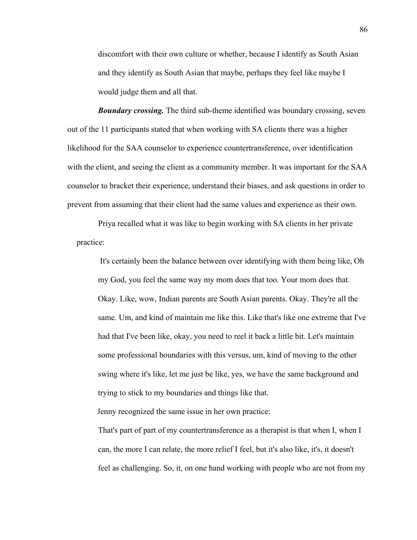discomfort with their own culture or whether, because I identify as South Asian and they identify as South Asian that maybe, perhaps they feel like maybe I would judge them and all that.

*Boundary crossing.* The third sub-theme identified was boundary crossing, seven out of the 11 participants stated that when working with SA clients there was a higher likelihood for the SAA counselor to experience countertransference, over identification with the client, and seeing the client as a community member. It was important for the SAA counselor to bracket their experience, understand their biases, and ask questions in order to prevent from assuming that their client had the same values and experience as their own.

 Priya recalled what it was like to begin working with SA clients in her private practice:

It's certainly been the balance between over identifying with them being like, Oh my God, you feel the same way my mom does that too. Your mom does that. Okay. Like, wow, Indian parents are South Asian parents. Okay. They're all the same. Um, and kind of maintain me like this. Like that's like one extreme that I've had that I've been like, okay, you need to reel it back a little bit. Let's maintain some professional boundaries with this versus, um, kind of moving to the other swing where it's like, let me just be like, yes, we have the same background and trying to stick to my boundaries and things like that.

Jenny recognized the same issue in her own practice:

That's part of part of my countertransference as a therapist is that when I, when I can, the more I can relate, the more relief I feel, but it's also like, it's, it doesn't feel as challenging. So, it, on one hand working with people who are not from my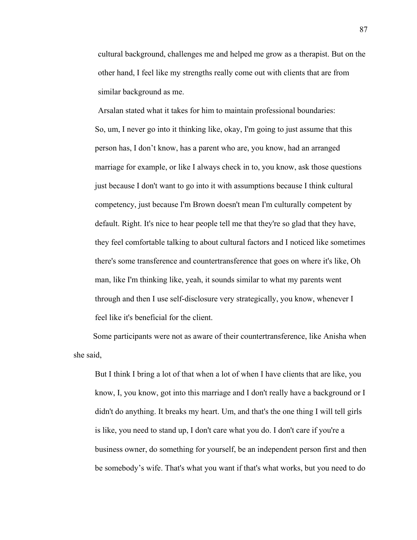cultural background, challenges me and helped me grow as a therapist. But on the other hand, I feel like my strengths really come out with clients that are from similar background as me.

Arsalan stated what it takes for him to maintain professional boundaries: So, um, I never go into it thinking like, okay, I'm going to just assume that this person has, I don't know, has a parent who are, you know, had an arranged marriage for example, or like I always check in to, you know, ask those questions just because I don't want to go into it with assumptions because I think cultural competency, just because I'm Brown doesn't mean I'm culturally competent by default. Right. It's nice to hear people tell me that they're so glad that they have, they feel comfortable talking to about cultural factors and I noticed like sometimes there's some transference and countertransference that goes on where it's like, Oh man, like I'm thinking like, yeah, it sounds similar to what my parents went through and then I use self-disclosure very strategically, you know, whenever I feel like it's beneficial for the client.

 Some participants were not as aware of their countertransference, like Anisha when she said,

But I think I bring a lot of that when a lot of when I have clients that are like, you know, I, you know, got into this marriage and I don't really have a background or I didn't do anything. It breaks my heart. Um, and that's the one thing I will tell girls is like, you need to stand up, I don't care what you do. I don't care if you're a business owner, do something for yourself, be an independent person first and then be somebody's wife. That's what you want if that's what works, but you need to do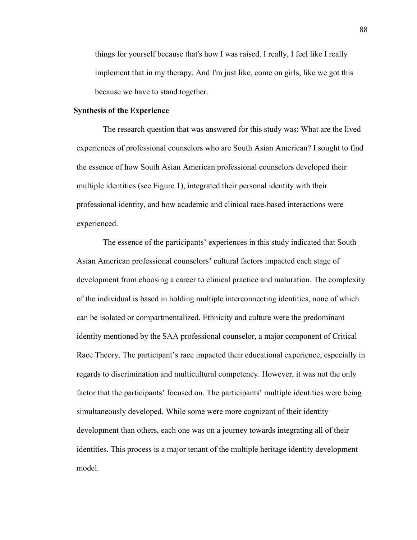things for yourself because that's how I was raised. I really, I feel like I really implement that in my therapy. And I'm just like, come on girls, like we got this because we have to stand together.

### **Synthesis of the Experience**

The research question that was answered for this study was: What are the lived experiences of professional counselors who are South Asian American? I sought to find the essence of how South Asian American professional counselors developed their multiple identities (see Figure 1), integrated their personal identity with their professional identity, and how academic and clinical race-based interactions were experienced.

 The essence of the participants' experiences in this study indicated that South Asian American professional counselors' cultural factors impacted each stage of development from choosing a career to clinical practice and maturation. The complexity of the individual is based in holding multiple interconnecting identities, none of which can be isolated or compartmentalized. Ethnicity and culture were the predominant identity mentioned by the SAA professional counselor, a major component of Critical Race Theory. The participant's race impacted their educational experience, especially in regards to discrimination and multicultural competency. However, it was not the only factor that the participants' focused on. The participants' multiple identities were being simultaneously developed. While some were more cognizant of their identity development than others, each one was on a journey towards integrating all of their identities. This process is a major tenant of the multiple heritage identity development model.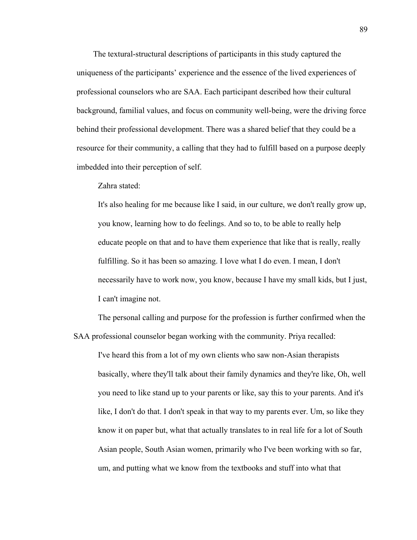The textural-structural descriptions of participants in this study captured the uniqueness of the participants' experience and the essence of the lived experiences of professional counselors who are SAA. Each participant described how their cultural background, familial values, and focus on community well-being, were the driving force behind their professional development. There was a shared belief that they could be a resource for their community, a calling that they had to fulfill based on a purpose deeply imbedded into their perception of self.

## Zahra stated:

It's also healing for me because like I said, in our culture, we don't really grow up, you know, learning how to do feelings. And so to, to be able to really help educate people on that and to have them experience that like that is really, really fulfilling. So it has been so amazing. I love what I do even. I mean, I don't necessarily have to work now, you know, because I have my small kids, but I just, I can't imagine not.

The personal calling and purpose for the profession is further confirmed when the SAA professional counselor began working with the community. Priya recalled:

I've heard this from a lot of my own clients who saw non-Asian therapists basically, where they'll talk about their family dynamics and they're like, Oh, well you need to like stand up to your parents or like, say this to your parents. And it's like, I don't do that. I don't speak in that way to my parents ever. Um, so like they know it on paper but, what that actually translates to in real life for a lot of South Asian people, South Asian women, primarily who I've been working with so far, um, and putting what we know from the textbooks and stuff into what that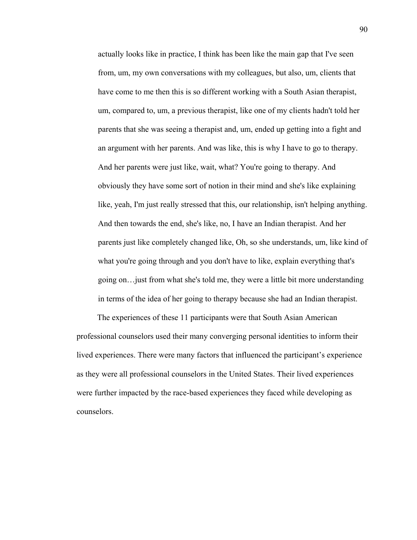actually looks like in practice, I think has been like the main gap that I've seen from, um, my own conversations with my colleagues, but also, um, clients that have come to me then this is so different working with a South Asian therapist, um, compared to, um, a previous therapist, like one of my clients hadn't told her parents that she was seeing a therapist and, um, ended up getting into a fight and an argument with her parents. And was like, this is why I have to go to therapy. And her parents were just like, wait, what? You're going to therapy. And obviously they have some sort of notion in their mind and she's like explaining like, yeah, I'm just really stressed that this, our relationship, isn't helping anything. And then towards the end, she's like, no, I have an Indian therapist. And her parents just like completely changed like, Oh, so she understands, um, like kind of what you're going through and you don't have to like, explain everything that's going on…just from what she's told me, they were a little bit more understanding in terms of the idea of her going to therapy because she had an Indian therapist.

 The experiences of these 11 participants were that South Asian American professional counselors used their many converging personal identities to inform their lived experiences. There were many factors that influenced the participant's experience as they were all professional counselors in the United States. Their lived experiences were further impacted by the race-based experiences they faced while developing as counselors.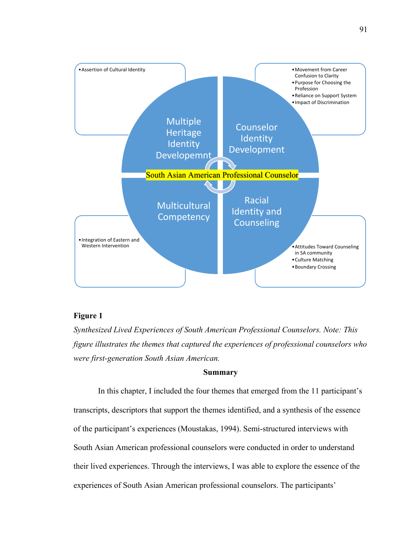

# **Figure 1**

*Synthesized Lived Experiences of South American Professional Counselors. Note: This figure illustrates the themes that captured the experiences of professional counselors who were first-generation South Asian American.* 

### **Summary**

In this chapter, I included the four themes that emerged from the 11 participant's transcripts, descriptors that support the themes identified, and a synthesis of the essence of the participant's experiences (Moustakas, 1994). Semi-structured interviews with South Asian American professional counselors were conducted in order to understand their lived experiences. Through the interviews, I was able to explore the essence of the experiences of South Asian American professional counselors. The participants'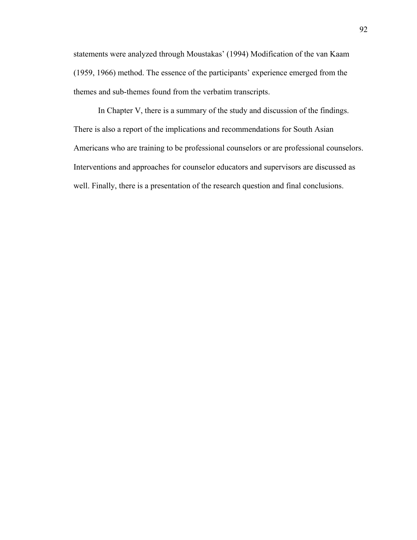statements were analyzed through Moustakas' (1994) Modification of the van Kaam (1959, 1966) method. The essence of the participants' experience emerged from the themes and sub-themes found from the verbatim transcripts.

In Chapter V, there is a summary of the study and discussion of the findings. There is also a report of the implications and recommendations for South Asian Americans who are training to be professional counselors or are professional counselors. Interventions and approaches for counselor educators and supervisors are discussed as well. Finally, there is a presentation of the research question and final conclusions.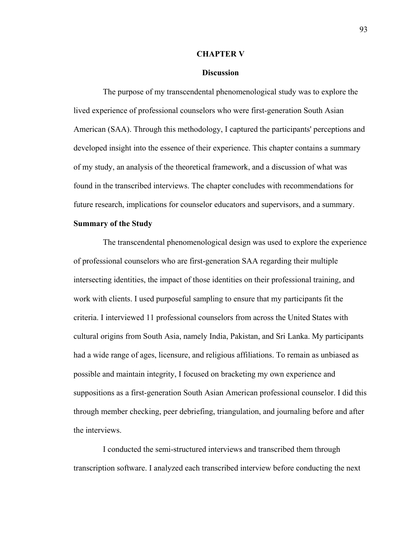#### **CHAPTER V**

### **Discussion**

The purpose of my transcendental phenomenological study was to explore the lived experience of professional counselors who were first-generation South Asian American (SAA). Through this methodology, I captured the participants' perceptions and developed insight into the essence of their experience. This chapter contains a summary of my study, an analysis of the theoretical framework, and a discussion of what was found in the transcribed interviews. The chapter concludes with recommendations for future research, implications for counselor educators and supervisors, and a summary.

#### **Summary of the Study**

The transcendental phenomenological design was used to explore the experience of professional counselors who are first-generation SAA regarding their multiple intersecting identities, the impact of those identities on their professional training, and work with clients. I used purposeful sampling to ensure that my participants fit the criteria. I interviewed 11 professional counselors from across the United States with cultural origins from South Asia, namely India, Pakistan, and Sri Lanka. My participants had a wide range of ages, licensure, and religious affiliations. To remain as unbiased as possible and maintain integrity, I focused on bracketing my own experience and suppositions as a first-generation South Asian American professional counselor. I did this through member checking, peer debriefing, triangulation, and journaling before and after the interviews.

 I conducted the semi-structured interviews and transcribed them through transcription software. I analyzed each transcribed interview before conducting the next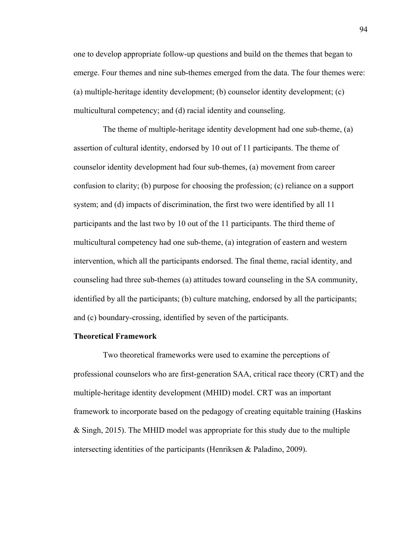one to develop appropriate follow-up questions and build on the themes that began to emerge. Four themes and nine sub-themes emerged from the data. The four themes were: (a) multiple-heritage identity development; (b) counselor identity development; (c) multicultural competency; and (d) racial identity and counseling.

The theme of multiple-heritage identity development had one sub-theme, (a) assertion of cultural identity, endorsed by 10 out of 11 participants. The theme of counselor identity development had four sub-themes, (a) movement from career confusion to clarity; (b) purpose for choosing the profession; (c) reliance on a support system; and (d) impacts of discrimination, the first two were identified by all 11 participants and the last two by 10 out of the 11 participants. The third theme of multicultural competency had one sub-theme, (a) integration of eastern and western intervention, which all the participants endorsed. The final theme, racial identity, and counseling had three sub-themes (a) attitudes toward counseling in the SA community, identified by all the participants; (b) culture matching, endorsed by all the participants; and (c) boundary-crossing, identified by seven of the participants.

### **Theoretical Framework**

Two theoretical frameworks were used to examine the perceptions of professional counselors who are first-generation SAA, critical race theory (CRT) and the multiple-heritage identity development (MHID) model. CRT was an important framework to incorporate based on the pedagogy of creating equitable training (Haskins & Singh, 2015). The MHID model was appropriate for this study due to the multiple intersecting identities of the participants (Henriksen & Paladino, 2009).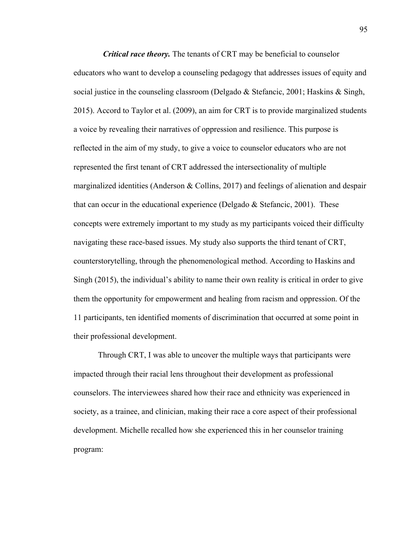*Critical race theory.* The tenants of CRT may be beneficial to counselor educators who want to develop a counseling pedagogy that addresses issues of equity and social justice in the counseling classroom (Delgado & Stefancic, 2001; Haskins & Singh, 2015). Accord to Taylor et al. (2009), an aim for CRT is to provide marginalized students a voice by revealing their narratives of oppression and resilience. This purpose is reflected in the aim of my study, to give a voice to counselor educators who are not represented the first tenant of CRT addressed the intersectionality of multiple marginalized identities (Anderson & Collins, 2017) and feelings of alienation and despair that can occur in the educational experience (Delgado  $&$  Stefancic, 2001). These concepts were extremely important to my study as my participants voiced their difficulty navigating these race-based issues. My study also supports the third tenant of CRT, counterstorytelling, through the phenomenological method. According to Haskins and Singh (2015), the individual's ability to name their own reality is critical in order to give them the opportunity for empowerment and healing from racism and oppression. Of the 11 participants, ten identified moments of discrimination that occurred at some point in their professional development.

Through CRT, I was able to uncover the multiple ways that participants were impacted through their racial lens throughout their development as professional counselors. The interviewees shared how their race and ethnicity was experienced in society, as a trainee, and clinician, making their race a core aspect of their professional development. Michelle recalled how she experienced this in her counselor training program: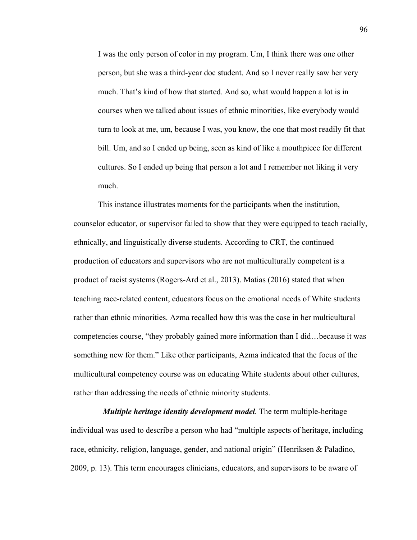I was the only person of color in my program. Um, I think there was one other person, but she was a third-year doc student. And so I never really saw her very much. That's kind of how that started. And so, what would happen a lot is in courses when we talked about issues of ethnic minorities, like everybody would turn to look at me, um, because I was, you know, the one that most readily fit that bill. Um, and so I ended up being, seen as kind of like a mouthpiece for different cultures. So I ended up being that person a lot and I remember not liking it very much.

This instance illustrates moments for the participants when the institution, counselor educator, or supervisor failed to show that they were equipped to teach racially, ethnically, and linguistically diverse students. According to CRT, the continued production of educators and supervisors who are not multiculturally competent is a product of racist systems (Rogers-Ard et al., 2013). Matias (2016) stated that when teaching race-related content, educators focus on the emotional needs of White students rather than ethnic minorities. Azma recalled how this was the case in her multicultural competencies course, "they probably gained more information than I did…because it was something new for them." Like other participants, Azma indicated that the focus of the multicultural competency course was on educating White students about other cultures, rather than addressing the needs of ethnic minority students.

*Multiple heritage identity development model.* The term multiple-heritage individual was used to describe a person who had "multiple aspects of heritage, including race, ethnicity, religion, language, gender, and national origin" (Henriksen & Paladino, 2009, p. 13). This term encourages clinicians, educators, and supervisors to be aware of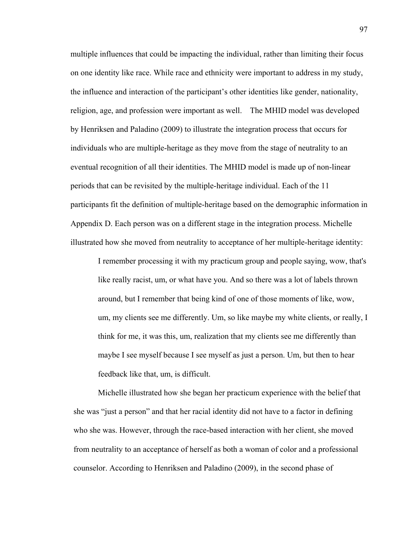multiple influences that could be impacting the individual, rather than limiting their focus on one identity like race. While race and ethnicity were important to address in my study, the influence and interaction of the participant's other identities like gender, nationality, religion, age, and profession were important as well. The MHID model was developed by Henriksen and Paladino (2009) to illustrate the integration process that occurs for individuals who are multiple-heritage as they move from the stage of neutrality to an eventual recognition of all their identities. The MHID model is made up of non-linear periods that can be revisited by the multiple-heritage individual. Each of the 11 participants fit the definition of multiple-heritage based on the demographic information in Appendix D. Each person was on a different stage in the integration process. Michelle illustrated how she moved from neutrality to acceptance of her multiple-heritage identity:

I remember processing it with my practicum group and people saying, wow, that's like really racist, um, or what have you. And so there was a lot of labels thrown around, but I remember that being kind of one of those moments of like, wow, um, my clients see me differently. Um, so like maybe my white clients, or really, I think for me, it was this, um, realization that my clients see me differently than maybe I see myself because I see myself as just a person. Um, but then to hear feedback like that, um, is difficult.

Michelle illustrated how she began her practicum experience with the belief that she was "just a person" and that her racial identity did not have to a factor in defining who she was. However, through the race-based interaction with her client, she moved from neutrality to an acceptance of herself as both a woman of color and a professional counselor. According to Henriksen and Paladino (2009), in the second phase of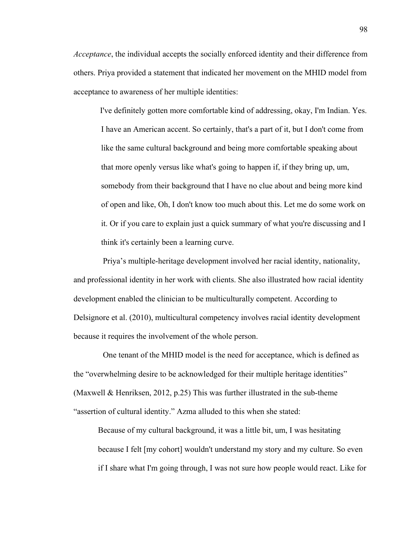*Acceptance*, the individual accepts the socially enforced identity and their difference from others. Priya provided a statement that indicated her movement on the MHID model from acceptance to awareness of her multiple identities:

 I've definitely gotten more comfortable kind of addressing, okay, I'm Indian. Yes. I have an American accent. So certainly, that's a part of it, but I don't come from like the same cultural background and being more comfortable speaking about that more openly versus like what's going to happen if, if they bring up, um, somebody from their background that I have no clue about and being more kind of open and like, Oh, I don't know too much about this. Let me do some work on it. Or if you care to explain just a quick summary of what you're discussing and I think it's certainly been a learning curve.

Priya's multiple-heritage development involved her racial identity, nationality, and professional identity in her work with clients. She also illustrated how racial identity development enabled the clinician to be multiculturally competent. According to Delsignore et al. (2010), multicultural competency involves racial identity development because it requires the involvement of the whole person.

One tenant of the MHID model is the need for acceptance, which is defined as the "overwhelming desire to be acknowledged for their multiple heritage identities" (Maxwell & Henriksen, 2012, p.25) This was further illustrated in the sub-theme "assertion of cultural identity." Azma alluded to this when she stated:

Because of my cultural background, it was a little bit, um, I was hesitating because I felt [my cohort] wouldn't understand my story and my culture. So even if I share what I'm going through, I was not sure how people would react. Like for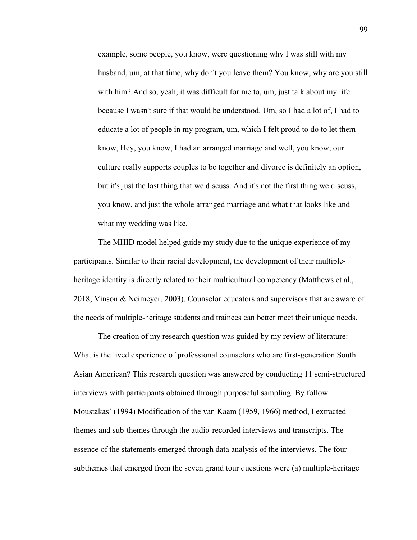example, some people, you know, were questioning why I was still with my husband, um, at that time, why don't you leave them? You know, why are you still with him? And so, yeah, it was difficult for me to, um, just talk about my life because I wasn't sure if that would be understood. Um, so I had a lot of, I had to educate a lot of people in my program, um, which I felt proud to do to let them know, Hey, you know, I had an arranged marriage and well, you know, our culture really supports couples to be together and divorce is definitely an option, but it's just the last thing that we discuss. And it's not the first thing we discuss, you know, and just the whole arranged marriage and what that looks like and what my wedding was like.

The MHID model helped guide my study due to the unique experience of my participants. Similar to their racial development, the development of their multipleheritage identity is directly related to their multicultural competency (Matthews et al., 2018; Vinson & Neimeyer, 2003). Counselor educators and supervisors that are aware of the needs of multiple-heritage students and trainees can better meet their unique needs.

The creation of my research question was guided by my review of literature: What is the lived experience of professional counselors who are first-generation South Asian American? This research question was answered by conducting 11 semi-structured interviews with participants obtained through purposeful sampling. By follow Moustakas' (1994) Modification of the van Kaam (1959, 1966) method, I extracted themes and sub-themes through the audio-recorded interviews and transcripts. The essence of the statements emerged through data analysis of the interviews. The four subthemes that emerged from the seven grand tour questions were (a) multiple-heritage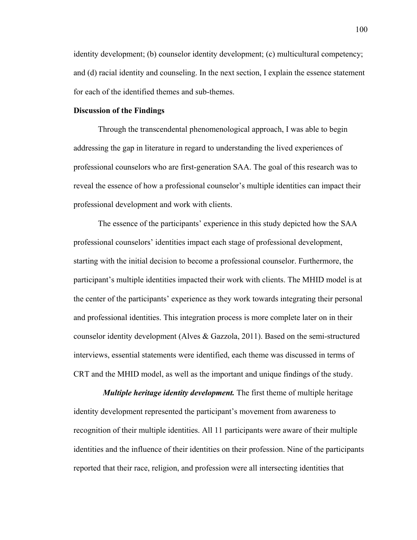identity development; (b) counselor identity development; (c) multicultural competency; and (d) racial identity and counseling. In the next section, I explain the essence statement for each of the identified themes and sub-themes.

## **Discussion of the Findings**

Through the transcendental phenomenological approach, I was able to begin addressing the gap in literature in regard to understanding the lived experiences of professional counselors who are first-generation SAA. The goal of this research was to reveal the essence of how a professional counselor's multiple identities can impact their professional development and work with clients.

The essence of the participants' experience in this study depicted how the SAA professional counselors' identities impact each stage of professional development, starting with the initial decision to become a professional counselor. Furthermore, the participant's multiple identities impacted their work with clients. The MHID model is at the center of the participants' experience as they work towards integrating their personal and professional identities. This integration process is more complete later on in their counselor identity development (Alves & Gazzola, 2011). Based on the semi-structured interviews, essential statements were identified, each theme was discussed in terms of CRT and the MHID model, as well as the important and unique findings of the study.

*Multiple heritage identity development.* The first theme of multiple heritage identity development represented the participant's movement from awareness to recognition of their multiple identities. All 11 participants were aware of their multiple identities and the influence of their identities on their profession. Nine of the participants reported that their race, religion, and profession were all intersecting identities that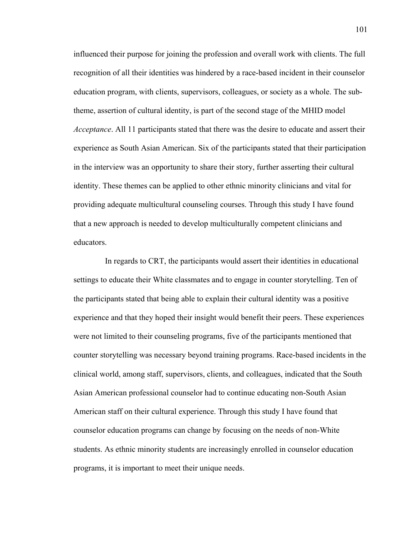influenced their purpose for joining the profession and overall work with clients. The full recognition of all their identities was hindered by a race-based incident in their counselor education program, with clients, supervisors, colleagues, or society as a whole. The subtheme, assertion of cultural identity, is part of the second stage of the MHID model *Acceptance*. All 11 participants stated that there was the desire to educate and assert their experience as South Asian American. Six of the participants stated that their participation in the interview was an opportunity to share their story, further asserting their cultural identity. These themes can be applied to other ethnic minority clinicians and vital for providing adequate multicultural counseling courses. Through this study I have found that a new approach is needed to develop multiculturally competent clinicians and educators.

 In regards to CRT, the participants would assert their identities in educational settings to educate their White classmates and to engage in counter storytelling. Ten of the participants stated that being able to explain their cultural identity was a positive experience and that they hoped their insight would benefit their peers. These experiences were not limited to their counseling programs, five of the participants mentioned that counter storytelling was necessary beyond training programs. Race-based incidents in the clinical world, among staff, supervisors, clients, and colleagues, indicated that the South Asian American professional counselor had to continue educating non-South Asian American staff on their cultural experience. Through this study I have found that counselor education programs can change by focusing on the needs of non-White students. As ethnic minority students are increasingly enrolled in counselor education programs, it is important to meet their unique needs.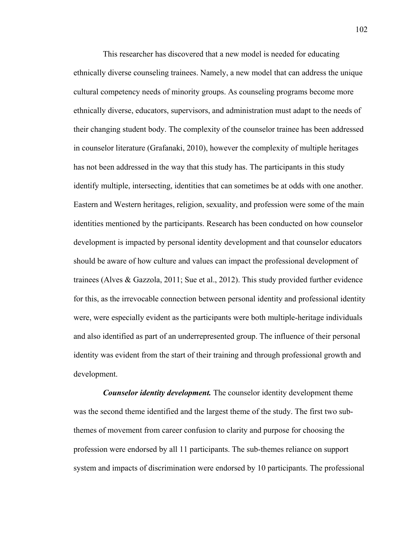This researcher has discovered that a new model is needed for educating ethnically diverse counseling trainees. Namely, a new model that can address the unique cultural competency needs of minority groups. As counseling programs become more ethnically diverse, educators, supervisors, and administration must adapt to the needs of their changing student body. The complexity of the counselor trainee has been addressed in counselor literature (Grafanaki, 2010), however the complexity of multiple heritages has not been addressed in the way that this study has. The participants in this study identify multiple, intersecting, identities that can sometimes be at odds with one another. Eastern and Western heritages, religion, sexuality, and profession were some of the main identities mentioned by the participants. Research has been conducted on how counselor development is impacted by personal identity development and that counselor educators should be aware of how culture and values can impact the professional development of trainees (Alves & Gazzola, 2011; Sue et al., 2012). This study provided further evidence for this, as the irrevocable connection between personal identity and professional identity were, were especially evident as the participants were both multiple-heritage individuals and also identified as part of an underrepresented group. The influence of their personal identity was evident from the start of their training and through professional growth and development.

*Counselor identity development.* The counselor identity development theme was the second theme identified and the largest theme of the study. The first two subthemes of movement from career confusion to clarity and purpose for choosing the profession were endorsed by all 11 participants. The sub-themes reliance on support system and impacts of discrimination were endorsed by 10 participants. The professional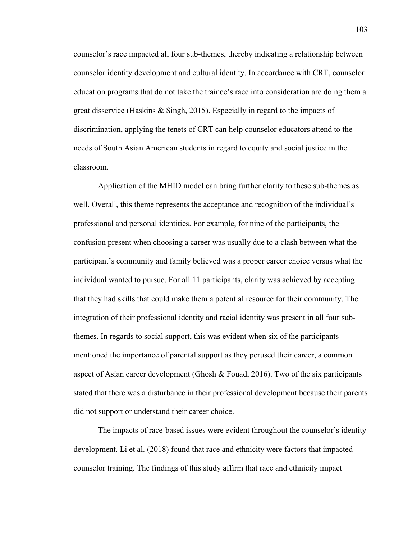counselor's race impacted all four sub-themes, thereby indicating a relationship between counselor identity development and cultural identity. In accordance with CRT, counselor education programs that do not take the trainee's race into consideration are doing them a great disservice (Haskins & Singh, 2015). Especially in regard to the impacts of discrimination, applying the tenets of CRT can help counselor educators attend to the needs of South Asian American students in regard to equity and social justice in the classroom.

Application of the MHID model can bring further clarity to these sub-themes as well. Overall, this theme represents the acceptance and recognition of the individual's professional and personal identities. For example, for nine of the participants, the confusion present when choosing a career was usually due to a clash between what the participant's community and family believed was a proper career choice versus what the individual wanted to pursue. For all 11 participants, clarity was achieved by accepting that they had skills that could make them a potential resource for their community. The integration of their professional identity and racial identity was present in all four subthemes. In regards to social support, this was evident when six of the participants mentioned the importance of parental support as they perused their career, a common aspect of Asian career development (Ghosh & Fouad, 2016). Two of the six participants stated that there was a disturbance in their professional development because their parents did not support or understand their career choice.

The impacts of race-based issues were evident throughout the counselor's identity development. Li et al. (2018) found that race and ethnicity were factors that impacted counselor training. The findings of this study affirm that race and ethnicity impact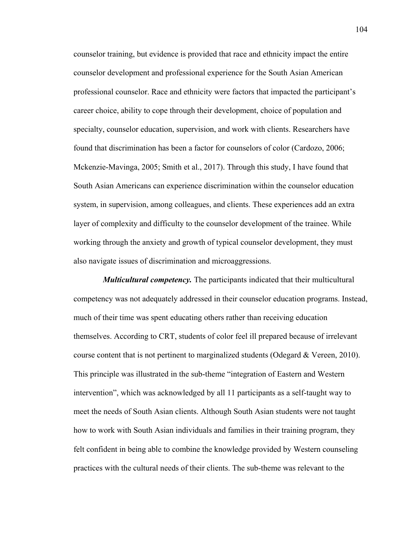counselor training, but evidence is provided that race and ethnicity impact the entire counselor development and professional experience for the South Asian American professional counselor. Race and ethnicity were factors that impacted the participant's career choice, ability to cope through their development, choice of population and specialty, counselor education, supervision, and work with clients. Researchers have found that discrimination has been a factor for counselors of color (Cardozo, 2006; Mckenzie-Mavinga, 2005; Smith et al., 2017). Through this study, I have found that South Asian Americans can experience discrimination within the counselor education system, in supervision, among colleagues, and clients. These experiences add an extra layer of complexity and difficulty to the counselor development of the trainee. While working through the anxiety and growth of typical counselor development, they must also navigate issues of discrimination and microaggressions.

*Multicultural competency.* The participants indicated that their multicultural competency was not adequately addressed in their counselor education programs. Instead, much of their time was spent educating others rather than receiving education themselves. According to CRT, students of color feel ill prepared because of irrelevant course content that is not pertinent to marginalized students (Odegard & Vereen, 2010). This principle was illustrated in the sub-theme "integration of Eastern and Western intervention", which was acknowledged by all 11 participants as a self-taught way to meet the needs of South Asian clients. Although South Asian students were not taught how to work with South Asian individuals and families in their training program, they felt confident in being able to combine the knowledge provided by Western counseling practices with the cultural needs of their clients. The sub-theme was relevant to the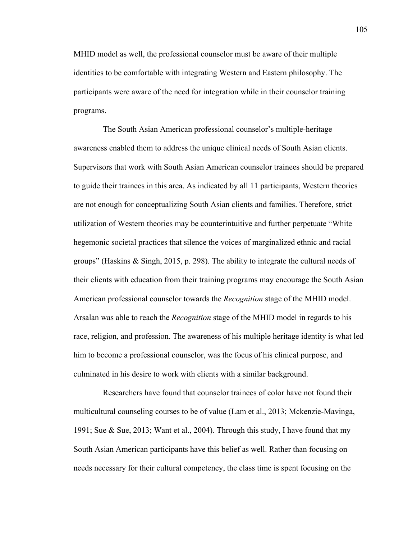MHID model as well, the professional counselor must be aware of their multiple identities to be comfortable with integrating Western and Eastern philosophy. The participants were aware of the need for integration while in their counselor training programs.

 The South Asian American professional counselor's multiple-heritage awareness enabled them to address the unique clinical needs of South Asian clients. Supervisors that work with South Asian American counselor trainees should be prepared to guide their trainees in this area. As indicated by all 11 participants, Western theories are not enough for conceptualizing South Asian clients and families. Therefore, strict utilization of Western theories may be counterintuitive and further perpetuate "White hegemonic societal practices that silence the voices of marginalized ethnic and racial groups" (Haskins & Singh, 2015, p. 298). The ability to integrate the cultural needs of their clients with education from their training programs may encourage the South Asian American professional counselor towards the *Recognition* stage of the MHID model. Arsalan was able to reach the *Recognition* stage of the MHID model in regards to his race, religion, and profession. The awareness of his multiple heritage identity is what led him to become a professional counselor, was the focus of his clinical purpose, and culminated in his desire to work with clients with a similar background.

 Researchers have found that counselor trainees of color have not found their multicultural counseling courses to be of value (Lam et al., 2013; Mckenzie-Mavinga, 1991; Sue & Sue, 2013; Want et al., 2004). Through this study, I have found that my South Asian American participants have this belief as well. Rather than focusing on needs necessary for their cultural competency, the class time is spent focusing on the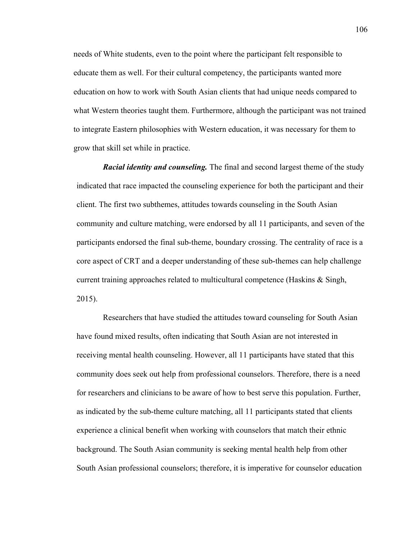needs of White students, even to the point where the participant felt responsible to educate them as well. For their cultural competency, the participants wanted more education on how to work with South Asian clients that had unique needs compared to what Western theories taught them. Furthermore, although the participant was not trained to integrate Eastern philosophies with Western education, it was necessary for them to grow that skill set while in practice.

*Racial identity and counseling.* The final and second largest theme of the study indicated that race impacted the counseling experience for both the participant and their client. The first two subthemes, attitudes towards counseling in the South Asian community and culture matching, were endorsed by all 11 participants, and seven of the participants endorsed the final sub-theme, boundary crossing. The centrality of race is a core aspect of CRT and a deeper understanding of these sub-themes can help challenge current training approaches related to multicultural competence (Haskins & Singh, 2015).

Researchers that have studied the attitudes toward counseling for South Asian have found mixed results, often indicating that South Asian are not interested in receiving mental health counseling. However, all 11 participants have stated that this community does seek out help from professional counselors. Therefore, there is a need for researchers and clinicians to be aware of how to best serve this population. Further, as indicated by the sub-theme culture matching, all 11 participants stated that clients experience a clinical benefit when working with counselors that match their ethnic background. The South Asian community is seeking mental health help from other South Asian professional counselors; therefore, it is imperative for counselor education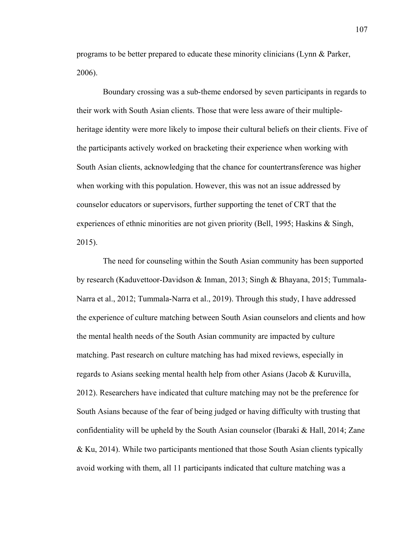programs to be better prepared to educate these minority clinicians (Lynn & Parker, 2006).

 Boundary crossing was a sub-theme endorsed by seven participants in regards to their work with South Asian clients. Those that were less aware of their multipleheritage identity were more likely to impose their cultural beliefs on their clients. Five of the participants actively worked on bracketing their experience when working with South Asian clients, acknowledging that the chance for countertransference was higher when working with this population. However, this was not an issue addressed by counselor educators or supervisors, further supporting the tenet of CRT that the experiences of ethnic minorities are not given priority (Bell, 1995; Haskins & Singh, 2015).

 The need for counseling within the South Asian community has been supported by research (Kaduvettoor-Davidson & Inman, 2013; Singh & Bhayana, 2015; Tummala-Narra et al., 2012; Tummala-Narra et al., 2019). Through this study, I have addressed the experience of culture matching between South Asian counselors and clients and how the mental health needs of the South Asian community are impacted by culture matching. Past research on culture matching has had mixed reviews, especially in regards to Asians seeking mental health help from other Asians (Jacob & Kuruvilla, 2012). Researchers have indicated that culture matching may not be the preference for South Asians because of the fear of being judged or having difficulty with trusting that confidentiality will be upheld by the South Asian counselor (Ibaraki & Hall, 2014; Zane & Ku, 2014). While two participants mentioned that those South Asian clients typically avoid working with them, all 11 participants indicated that culture matching was a

107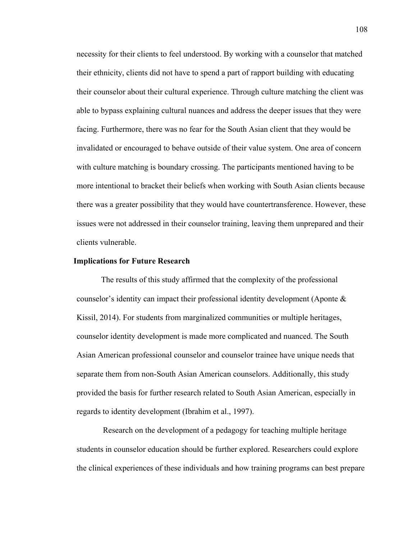necessity for their clients to feel understood. By working with a counselor that matched their ethnicity, clients did not have to spend a part of rapport building with educating their counselor about their cultural experience. Through culture matching the client was able to bypass explaining cultural nuances and address the deeper issues that they were facing. Furthermore, there was no fear for the South Asian client that they would be invalidated or encouraged to behave outside of their value system. One area of concern with culture matching is boundary crossing. The participants mentioned having to be more intentional to bracket their beliefs when working with South Asian clients because there was a greater possibility that they would have countertransference. However, these issues were not addressed in their counselor training, leaving them unprepared and their clients vulnerable.

#### **Implications for Future Research**

The results of this study affirmed that the complexity of the professional counselor's identity can impact their professional identity development (Aponte & Kissil, 2014). For students from marginalized communities or multiple heritages, counselor identity development is made more complicated and nuanced. The South Asian American professional counselor and counselor trainee have unique needs that separate them from non-South Asian American counselors. Additionally, this study provided the basis for further research related to South Asian American, especially in regards to identity development (Ibrahim et al., 1997).

 Research on the development of a pedagogy for teaching multiple heritage students in counselor education should be further explored. Researchers could explore the clinical experiences of these individuals and how training programs can best prepare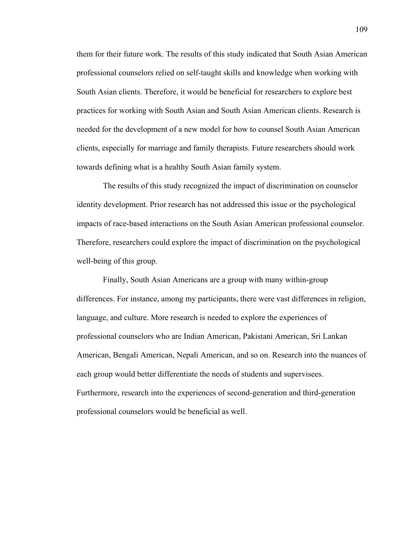them for their future work. The results of this study indicated that South Asian American professional counselors relied on self-taught skills and knowledge when working with South Asian clients. Therefore, it would be beneficial for researchers to explore best practices for working with South Asian and South Asian American clients. Research is needed for the development of a new model for how to counsel South Asian American clients, especially for marriage and family therapists. Future researchers should work towards defining what is a healthy South Asian family system.

 The results of this study recognized the impact of discrimination on counselor identity development. Prior research has not addressed this issue or the psychological impacts of race-based interactions on the South Asian American professional counselor. Therefore, researchers could explore the impact of discrimination on the psychological well-being of this group.

 Finally, South Asian Americans are a group with many within-group differences. For instance, among my participants, there were vast differences in religion, language, and culture. More research is needed to explore the experiences of professional counselors who are Indian American, Pakistani American, Sri Lankan American, Bengali American, Nepali American, and so on. Research into the nuances of each group would better differentiate the needs of students and supervisees. Furthermore, research into the experiences of second-generation and third-generation professional counselors would be beneficial as well.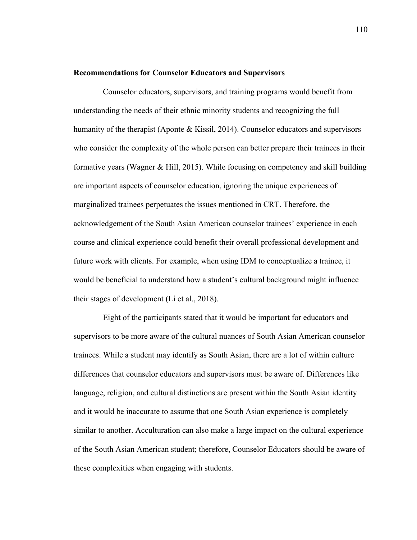# **Recommendations for Counselor Educators and Supervisors**

 Counselor educators, supervisors, and training programs would benefit from understanding the needs of their ethnic minority students and recognizing the full humanity of the therapist (Aponte & Kissil, 2014). Counselor educators and supervisors who consider the complexity of the whole person can better prepare their trainees in their formative years (Wagner & Hill, 2015). While focusing on competency and skill building are important aspects of counselor education, ignoring the unique experiences of marginalized trainees perpetuates the issues mentioned in CRT. Therefore, the acknowledgement of the South Asian American counselor trainees' experience in each course and clinical experience could benefit their overall professional development and future work with clients. For example, when using IDM to conceptualize a trainee, it would be beneficial to understand how a student's cultural background might influence their stages of development (Li et al., 2018).

 Eight of the participants stated that it would be important for educators and supervisors to be more aware of the cultural nuances of South Asian American counselor trainees. While a student may identify as South Asian, there are a lot of within culture differences that counselor educators and supervisors must be aware of. Differences like language, religion, and cultural distinctions are present within the South Asian identity and it would be inaccurate to assume that one South Asian experience is completely similar to another. Acculturation can also make a large impact on the cultural experience of the South Asian American student; therefore, Counselor Educators should be aware of these complexities when engaging with students.

110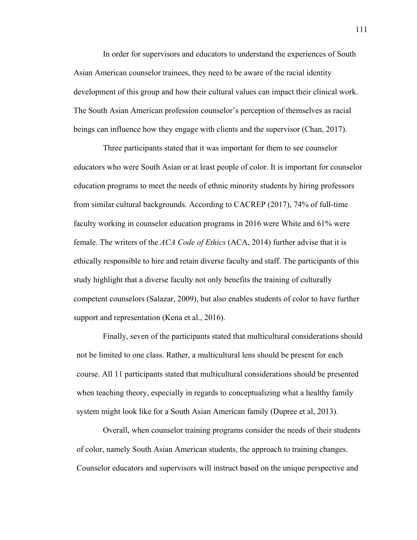In order for supervisors and educators to understand the experiences of South Asian American counselor trainees, they need to be aware of the racial identity development of this group and how their cultural values can impact their clinical work. The South Asian American profession counselor's perception of themselves as racial beings can influence how they engage with clients and the supervisor (Chan, 2017).

Three participants stated that it was important for them to see counselor educators who were South Asian or at least people of color. It is important for counselor education programs to meet the needs of ethnic minority students by hiring professors from similar cultural backgrounds. According to CACREP (2017), 74% of full-time faculty working in counselor education programs in 2016 were White and 61% were female. The writers of the *ACA Code of Ethics* (ACA, 2014) further advise that it is ethically responsible to hire and retain diverse faculty and staff. The participants of this study highlight that a diverse faculty not only benefits the training of culturally competent counselors (Salazar, 2009), but also enables students of color to have further support and representation (Kena et al., 2016).

Finally, seven of the participants stated that multicultural considerations should not be limited to one class. Rather, a multicultural lens should be present for each course. All 11 participants stated that multicultural considerations should be presented when teaching theory, especially in regards to conceptualizing what a healthy family system might look like for a South Asian American family (Dupree et al, 2013).

 Overall, when counselor training programs consider the needs of their students of color, namely South Asian American students, the approach to training changes. Counselor educators and supervisors will instruct based on the unique perspective and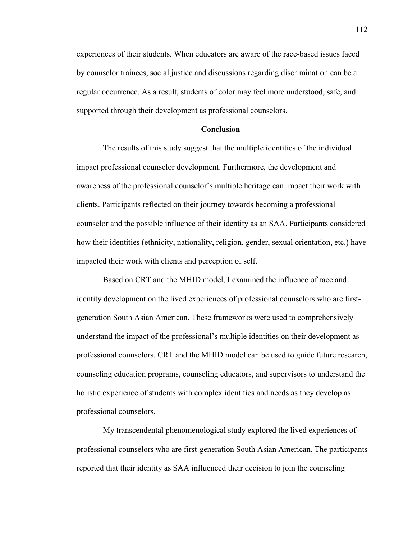experiences of their students. When educators are aware of the race-based issues faced by counselor trainees, social justice and discussions regarding discrimination can be a regular occurrence. As a result, students of color may feel more understood, safe, and supported through their development as professional counselors.

# **Conclusion**

The results of this study suggest that the multiple identities of the individual impact professional counselor development. Furthermore, the development and awareness of the professional counselor's multiple heritage can impact their work with clients. Participants reflected on their journey towards becoming a professional counselor and the possible influence of their identity as an SAA. Participants considered how their identities (ethnicity, nationality, religion, gender, sexual orientation, etc.) have impacted their work with clients and perception of self.

 Based on CRT and the MHID model, I examined the influence of race and identity development on the lived experiences of professional counselors who are firstgeneration South Asian American. These frameworks were used to comprehensively understand the impact of the professional's multiple identities on their development as professional counselors. CRT and the MHID model can be used to guide future research, counseling education programs, counseling educators, and supervisors to understand the holistic experience of students with complex identities and needs as they develop as professional counselors.

My transcendental phenomenological study explored the lived experiences of professional counselors who are first-generation South Asian American. The participants reported that their identity as SAA influenced their decision to join the counseling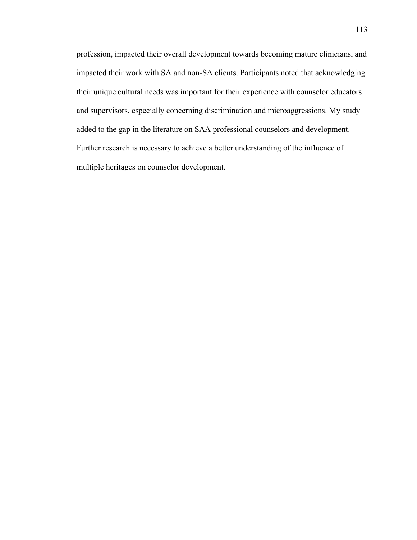profession, impacted their overall development towards becoming mature clinicians, and impacted their work with SA and non-SA clients. Participants noted that acknowledging their unique cultural needs was important for their experience with counselor educators and supervisors, especially concerning discrimination and microaggressions. My study added to the gap in the literature on SAA professional counselors and development. Further research is necessary to achieve a better understanding of the influence of multiple heritages on counselor development.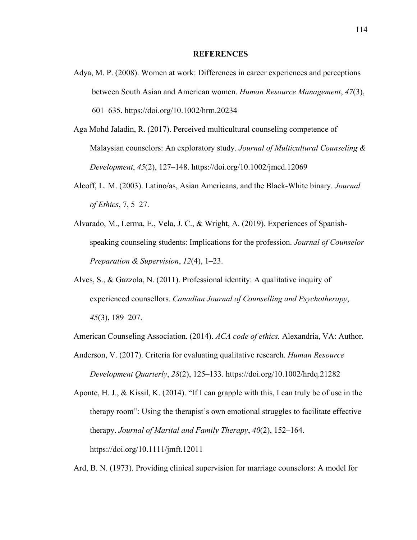## **REFERENCES**

- Adya, M. P. (2008). Women at work: Differences in career experiences and perceptions between South Asian and American women. *Human Resource Management*, *47*(3), 601–635. https://doi.org/10.1002/hrm.20234
- Aga Mohd Jaladin, R. (2017). Perceived multicultural counseling competence of Malaysian counselors: An exploratory study. *Journal of Multicultural Counseling & Development*, *45*(2), 127–148. https://doi.org/10.1002/jmcd.12069
- Alcoff, L. M. (2003). Latino/as, Asian Americans, and the Black-White binary. *Journal of Ethics*, 7, 5–27.
- Alvarado, M., Lerma, E., Vela, J. C., & Wright, A. (2019). Experiences of Spanishspeaking counseling students: Implications for the profession. *Journal of Counselor Preparation & Supervision*, *12*(4), 1–23.
- Alves, S., & Gazzola, N. (2011). Professional identity: A qualitative inquiry of experienced counsellors. *Canadian Journal of Counselling and Psychotherapy*, *45*(3), 189–207.

American Counseling Association. (2014). *ACA code of ethics.* Alexandria, VA: Author.

Anderson, V. (2017). Criteria for evaluating qualitative research. *Human Resource Development Quarterly*, *28*(2), 125–133. https://doi.org/10.1002/hrdq.21282

Aponte, H. J., & Kissil, K. (2014). "If I can grapple with this, I can truly be of use in the therapy room": Using the therapist's own emotional struggles to facilitate effective therapy. *Journal of Marital and Family Therapy*, *40*(2), 152–164. https://doi.org/10.1111/jmft.12011

Ard, B. N. (1973). Providing clinical supervision for marriage counselors: A model for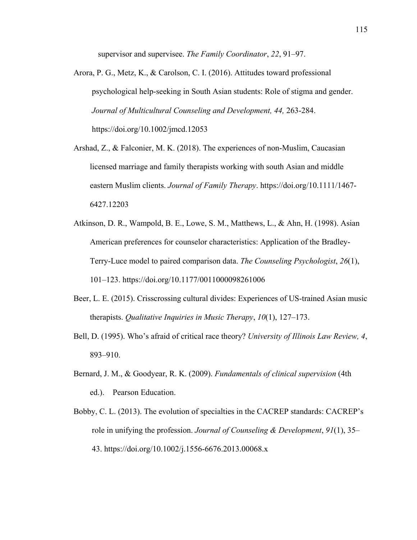supervisor and supervisee. *The Family Coordinator*, *22*, 91–97.

- Arora, P. G., Metz, K., & Carolson, C. I. (2016). Attitudes toward professional psychological help-seeking in South Asian students: Role of stigma and gender. *Journal of Multicultural Counseling and Development, 44,* 263-284. https://doi.org/10.1002/jmcd.12053
- Arshad, Z., & Falconier, M. K. (2018). The experiences of non‐Muslim, Caucasian licensed marriage and family therapists working with south Asian and middle eastern Muslim clients. *Journal of Family Therapy*. https://doi.org/10.1111/1467- 6427.12203
- Atkinson, D. R., Wampold, B. E., Lowe, S. M., Matthews, L., & Ahn, H. (1998). Asian American preferences for counselor characteristics: Application of the Bradley-Terry-Luce model to paired comparison data. *The Counseling Psychologist*, *26*(1), 101–123. https://doi.org/10.1177/0011000098261006
- Beer, L. E. (2015). Crisscrossing cultural divides: Experiences of US-trained Asian music therapists. *Qualitative Inquiries in Music Therapy*, *10*(1), 127–173.
- Bell, D. (1995). Who's afraid of critical race theory? *University of Illinois Law Review, 4*, 893–910.
- Bernard, J. M., & Goodyear, R. K. (2009). *Fundamentals of clinical supervision* (4th ed.). Pearson Education.
- Bobby, C. L. (2013). The evolution of specialties in the CACREP standards: CACREP's role in unifying the profession. *Journal of Counseling & Development*, *91*(1), 35– 43. https://doi.org/10.1002/j.1556-6676.2013.00068.x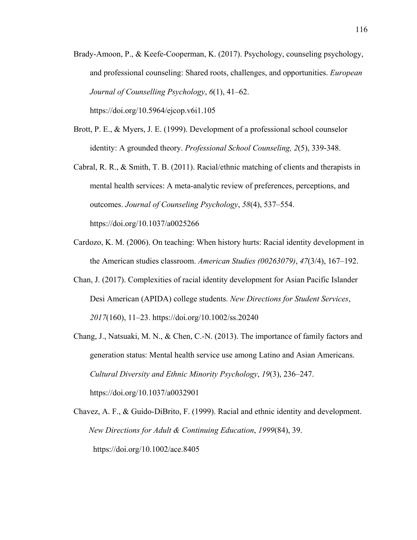Brady-Amoon, P., & Keefe-Cooperman, K. (2017). Psychology, counseling psychology, and professional counseling: Shared roots, challenges, and opportunities. *European Journal of Counselling Psychology*, *6*(1), 41–62.

https://doi.org/10.5964/ejcop.v6i1.105

- Brott, P. E., & Myers, J. E. (1999). Development of a professional school counselor identity: A grounded theory. *Professional School Counseling, 2*(5), 339-348.
- Cabral, R. R., & Smith, T. B. (2011). Racial/ethnic matching of clients and therapists in mental health services: A meta-analytic review of preferences, perceptions, and outcomes. *Journal of Counseling Psychology*, *58*(4), 537–554. https://doi.org/10.1037/a0025266
- Cardozo, K. M. (2006). On teaching: When history hurts: Racial identity development in the American studies classroom. *American Studies (00263079)*, *47*(3/4), 167–192.
- Chan, J. (2017). Complexities of racial identity development for Asian Pacific Islander Desi American (APIDA) college students. *New Directions for Student Services*, *2017*(160), 11–23. https://doi.org/10.1002/ss.20240
- Chang, J., Natsuaki, M. N., & Chen, C.-N. (2013). The importance of family factors and generation status: Mental health service use among Latino and Asian Americans. *Cultural Diversity and Ethnic Minority Psychology*, *19*(3), 236–247. https://doi.org/10.1037/a0032901
- Chavez, A. F., & Guido-DiBrito, F. (1999). Racial and ethnic identity and development. *New Directions for Adult & Continuing Education*, *1999*(84), 39. https://doi.org/10.1002/ace.8405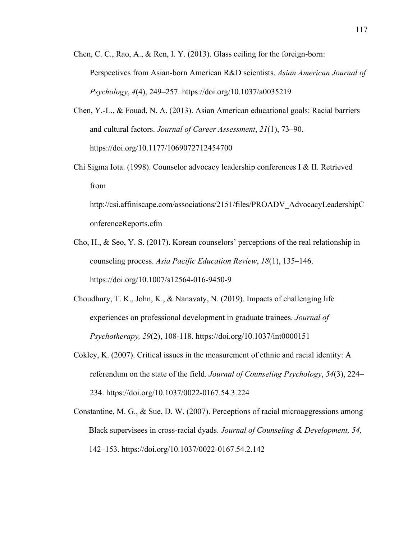- Chen, C. C., Rao, A., & Ren, I. Y. (2013). Glass ceiling for the foreign-born: Perspectives from Asian-born American R&D scientists. *Asian American Journal of Psychology*, *4*(4), 249–257. https://doi.org/10.1037/a0035219
- Chen, Y.-L., & Fouad, N. A. (2013). Asian American educational goals: Racial barriers and cultural factors. *Journal of Career Assessment*, *21*(1), 73–90. https://doi.org/10.1177/1069072712454700
- Chi Sigma Iota. (1998). Counselor advocacy leadership conferences I & II. Retrieved from

http://csi.affiniscape.com/associations/2151/files/PROADV\_AdvocacyLeadershipC onferenceReports.cfm

- Cho, H., & Seo, Y. S. (2017). Korean counselors' perceptions of the real relationship in counseling process. *Asia Pacific Education Review*, *18*(1), 135–146. https://doi.org/10.1007/s12564-016-9450-9
- Choudhury, T. K., John, K., & Nanavaty, N. (2019). Impacts of challenging life experiences on professional development in graduate trainees. *Journal of Psychotherapy, 29*(2), 108-118. https://doi.org/10.1037/int0000151
- Cokley, K. (2007). Critical issues in the measurement of ethnic and racial identity: A referendum on the state of the field. *Journal of Counseling Psychology*, *54*(3), 224– 234. https://doi.org/10.1037/0022-0167.54.3.224
- Constantine, M. G., & Sue, D. W. (2007). Perceptions of racial microaggressions among Black supervisees in cross-racial dyads. *Journal of Counseling & Development, 54,* 142–153. https://doi.org/10.1037/0022-0167.54.2.142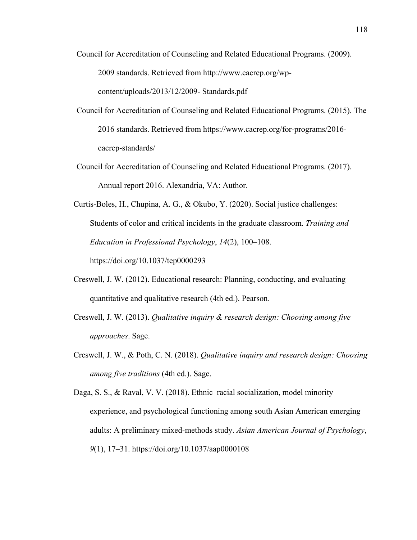- Council for Accreditation of Counseling and Related Educational Programs. (2009). 2009 standards. Retrieved from http://www.cacrep.org/wpcontent/uploads/2013/12/2009- Standards.pdf
- Council for Accreditation of Counseling and Related Educational Programs. (2015). The 2016 standards. Retrieved from https://www.cacrep.org/for-programs/2016 cacrep-standards/
- Council for Accreditation of Counseling and Related Educational Programs. (2017). Annual report 2016. Alexandria, VA: Author.
- Curtis-Boles, H., Chupina, A. G., & Okubo, Y. (2020). Social justice challenges: Students of color and critical incidents in the graduate classroom. *Training and Education in Professional Psychology*, *14*(2), 100–108.

https://doi.org/10.1037/tep0000293

- Creswell, J. W. (2012). Educational research: Planning, conducting, and evaluating quantitative and qualitative research (4th ed.). Pearson.
- Creswell, J. W. (2013). *Qualitative inquiry & research design: Choosing among five approaches*. Sage.
- Creswell, J. W., & Poth, C. N. (2018). *Qualitative inquiry and research design: Choosing among five traditions* (4th ed.). Sage.

Daga, S. S., & Raval, V. V. (2018). Ethnic–racial socialization, model minority experience, and psychological functioning among south Asian American emerging adults: A preliminary mixed-methods study. *Asian American Journal of Psychology*, *9*(1), 17–31. https://doi.org/10.1037/aap0000108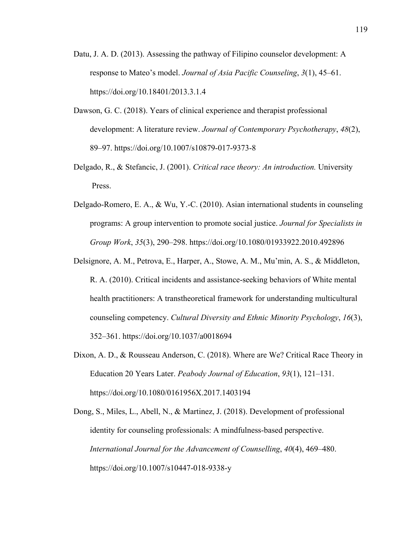- Datu, J. A. D. (2013). Assessing the pathway of Filipino counselor development: A response to Mateo's model. *Journal of Asia Pacific Counseling*, *3*(1), 45–61. https://doi.org/10.18401/2013.3.1.4
- Dawson, G. C. (2018). Years of clinical experience and therapist professional development: A literature review. *Journal of Contemporary Psychotherapy*, *48*(2), 89–97. https://doi.org/10.1007/s10879-017-9373-8
- Delgado, R., & Stefancic, J. (2001). *Critical race theory: An introduction.* University Press.
- Delgado-Romero, E. A., & Wu, Y.-C. (2010). Asian international students in counseling programs: A group intervention to promote social justice. *Journal for Specialists in Group Work*, *35*(3), 290–298. https://doi.org/10.1080/01933922.2010.492896
- Delsignore, A. M., Petrova, E., Harper, A., Stowe, A. M., Mu'min, A. S., & Middleton, R. A. (2010). Critical incidents and assistance-seeking behaviors of White mental health practitioners: A transtheoretical framework for understanding multicultural counseling competency. *Cultural Diversity and Ethnic Minority Psychology*, *16*(3), 352–361. https://doi.org/10.1037/a0018694
- Dixon, A. D., & Rousseau Anderson, C. (2018). Where are We? Critical Race Theory in Education 20 Years Later. *Peabody Journal of Education*, *93*(1), 121–131. https://doi.org/10.1080/0161956X.2017.1403194
- Dong, S., Miles, L., Abell, N., & Martinez, J. (2018). Development of professional identity for counseling professionals: A mindfulness-based perspective. *International Journal for the Advancement of Counselling*, *40*(4), 469–480. https://doi.org/10.1007/s10447-018-9338-y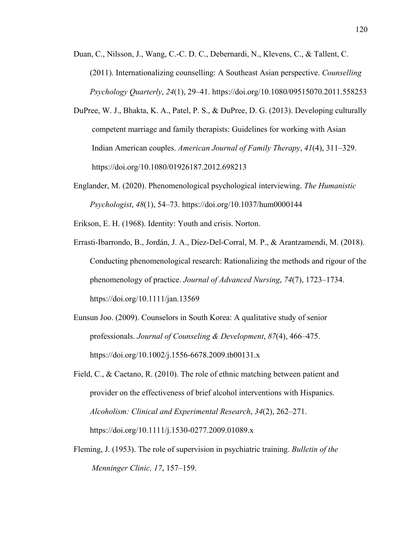- Duan, C., Nilsson, J., Wang, C.-C. D. C., Debernardi, N., Klevens, C., & Tallent, C. (2011). Internationalizing counselling: A Southeast Asian perspective. *Counselling Psychology Quarterly*, *24*(1), 29–41. https://doi.org/10.1080/09515070.2011.558253
- DuPree, W. J., Bhakta, K. A., Patel, P. S., & DuPree, D. G. (2013). Developing culturally competent marriage and family therapists: Guidelines for working with Asian Indian American couples. *American Journal of Family Therapy*, *41*(4), 311–329. https://doi.org/10.1080/01926187.2012.698213
- Englander, M. (2020). Phenomenological psychological interviewing. *The Humanistic Psychologist*, *48*(1), 54–73. https://doi.org/10.1037/hum0000144

Erikson, E. H. (1968). Identity: Youth and crisis. Norton.

- Errasti‐Ibarrondo, B., Jordán, J. A., Díez‐Del‐Corral, M. P., & Arantzamendi, M. (2018). Conducting phenomenological research: Rationalizing the methods and rigour of the phenomenology of practice. *Journal of Advanced Nursing*, *74*(7), 1723–1734. https://doi.org/10.1111/jan.13569
- Eunsun Joo. (2009). Counselors in South Korea: A qualitative study of senior professionals. *Journal of Counseling & Development*, *87*(4), 466–475. https://doi.org/10.1002/j.1556-6678.2009.tb00131.x
- Field, C., & Caetano, R. (2010). The role of ethnic matching between patient and provider on the effectiveness of brief alcohol interventions with Hispanics. *Alcoholism: Clinical and Experimental Research*, *34*(2), 262–271. https://doi.org/10.1111/j.1530-0277.2009.01089.x
- Fleming, J. (1953). The role of supervision in psychiatric training. *Bulletin of the Menninger Clinic, 17*, 157–159.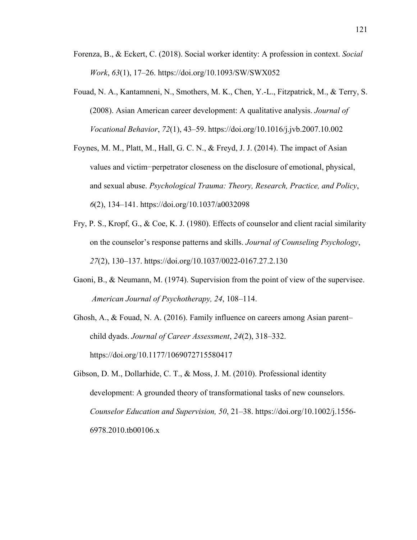- Forenza, B., & Eckert, C. (2018). Social worker identity: A profession in context. *Social Work*, *63*(1), 17–26. https://doi.org/10.1093/SW/SWX052
- Fouad, N. A., Kantamneni, N., Smothers, M. K., Chen, Y.-L., Fitzpatrick, M., & Terry, S. (2008). Asian American career development: A qualitative analysis. *Journal of Vocational Behavior*, *72*(1), 43–59. https://doi.org/10.1016/j.jvb.2007.10.002
- Foynes, M. M., Platt, M., Hall, G. C. N., & Freyd, J. J. (2014). The impact of Asian values and victim−perpetrator closeness on the disclosure of emotional, physical, and sexual abuse. *Psychological Trauma: Theory, Research, Practice, and Policy*, *6*(2), 134–141. https://doi.org/10.1037/a0032098
- Fry, P. S., Kropf, G., & Coe, K. J. (1980). Effects of counselor and client racial similarity on the counselor's response patterns and skills. *Journal of Counseling Psychology*, *27*(2), 130–137. https://doi.org/10.1037/0022-0167.27.2.130
- Gaoni, B., & Neumann, M. (1974). Supervision from the point of view of the supervisee. *American Journal of Psychotherapy, 24*, 108–114.
- Ghosh, A., & Fouad, N. A. (2016). Family influence on careers among Asian parent– child dyads. *Journal of Career Assessment*, *24*(2), 318–332. https://doi.org/10.1177/1069072715580417
- Gibson, D. M., Dollarhide, C. T., & Moss, J. M. (2010). Professional identity development: A grounded theory of transformational tasks of new counselors. *Counselor Education and Supervision, 50*, 21–38. https://doi.org/10.1002/j.1556- 6978.2010.tb00106.x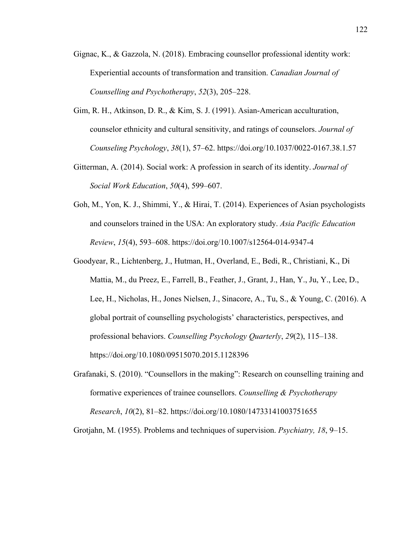- Gignac, K., & Gazzola, N. (2018). Embracing counsellor professional identity work: Experiential accounts of transformation and transition. *Canadian Journal of Counselling and Psychotherapy*, *52*(3), 205–228.
- Gim, R. H., Atkinson, D. R., & Kim, S. J. (1991). Asian-American acculturation, counselor ethnicity and cultural sensitivity, and ratings of counselors. *Journal of Counseling Psychology*, *38*(1), 57–62. https://doi.org/10.1037/0022-0167.38.1.57
- Gitterman, A. (2014). Social work: A profession in search of its identity. *Journal of Social Work Education*, *50*(4), 599–607.
- Goh, M., Yon, K. J., Shimmi, Y., & Hirai, T. (2014). Experiences of Asian psychologists and counselors trained in the USA: An exploratory study. *Asia Pacific Education Review*, *15*(4), 593–608. https://doi.org/10.1007/s12564-014-9347-4
- Goodyear, R., Lichtenberg, J., Hutman, H., Overland, E., Bedi, R., Christiani, K., Di Mattia, M., du Preez, E., Farrell, B., Feather, J., Grant, J., Han, Y., Ju, Y., Lee, D., Lee, H., Nicholas, H., Jones Nielsen, J., Sinacore, A., Tu, S., & Young, C. (2016). A global portrait of counselling psychologists' characteristics, perspectives, and professional behaviors. *Counselling Psychology Quarterly*, *29*(2), 115–138. https://doi.org/10.1080/09515070.2015.1128396
- Grafanaki, S. (2010). "Counsellors in the making": Research on counselling training and formative experiences of trainee counsellors. *Counselling & Psychotherapy Research*, *10*(2), 81–82. https://doi.org/10.1080/14733141003751655

Grotjahn, M. (1955). Problems and techniques of supervision. *Psychiatry, 18*, 9–15.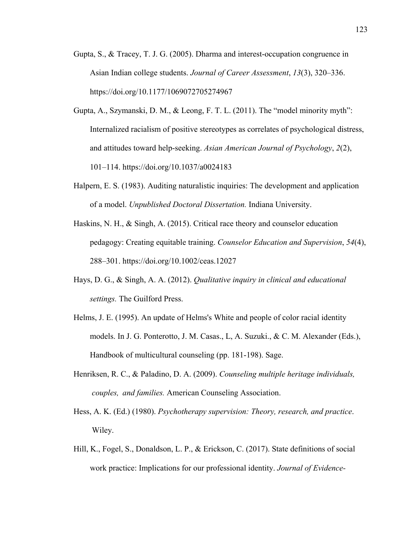- Gupta, S., & Tracey, T. J. G. (2005). Dharma and interest-occupation congruence in Asian Indian college students. *Journal of Career Assessment*, *13*(3), 320–336. https://doi.org/10.1177/1069072705274967
- Gupta, A., Szymanski, D. M., & Leong, F. T. L. (2011). The "model minority myth": Internalized racialism of positive stereotypes as correlates of psychological distress, and attitudes toward help-seeking. *Asian American Journal of Psychology*, *2*(2), 101–114. https://doi.org/10.1037/a0024183
- Halpern, E. S. (1983). Auditing naturalistic inquiries: The development and application of a model. *Unpublished Doctoral Dissertation.* Indiana University.
- Haskins, N. H., & Singh, A. (2015). Critical race theory and counselor education pedagogy: Creating equitable training. *Counselor Education and Supervision*, *54*(4), 288–301. https://doi.org/10.1002/ceas.12027
- Hays, D. G., & Singh, A. A. (2012). *Qualitative inquiry in clinical and educational settings.* The Guilford Press.
- Helms, J. E. (1995). An update of Helms's White and people of color racial identity models. In J. G. Ponterotto, J. M. Casas., L, A. Suzuki., & C. M. Alexander (Eds.), Handbook of multicultural counseling (pp. 181-198). Sage.
- Henriksen, R. C., & Paladino, D. A. (2009). *Counseling multiple heritage individuals, couples, and families.* American Counseling Association.
- Hess, A. K. (Ed.) (1980). *Psychotherapy supervision: Theory, research, and practice*. Wiley.
- Hill, K., Fogel, S., Donaldson, L. P., & Erickson, C. (2017). State definitions of social work practice: Implications for our professional identity. *Journal of Evidence-*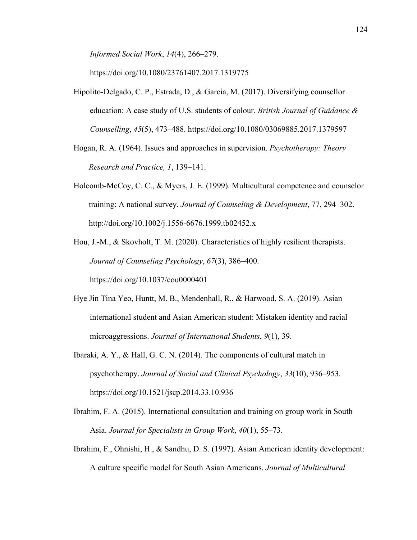*Informed Social Work*, *14*(4), 266–279.

https://doi.org/10.1080/23761407.2017.1319775

- Hipolito-Delgado, C. P., Estrada, D., & Garcia, M. (2017). Diversifying counsellor education: A case study of U.S. students of colour. *British Journal of Guidance & Counselling*, *45*(5), 473–488. https://doi.org/10.1080/03069885.2017.1379597
- Hogan, R. A. (1964). Issues and approaches in supervision. *Psychotherapy: Theory Research and Practice, 1*, 139–141.
- Holcomb-McCoy, C. C., & Myers, J. E. (1999). Multicultural competence and counselor training: A national survey. *Journal of Counseling & Development*, 77, 294–302. http://doi.org/10.1002/j.1556-6676.1999.tb02452.x
- Hou, J.-M., & Skovholt, T. M. (2020). Characteristics of highly resilient therapists. *Journal of Counseling Psychology*, *67*(3), 386–400. https://doi.org/10.1037/cou0000401
- Hye Jin Tina Yeo, Huntt, M. B., Mendenhall, R., & Harwood, S. A. (2019). Asian international student and Asian American student: Mistaken identity and racial microaggressions. *Journal of International Students*, *9*(1), 39.
- Ibaraki, A. Y., & Hall, G. C. N. (2014). The components of cultural match in psychotherapy. *Journal of Social and Clinical Psychology*, *33*(10), 936–953. https://doi.org/10.1521/jscp.2014.33.10.936
- Ibrahim, F. A. (2015). International consultation and training on group work in South Asia. *Journal for Specialists in Group Work*, *40*(1), 55–73.
- Ibrahim, F., Ohnishi, H., & Sandhu, D. S. (1997). Asian American identity development: A culture specific model for South Asian Americans. *Journal of Multicultural*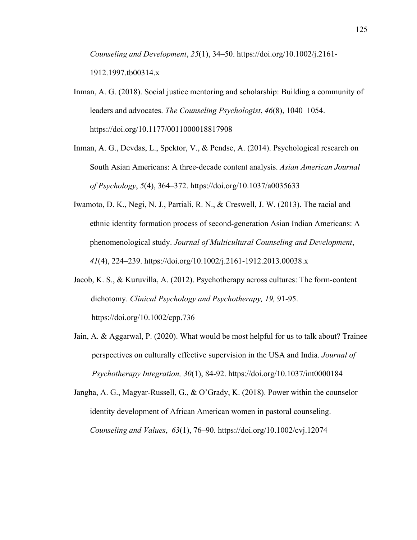*Counseling and Development*, *25*(1), 34–50. https://doi.org/10.1002/j.2161- 1912.1997.tb00314.x

- Inman, A. G. (2018). Social justice mentoring and scholarship: Building a community of leaders and advocates. *The Counseling Psychologist*, *46*(8), 1040–1054. https://doi.org/10.1177/0011000018817908
- Inman, A. G., Devdas, L., Spektor, V., & Pendse, A. (2014). Psychological research on South Asian Americans: A three-decade content analysis. *Asian American Journal of Psychology*, *5*(4), 364–372. https://doi.org/10.1037/a0035633
- Iwamoto, D. K., Negi, N. J., Partiali, R. N., & Creswell, J. W. (2013). The racial and ethnic identity formation process of second‐generation Asian Indian Americans: A phenomenological study. *Journal of Multicultural Counseling and Development*, *41*(4), 224–239. https://doi.org/10.1002/j.2161-1912.2013.00038.x
- Jacob, K. S., & Kuruvilla, A. (2012). Psychotherapy across cultures: The form-content dichotomy. *Clinical Psychology and Psychotherapy, 19,* 91-95. https://doi.org/10.1002/cpp.736
- Jain, A. & Aggarwal, P. (2020). What would be most helpful for us to talk about? Trainee perspectives on culturally effective supervision in the USA and India. *Journal of Psychotherapy Integration, 30*(1), 84-92. https://doi.org/10.1037/int0000184
- Jangha, A. G., Magyar‐Russell, G., & O'Grady, K. (2018). Power within the counselor identity development of African American women in pastoral counseling. *Counseling and Values*, *63*(1), 76–90. https://doi.org/10.1002/cvj.12074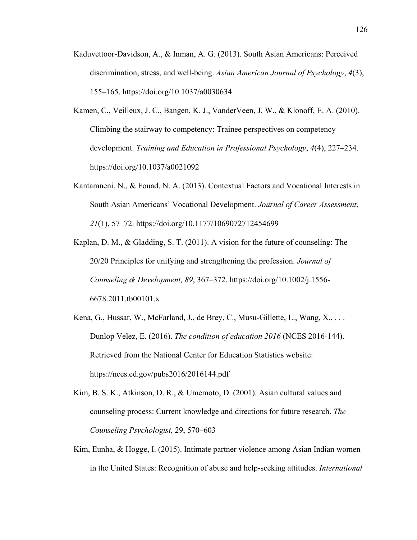- Kaduvettoor-Davidson, A., & Inman, A. G. (2013). South Asian Americans: Perceived discrimination, stress, and well-being. *Asian American Journal of Psychology*, *4*(3), 155–165. https://doi.org/10.1037/a0030634
- Kamen, C., Veilleux, J. C., Bangen, K. J., VanderVeen, J. W., & Klonoff, E. A. (2010). Climbing the stairway to competency: Trainee perspectives on competency development. *Training and Education in Professional Psychology*, *4*(4), 227–234. https://doi.org/10.1037/a0021092
- Kantamneni, N., & Fouad, N. A. (2013). Contextual Factors and Vocational Interests in South Asian Americans' Vocational Development. *Journal of Career Assessment*, *21*(1), 57–72. https://doi.org/10.1177/1069072712454699
- Kaplan, D. M., & Gladding, S. T. (2011). A vision for the future of counseling: The 20/20 Principles for unifying and strengthening the profession. *Journal of Counseling & Development, 89*, 367–372. https://doi.org/10.1002/j.1556- 6678.2011.tb00101.x
- Kena, G., Hussar, W., McFarland, J., de Brey, C., Musu-Gillette, L., Wang, X., . . . Dunlop Velez, E. (2016). *The condition of education 2016* (NCES 2016-144). Retrieved from the National Center for Education Statistics website: https://nces.ed.gov/pubs2016/2016144.pdf
- Kim, B. S. K., Atkinson, D. R., & Umemoto, D. (2001). Asian cultural values and counseling process: Current knowledge and directions for future research. *The Counseling Psychologist,* 29, 570–603
- Kim, Eunha, & Hogge, I. (2015). Intimate partner violence among Asian Indian women in the United States: Recognition of abuse and help-seeking attitudes. *International*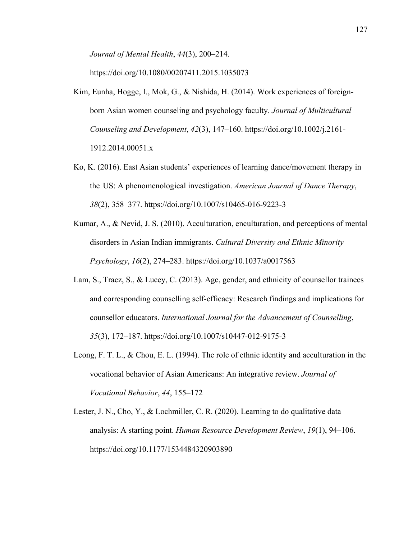*Journal of Mental Health*, *44*(3), 200–214.

https://doi.org/10.1080/00207411.2015.1035073

- Kim, Eunha, Hogge, I., Mok, G., & Nishida, H. (2014). Work experiences of foreignborn Asian women counseling and psychology faculty. *Journal of Multicultural Counseling and Development*, *42*(3), 147–160. https://doi.org/10.1002/j.2161- 1912.2014.00051.x
- Ko, K. (2016). East Asian students' experiences of learning dance/movement therapy in the US: A phenomenological investigation. *American Journal of Dance Therapy*, *38*(2), 358–377. https://doi.org/10.1007/s10465-016-9223-3
- Kumar, A., & Nevid, J. S. (2010). Acculturation, enculturation, and perceptions of mental disorders in Asian Indian immigrants. *Cultural Diversity and Ethnic Minority Psychology*, *16*(2), 274–283. https://doi.org/10.1037/a0017563
- Lam, S., Tracz, S., & Lucey, C. (2013). Age, gender, and ethnicity of counsellor trainees and corresponding counselling self-efficacy: Research findings and implications for counsellor educators. *International Journal for the Advancement of Counselling*, *35*(3), 172–187. https://doi.org/10.1007/s10447-012-9175-3
- Leong, F. T. L., & Chou, E. L. (1994). The role of ethnic identity and acculturation in the vocational behavior of Asian Americans: An integrative review. *Journal of Vocational Behavior*, *44*, 155–172
- Lester, J. N., Cho, Y., & Lochmiller, C. R. (2020). Learning to do qualitative data analysis: A starting point. *Human Resource Development Review*, *19*(1), 94–106. https://doi.org/10.1177/1534484320903890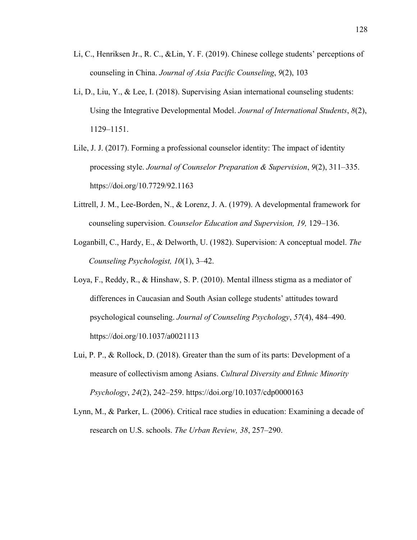- Li, C., Henriksen Jr., R. C., &Lin, Y. F. (2019). Chinese college students' perceptions of counseling in China. *Journal of Asia Pacific Counseling*, *9*(2), 103
- Li, D., Liu, Y., & Lee, I. (2018). Supervising Asian international counseling students: Using the Integrative Developmental Model. *Journal of International Students*, *8*(2), 1129–1151.
- Lile, J. J. (2017). Forming a professional counselor identity: The impact of identity processing style. *Journal of Counselor Preparation & Supervision*, *9*(2), 311–335. https://doi.org/10.7729/92.1163
- Littrell, J. M., Lee-Borden, N., & Lorenz, J. A. (1979). A developmental framework for counseling supervision. *Counselor Education and Supervision, 19,* 129–136.
- Loganbill, C., Hardy, E., & Delworth, U. (1982). Supervision: A conceptual model. *The Counseling Psychologist, 10*(1), 3–42.
- Loya, F., Reddy, R., & Hinshaw, S. P. (2010). Mental illness stigma as a mediator of differences in Caucasian and South Asian college students' attitudes toward psychological counseling. *Journal of Counseling Psychology*, *57*(4), 484–490. https://doi.org/10.1037/a0021113
- Lui, P. P., & Rollock, D. (2018). Greater than the sum of its parts: Development of a measure of collectivism among Asians. *Cultural Diversity and Ethnic Minority Psychology*, *24*(2), 242–259. https://doi.org/10.1037/cdp0000163
- Lynn, M., & Parker, L. (2006). Critical race studies in education: Examining a decade of research on U.S. schools. *The Urban Review, 38*, 257–290.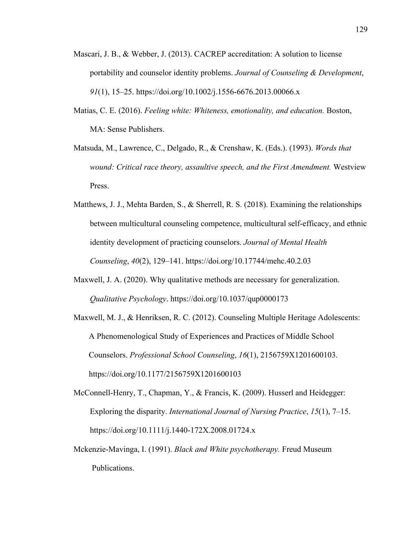- Mascari, J. B., & Webber, J. (2013). CACREP accreditation: A solution to license portability and counselor identity problems. *Journal of Counseling & Development*, *91*(1), 15–25. https://doi.org/10.1002/j.1556-6676.2013.00066.x
- Matias, C. E. (2016). *Feeling white: Whiteness, emotionality, and education.* Boston, MA: Sense Publishers.
- Matsuda, M., Lawrence, C., Delgado, R., & Crenshaw, K. (Eds.). (1993). *Words that wound: Critical race theory, assaultive speech, and the First Amendment.* Westview Press.
- Matthews, J. J., Mehta Barden, S., & Sherrell, R. S. (2018). Examining the relationships between multicultural counseling competence, multicultural self-efficacy, and ethnic identity development of practicing counselors. *Journal of Mental Health Counseling*, *40*(2), 129–141. https://doi.org/10.17744/mehc.40.2.03
- Maxwell, J. A. (2020). Why qualitative methods are necessary for generalization. *Qualitative Psychology*. https://doi.org/10.1037/qup0000173
- Maxwell, M. J., & Henriksen, R. C. (2012). Counseling Multiple Heritage Adolescents: A Phenomenological Study of Experiences and Practices of Middle School Counselors. *Professional School Counseling*, *16*(1), 2156759X1201600103. https://doi.org/10.1177/2156759X1201600103
- McConnell‐Henry, T., Chapman, Y., & Francis, K. (2009). Husserl and Heidegger: Exploring the disparity. *International Journal of Nursing Practice*, *15*(1), 7–15. https://doi.org/10.1111/j.1440-172X.2008.01724.x
- Mckenzie-Mavinga, I. (1991). *Black and White psychotherapy.* Freud Museum Publications.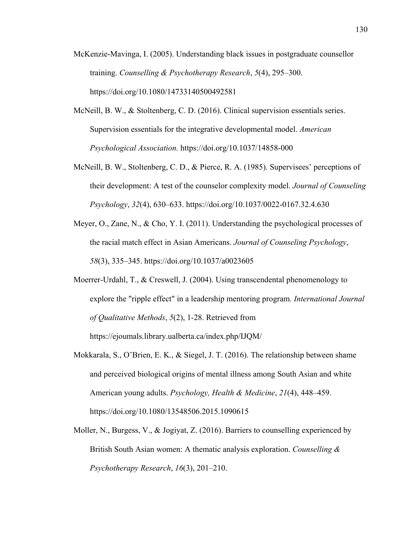- McKenzie-Mavinga, I. (2005). Understanding black issues in postgraduate counsellor training. *Counselling & Psychotherapy Research*, *5*(4), 295–300. https://doi.org/10.1080/14733140500492581
- McNeill, B. W., & Stoltenberg, C. D. (2016). Clinical supervision essentials series. Supervision essentials for the integrative developmental model. *American Psychological Association.* https://doi.org/10.1037/14858-000
- McNeill, B. W., Stoltenberg, C. D., & Pierce, R. A. (1985). Supervisees' perceptions of their development: A test of the counselor complexity model. *Journal of Counseling Psychology*, *32*(4), 630–633. https://doi.org/10.1037/0022-0167.32.4.630
- Meyer, O., Zane, N., & Cho, Y. I. (2011). Understanding the psychological processes of the racial match effect in Asian Americans. *Journal of Counseling Psychology*, *58*(3), 335–345. https://doi.org/10.1037/a0023605
- Moerrer-Urdahl, T., & Creswell, J. (2004). Using transcendental phenomenology to explore the "ripple effect" in a leadership mentoring program*. International Journal of Qualitative Methods*, *5*(2), 1-28. Retrieved from https://ejoumals.library.ualberta.ca/index.php/IJQM/
- Mokkarala, S., O'Brien, E. K., & Siegel, J. T. (2016). The relationship between shame and perceived biological origins of mental illness among South Asian and white American young adults. *Psychology, Health & Medicine*, *21*(4), 448–459. https://doi.org/10.1080/13548506.2015.1090615
- Moller, N., Burgess, V., & Jogiyat, Z. (2016). Barriers to counselling experienced by British South Asian women: A thematic analysis exploration. *Counselling & Psychotherapy Research*, *16*(3), 201–210.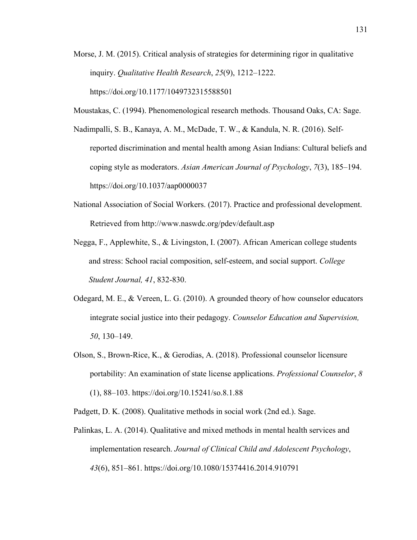- Morse, J. M. (2015). Critical analysis of strategies for determining rigor in qualitative inquiry. *Qualitative Health Research*, *25*(9), 1212–1222. https://doi.org/10.1177/1049732315588501
- Moustakas, C. (1994). Phenomenological research methods. Thousand Oaks, CA: Sage.
- Nadimpalli, S. B., Kanaya, A. M., McDade, T. W., & Kandula, N. R. (2016). Selfreported discrimination and mental health among Asian Indians: Cultural beliefs and coping style as moderators. *Asian American Journal of Psychology*, *7*(3), 185–194. https://doi.org/10.1037/aap0000037
- National Association of Social Workers. (2017). Practice and professional development. Retrieved from http://www.naswdc.org/pdev/default.asp
- Negga, F., Applewhite, S., & Livingston, I. (2007). African American college students and stress: School racial composition, self-esteem, and social support. *College Student Journal, 41*, 832-830.
- Odegard, M. E., & Vereen, L. G. (2010). A grounded theory of how counselor educators integrate social justice into their pedagogy. *Counselor Education and Supervision, 50*, 130–149.
- Olson, S., Brown-Rice, K., & Gerodias, A. (2018). Professional counselor licensure portability: An examination of state license applications. *Professional Counselor*, *8*  (1), 88–103. https://doi.org/10.15241/so.8.1.88

Padgett, D. K. (2008). Qualitative methods in social work (2nd ed.). Sage.

Palinkas, L. A. (2014). Qualitative and mixed methods in mental health services and implementation research. *Journal of Clinical Child and Adolescent Psychology*, *43*(6), 851–861. https://doi.org/10.1080/15374416.2014.910791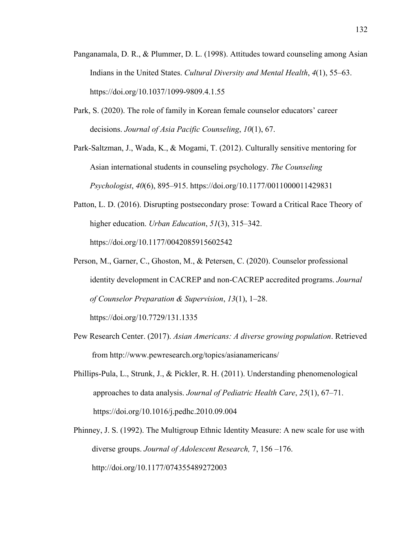- Panganamala, D. R., & Plummer, D. L. (1998). Attitudes toward counseling among Asian Indians in the United States. *Cultural Diversity and Mental Health*, *4*(1), 55–63. https://doi.org/10.1037/1099-9809.4.1.55
- Park, S. (2020). The role of family in Korean female counselor educators' career decisions. *Journal of Asia Pacific Counseling*, *10*(1), 67.

Park-Saltzman, J., Wada, K., & Mogami, T. (2012). Culturally sensitive mentoring for Asian international students in counseling psychology. *The Counseling Psychologist*, *40*(6), 895–915. https://doi.org/10.1177/0011000011429831

- Patton, L. D. (2016). Disrupting postsecondary prose: Toward a Critical Race Theory of higher education. *Urban Education*, *51*(3), 315–342. https://doi.org/10.1177/0042085915602542
- Person, M., Garner, C., Ghoston, M., & Petersen, C. (2020). Counselor professional identity development in CACREP and non-CACREP accredited programs. *Journal of Counselor Preparation & Supervision*, *13*(1), 1–28. https://doi.org/10.7729/131.1335
- Pew Research Center. (2017). *Asian Americans: A diverse growing population*. Retrieved from http://www.pewresearch.org/topics/asianamericans/
- Phillips-Pula, L., Strunk, J., & Pickler, R. H. (2011). Understanding phenomenological approaches to data analysis. *Journal of Pediatric Health Care*, *25*(1), 67–71. https://doi.org/10.1016/j.pedhc.2010.09.004
- Phinney, J. S. (1992). The Multigroup Ethnic Identity Measure: A new scale for use with diverse groups. *Journal of Adolescent Research,* 7, 156 –176. http://doi.org/10.1177/074355489272003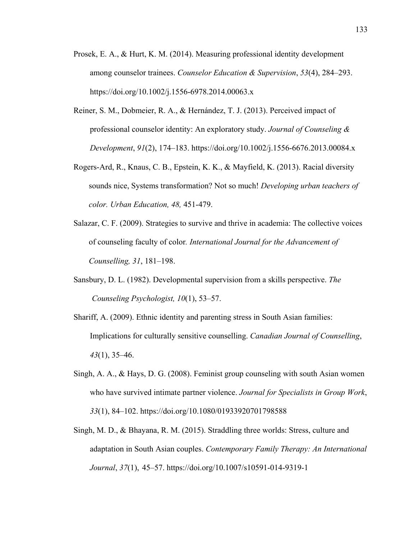- Prosek, E. A., & Hurt, K. M. (2014). Measuring professional identity development among counselor trainees. *Counselor Education & Supervision*, *53*(4), 284–293. https://doi.org/10.1002/j.1556-6978.2014.00063.x
- Reiner, S. M., Dobmeier, R. A., & Hernández, T. J. (2013). Perceived impact of professional counselor identity: An exploratory study. *Journal of Counseling & Development*, *91*(2), 174–183. https://doi.org/10.1002/j.1556-6676.2013.00084.x
- Rogers-Ard, R., Knaus, C. B., Epstein, K. K., & Mayfield, K. (2013). Racial diversity sounds nice, Systems transformation? Not so much! *Developing urban teachers of color. Urban Education, 48,* 451-479.
- Salazar, C. F. (2009). Strategies to survive and thrive in academia: The collective voices of counseling faculty of color*. International Journal for the Advancement of Counselling, 31*, 181–198.
- Sansbury, D. L. (1982). Developmental supervision from a skills perspective. *The Counseling Psychologist, 10*(1), 53–57.
- Shariff, A. (2009). Ethnic identity and parenting stress in South Asian families: Implications for culturally sensitive counselling. *Canadian Journal of Counselling*, *43*(1), 35–46.
- Singh, A. A., & Hays, D. G. (2008). Feminist group counseling with south Asian women who have survived intimate partner violence. *Journal for Specialists in Group Work*, *33*(1), 84–102. https://doi.org/10.1080/01933920701798588
- Singh, M. D., & Bhayana, R. M. (2015). Straddling three worlds: Stress, culture and adaptation in South Asian couples. *Contemporary Family Therapy: An International Journal*, *37*(1), 45–57. https://doi.org/10.1007/s10591-014-9319-1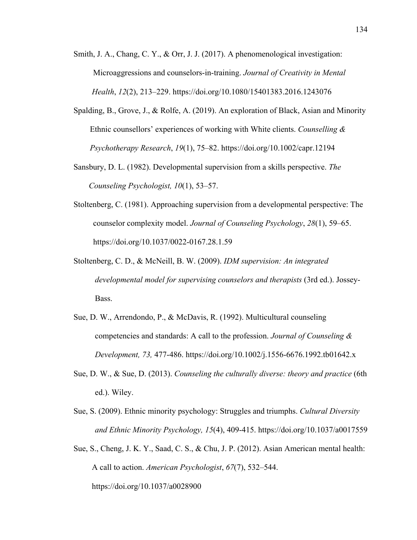- Smith, J. A., Chang, C. Y., & Orr, J. J. (2017). A phenomenological investigation: Microaggressions and counselors-in-training. *Journal of Creativity in Mental Health*, *12*(2), 213–229. https://doi.org/10.1080/15401383.2016.1243076
- Spalding, B., Grove, J., & Rolfe, A. (2019). An exploration of Black, Asian and Minority Ethnic counsellors' experiences of working with White clients. *Counselling & Psychotherapy Research*, *19*(1), 75–82. https://doi.org/10.1002/capr.12194
- Sansbury, D. L. (1982). Developmental supervision from a skills perspective. *The Counseling Psychologist, 10*(1), 53–57.
- Stoltenberg, C. (1981). Approaching supervision from a developmental perspective: The counselor complexity model. *Journal of Counseling Psychology*, *28*(1), 59–65. https://doi.org/10.1037/0022-0167.28.1.59
- Stoltenberg, C. D., & McNeill, B. W. (2009). *IDM supervision: An integrated developmental model for supervising counselors and therapists* (3rd ed.). Jossey-Bass.
- Sue, D. W., Arrendondo, P., & McDavis, R. (1992). Multicultural counseling competencies and standards: A call to the profession. *Journal of Counseling & Development, 73,* 477-486. https://doi.org/10.1002/j.1556-6676.1992.tb01642.x
- Sue, D. W., & Sue, D. (2013). *Counseling the culturally diverse: theory and practice* (6th ed.). Wiley.
- Sue, S. (2009). Ethnic minority psychology: Struggles and triumphs. *Cultural Diversity and Ethnic Minority Psychology, 15*(4), 409-415. https://doi.org/10.1037/a0017559
- Sue, S., Cheng, J. K. Y., Saad, C. S., & Chu, J. P. (2012). Asian American mental health: A call to action. *American Psychologist*, *67*(7), 532–544. https://doi.org/10.1037/a0028900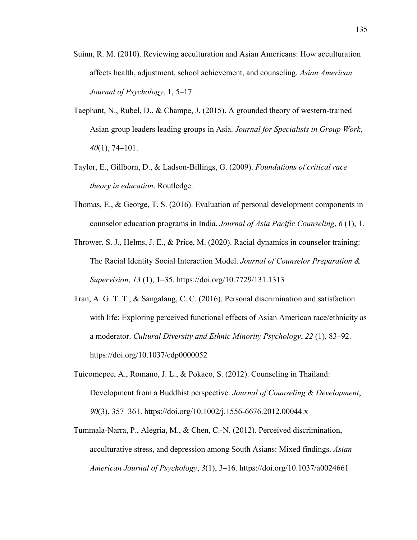- Suinn, R. M. (2010). Reviewing acculturation and Asian Americans: How acculturation affects health, adjustment, school achievement, and counseling. *Asian American Journal of Psychology*, 1, 5–17.
- Taephant, N., Rubel, D., & Champe, J. (2015). A grounded theory of western-trained Asian group leaders leading groups in Asia. *Journal for Specialists in Group Work*, *40*(1), 74–101.
- Taylor, E., Gillborn, D., & Ladson-Billings, G. (2009). *Foundations of critical race theory in education*. Routledge.
- Thomas, E., & George, T. S. (2016). Evaluation of personal development components in counselor education programs in India. *Journal of Asia Pacific Counseling*, *6* (1), 1.
- Thrower, S. J., Helms, J. E., & Price, M. (2020). Racial dynamics in counselor training: The Racial Identity Social Interaction Model. *Journal of Counselor Preparation & Supervision*, *13* (1), 1–35. https://doi.org/10.7729/131.1313
- Tran, A. G. T. T., & Sangalang, C. C. (2016). Personal discrimination and satisfaction with life: Exploring perceived functional effects of Asian American race/ethnicity as a moderator. *Cultural Diversity and Ethnic Minority Psychology*, *22* (1), 83–92. https://doi.org/10.1037/cdp0000052
- Tuicomepee, A., Romano, J. L., & Pokaeo, S. (2012). Counseling in Thailand: Development from a Buddhist perspective. *Journal of Counseling & Development*, *90*(3), 357–361. https://doi.org/10.1002/j.1556-6676.2012.00044.x
- Tummala-Narra, P., Alegria, M., & Chen, C.-N. (2012). Perceived discrimination, acculturative stress, and depression among South Asians: Mixed findings. *Asian American Journal of Psychology*, *3*(1), 3–16. https://doi.org/10.1037/a0024661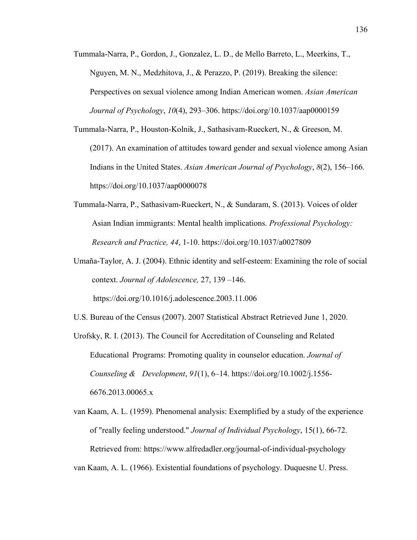- Tummala-Narra, P., Gordon, J., Gonzalez, L. D., de Mello Barreto, L., Meerkins, T., Nguyen, M. N., Medzhitova, J., & Perazzo, P. (2019). Breaking the silence: Perspectives on sexual violence among Indian American women. *Asian American Journal of Psychology*, *10*(4), 293–306. https://doi.org/10.1037/aap0000159
- Tummala-Narra, P., Houston-Kolnik, J., Sathasivam-Rueckert, N., & Greeson, M. (2017). An examination of attitudes toward gender and sexual violence among Asian Indians in the United States. *Asian American Journal of Psychology*, *8*(2), 156–166. https://doi.org/10.1037/aap0000078
- Tummala-Narra, P., Sathasivam-Rueckert, N., & Sundaram, S. (2013). Voices of older Asian Indian immigrants: Mental health implications. *Professional Psychology: Research and Practice, 44*, 1-10. https://doi.org/10.1037/a0027809
- Umaña-Taylor, A. J. (2004). Ethnic identity and self-esteem: Examining the role of social context. *Journal of Adolescence,* 27, 139 –146. https://doi.org/10.1016/j.adolescence.2003.11.006
- U.S. Bureau of the Census (2007). 2007 Statistical Abstract Retrieved June 1, 2020.
- Urofsky, R. I. (2013). The Council for Accreditation of Counseling and Related Educational Programs: Promoting quality in counselor education. *Journal of Counseling & Development*, *91*(1), 6–14. https://doi.org/10.1002/j.1556- 6676.2013.00065.x
- van Kaam, A. L. (1959). Phenomenal analysis: Exemplified by a study of the experience of "really feeling understood." *Journal of Individual Psychology*, 15(1), 66-72. Retrieved from: https://www.alfredadler.org/journal-of-individual-psychology
- van Kaam, A. L. (1966). Existential foundations of psychology. Duquesne U. Press.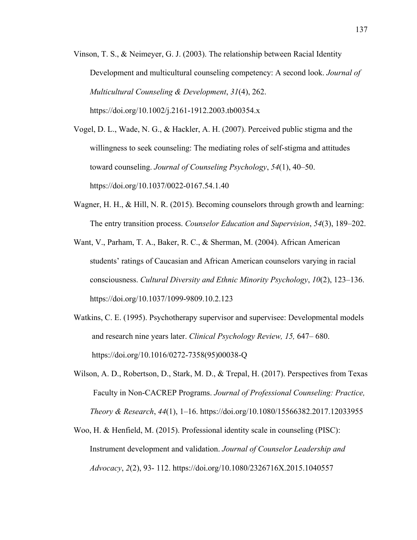Vinson, T. S., & Neimeyer, G. J. (2003). The relationship between Racial Identity Development and multicultural counseling competency: A second look. *Journal of Multicultural Counseling & Development*, *31*(4), 262. https://doi.org/10.1002/j.2161-1912.2003.tb00354.x

Vogel, D. L., Wade, N. G., & Hackler, A. H. (2007). Perceived public stigma and the willingness to seek counseling: The mediating roles of self-stigma and attitudes toward counseling. *Journal of Counseling Psychology*, *54*(1), 40–50. https://doi.org/10.1037/0022-0167.54.1.40

- Wagner, H. H., & Hill, N. R. (2015). Becoming counselors through growth and learning: The entry transition process. *Counselor Education and Supervision*, *54*(3), 189–202.
- Want, V., Parham, T. A., Baker, R. C., & Sherman, M. (2004). African American students' ratings of Caucasian and African American counselors varying in racial consciousness. *Cultural Diversity and Ethnic Minority Psychology*, *10*(2), 123–136. https://doi.org/10.1037/1099-9809.10.2.123
- Watkins, C. E. (1995). Psychotherapy supervisor and supervisee: Developmental models and research nine years later. *Clinical Psychology Review, 15,* 647– 680. https://doi.org/10.1016/0272-7358(95)00038-Q
- Wilson, A. D., Robertson, D., Stark, M. D., & Trepal, H. (2017). Perspectives from Texas Faculty in Non-CACREP Programs. *Journal of Professional Counseling: Practice, Theory & Research*, *44*(1), 1–16. https://doi.org/10.1080/15566382.2017.12033955
- Woo, H. & Henfield, M. (2015). Professional identity scale in counseling (PISC): Instrument development and validation. *Journal of Counselor Leadership and Advocacy*, *2*(2), 93- 112. https://doi.org/10.1080/2326716X.2015.1040557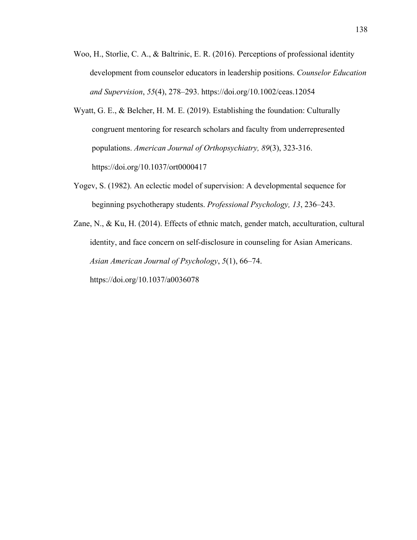- Woo, H., Storlie, C. A., & Baltrinic, E. R. (2016). Perceptions of professional identity development from counselor educators in leadership positions. *Counselor Education and Supervision*, *55*(4), 278–293. https://doi.org/10.1002/ceas.12054
- Wyatt, G. E., & Belcher, H. M. E. (2019). Establishing the foundation: Culturally congruent mentoring for research scholars and faculty from underrepresented populations. *American Journal of Orthopsychiatry, 89*(3), 323-316. https://doi.org/10.1037/ort0000417
- Yogev, S. (1982). An eclectic model of supervision: A developmental sequence for beginning psychotherapy students. *Professional Psychology, 13*, 236–243.
- Zane, N., & Ku, H. (2014). Effects of ethnic match, gender match, acculturation, cultural identity, and face concern on self-disclosure in counseling for Asian Americans. *Asian American Journal of Psychology*, *5*(1), 66–74.

https://doi.org/10.1037/a0036078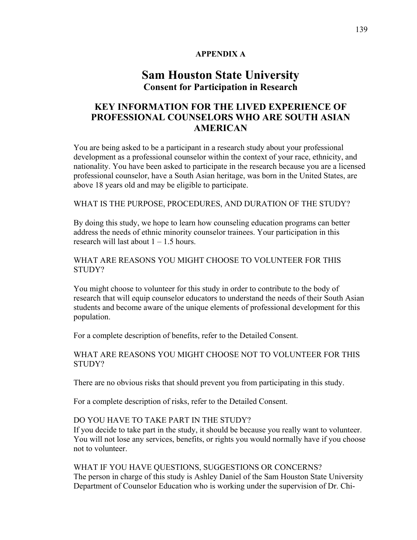## **APPENDIX A**

# **Sam Houston State University Consent for Participation in Research**

# **KEY INFORMATION FOR THE LIVED EXPERIENCE OF PROFESSIONAL COUNSELORS WHO ARE SOUTH ASIAN AMERICAN**

You are being asked to be a participant in a research study about your professional development as a professional counselor within the context of your race, ethnicity, and nationality. You have been asked to participate in the research because you are a licensed professional counselor, have a South Asian heritage, was born in the United States, are above 18 years old and may be eligible to participate.

## WHAT IS THE PURPOSE, PROCEDURES, AND DURATION OF THE STUDY?

By doing this study, we hope to learn how counseling education programs can better address the needs of ethnic minority counselor trainees. Your participation in this research will last about  $1 - 1.5$  hours.

## WHAT ARE REASONS YOU MIGHT CHOOSE TO VOLUNTEER FOR THIS STUDY?

You might choose to volunteer for this study in order to contribute to the body of research that will equip counselor educators to understand the needs of their South Asian students and become aware of the unique elements of professional development for this population.

For a complete description of benefits, refer to the Detailed Consent.

WHAT ARE REASONS YOU MIGHT CHOOSE NOT TO VOLUNTEER FOR THIS STUDY?

There are no obvious risks that should prevent you from participating in this study.

For a complete description of risks, refer to the Detailed Consent.

## DO YOU HAVE TO TAKE PART IN THE STUDY?

If you decide to take part in the study, it should be because you really want to volunteer. You will not lose any services, benefits, or rights you would normally have if you choose not to volunteer.

## WHAT IF YOU HAVE QUESTIONS, SUGGESTIONS OR CONCERNS?

The person in charge of this study is Ashley Daniel of the Sam Houston State University Department of Counselor Education who is working under the supervision of Dr. Chi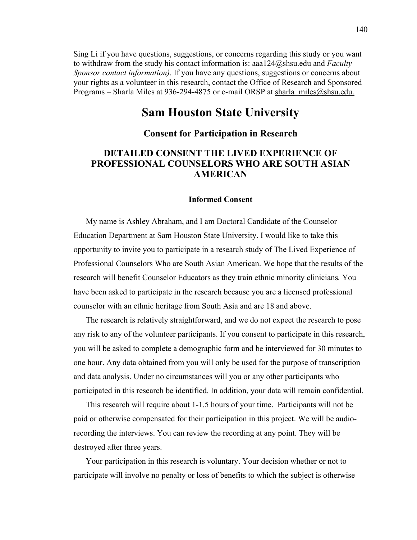Sing Li if you have questions, suggestions, or concerns regarding this study or you want to withdraw from the study his contact information is: aaa124@shsu.edu and *Faculty Sponsor contact information)*. If you have any questions, suggestions or concerns about your rights as a volunteer in this research, contact the Office of Research and Sponsored Programs – Sharla Miles at 936-294-4875 or e-mail ORSP at sharla\_miles@shsu.edu.

# **Sam Houston State University**

### **Consent for Participation in Research**

# **DETAILED CONSENT THE LIVED EXPERIENCE OF PROFESSIONAL COUNSELORS WHO ARE SOUTH ASIAN AMERICAN**

#### **Informed Consent**

My name is Ashley Abraham, and I am Doctoral Candidate of the Counselor Education Department at Sam Houston State University. I would like to take this opportunity to invite you to participate in a research study of The Lived Experience of Professional Counselors Who are South Asian American. We hope that the results of the research will benefit Counselor Educators as they train ethnic minority clinicians*.* You have been asked to participate in the research because you are a licensed professional counselor with an ethnic heritage from South Asia and are 18 and above.

The research is relatively straightforward, and we do not expect the research to pose any risk to any of the volunteer participants. If you consent to participate in this research, you will be asked to complete a demographic form and be interviewed for 30 minutes to one hour. Any data obtained from you will only be used for the purpose of transcription and data analysis. Under no circumstances will you or any other participants who participated in this research be identified. In addition, your data will remain confidential.

This research will require about 1-1.5 hours of your time. Participants will not be paid or otherwise compensated for their participation in this project. We will be audiorecording the interviews. You can review the recording at any point. They will be destroyed after three years.

Your participation in this research is voluntary. Your decision whether or not to participate will involve no penalty or loss of benefits to which the subject is otherwise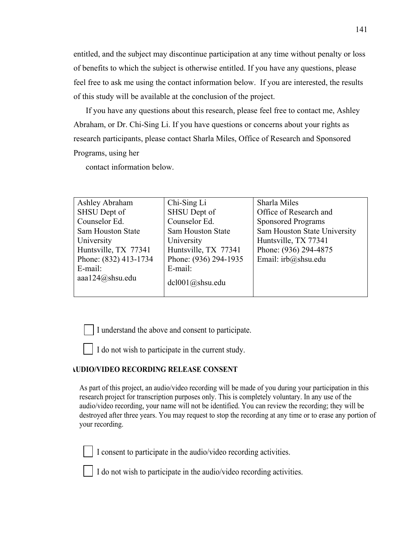entitled, and the subject may discontinue participation at any time without penalty or loss of benefits to which the subject is otherwise entitled. If you have any questions, please feel free to ask me using the contact information below. If you are interested, the results of this study will be available at the conclusion of the project.

If you have any questions about this research, please feel free to contact me, Ashley Abraham, or Dr. Chi-Sing Li. If you have questions or concerns about your rights as research participants, please contact Sharla Miles, Office of Research and Sponsored Programs, using her

contact information below.

| Ashley Abraham           | Chi-Sing Li              | Sharla Miles                 |
|--------------------------|--------------------------|------------------------------|
| SHSU Dept of             | SHSU Dept of             | Office of Research and       |
| Counselor Ed.            | Counselor Ed.            | <b>Sponsored Programs</b>    |
| <b>Sam Houston State</b> | <b>Sam Houston State</b> | Sam Houston State University |
| University               | University               | Huntsville, TX 77341         |
| Huntsville, TX 77341     | Huntsville, TX 77341     | Phone: (936) 294-4875        |
| Phone: (832) 413-1734    | Phone: (936) 294-1935    | Email: irb@shsu.edu          |
| $E$ -mail:               | E-mail:                  |                              |
| aaa124@shsu.edu          | dcl001@shsu.edu          |                              |
|                          |                          |                              |

I understand the above and consent to participate.

I do not wish to participate in the current study.

#### **AUDIO/VIDEO RECORDING RELEASE CONSENT**

As part of this project, an audio/video recording will be made of you during your participation in this research project for transcription purposes only. This is completely voluntary. In any use of the audio/video recording, your name will not be identified. You can review the recording; they will be destroyed after three years. You may request to stop the recording at any time or to erase any portion of your recording.

I consent to participate in the audio/video recording activities.

I do not wish to participate in the audio/video recording activities.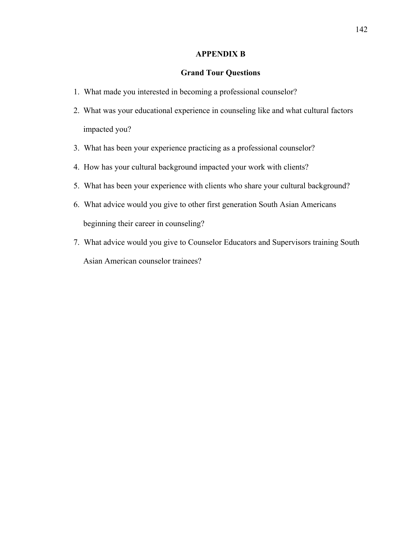#### **APPENDIX B**

#### **Grand Tour Questions**

- 1. What made you interested in becoming a professional counselor?
- 2. What was your educational experience in counseling like and what cultural factors impacted you?
- 3. What has been your experience practicing as a professional counselor?
- 4. How has your cultural background impacted your work with clients?
- 5. What has been your experience with clients who share your cultural background?
- 6. What advice would you give to other first generation South Asian Americans beginning their career in counseling?
- 7. What advice would you give to Counselor Educators and Supervisors training South Asian American counselor trainees?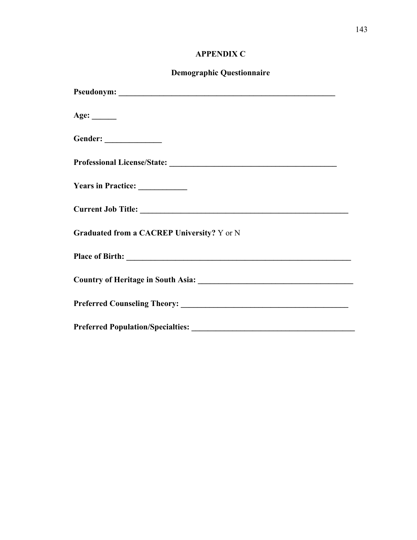# **APPENDIX C**

# **Demographic Questionnaire**

| Age: $\_\_$                                |
|--------------------------------------------|
|                                            |
|                                            |
| Years in Practice: ___________             |
|                                            |
| Graduated from a CACREP University? Y or N |
|                                            |
|                                            |
|                                            |
| <b>Preferred Population/Specialties:</b>   |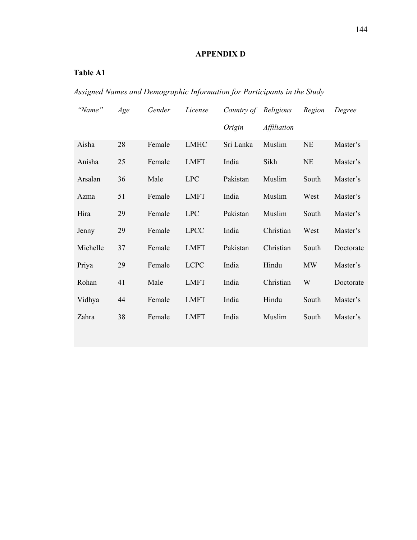# **APPENDIX D**

# **Table A1**

*Assigned Names and Demographic Information for Participants in the Study* 

| "Name"   | Age | Gender | License     | Country of Religious |                    | Region    | Degree    |
|----------|-----|--------|-------------|----------------------|--------------------|-----------|-----------|
|          |     |        |             | Origin               | <i>Affiliation</i> |           |           |
| Aisha    | 28  | Female | <b>LMHC</b> | Sri Lanka            | Muslim             | <b>NE</b> | Master's  |
| Anisha   | 25  | Female | <b>LMFT</b> | India                | Sikh               | <b>NE</b> | Master's  |
| Arsalan  | 36  | Male   | <b>LPC</b>  | Pakistan             | Muslim             | South     | Master's  |
| Azma     | 51  | Female | <b>LMFT</b> | India                | Muslim             | West      | Master's  |
| Hira     | 29  | Female | <b>LPC</b>  | Pakistan             | Muslim             | South     | Master's  |
| Jenny    | 29  | Female | <b>LPCC</b> | India                | Christian          | West      | Master's  |
| Michelle | 37  | Female | <b>LMFT</b> | Pakistan             | Christian          | South     | Doctorate |
| Priya    | 29  | Female | <b>LCPC</b> | India                | Hindu              | <b>MW</b> | Master's  |
| Rohan    | 41  | Male   | <b>LMFT</b> | India                | Christian          | W         | Doctorate |
| Vidhya   | 44  | Female | <b>LMFT</b> | India                | Hindu              | South     | Master's  |
| Zahra    | 38  | Female | <b>LMFT</b> | India                | Muslim             | South     | Master's  |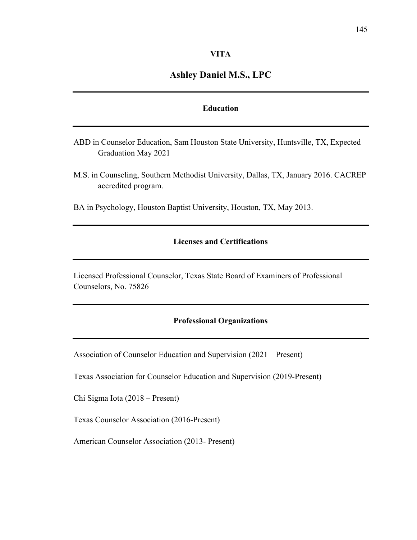## **Ashley Daniel M.S., LPC**

#### **Education**

- ABD in Counselor Education, Sam Houston State University, Huntsville, TX, Expected Graduation May 2021
- M.S. in Counseling, Southern Methodist University, Dallas, TX, January 2016. CACREP accredited program.
- BA in Psychology, Houston Baptist University, Houston, TX, May 2013.

## **Licenses and Certifications**

Licensed Professional Counselor, Texas State Board of Examiners of Professional Counselors, No. 75826

#### **Professional Organizations**

Association of Counselor Education and Supervision (2021 – Present)

Texas Association for Counselor Education and Supervision (2019-Present)

Chi Sigma Iota (2018 – Present)

Texas Counselor Association (2016-Present)

American Counselor Association (2013- Present)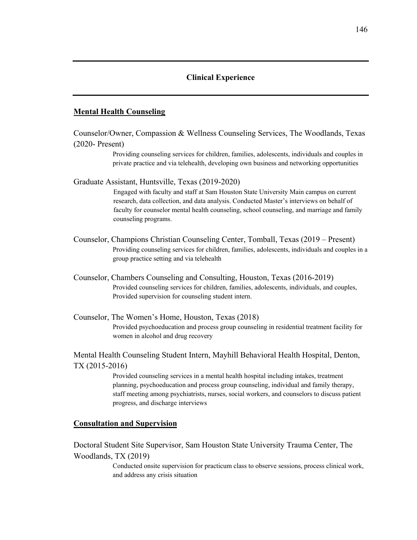#### **Clinical Experience**

#### **Mental Health Counseling**

Counselor/Owner, Compassion & Wellness Counseling Services, The Woodlands, Texas (2020- Present)

> Providing counseling services for children, families, adolescents, individuals and couples in private practice and via telehealth, developing own business and networking opportunities

Graduate Assistant, Huntsville, Texas (2019-2020)

Engaged with faculty and staff at Sam Houston State University Main campus on current research, data collection, and data analysis. Conducted Master's interviews on behalf of faculty for counselor mental health counseling, school counseling, and marriage and family counseling programs.

- Counselor, Champions Christian Counseling Center, Tomball, Texas (2019 Present) Providing counseling services for children, families, adolescents, individuals and couples in a group practice setting and via telehealth
- Counselor, Chambers Counseling and Consulting, Houston, Texas (2016-2019) Provided counseling services for children, families, adolescents, individuals, and couples, Provided supervision for counseling student intern.
- Counselor, The Women's Home, Houston, Texas (2018) Provided psychoeducation and process group counseling in residential treatment facility for women in alcohol and drug recovery

Mental Health Counseling Student Intern, Mayhill Behavioral Health Hospital, Denton, TX (2015-2016)

> Provided counseling services in a mental health hospital including intakes, treatment planning, psychoeducation and process group counseling, individual and family therapy, staff meeting among psychiatrists, nurses, social workers, and counselors to discuss patient progress, and discharge interviews

#### **Consultation and Supervision**

Doctoral Student Site Supervisor, Sam Houston State University Trauma Center, The Woodlands, TX (2019)

> Conducted onsite supervision for practicum class to observe sessions, process clinical work, and address any crisis situation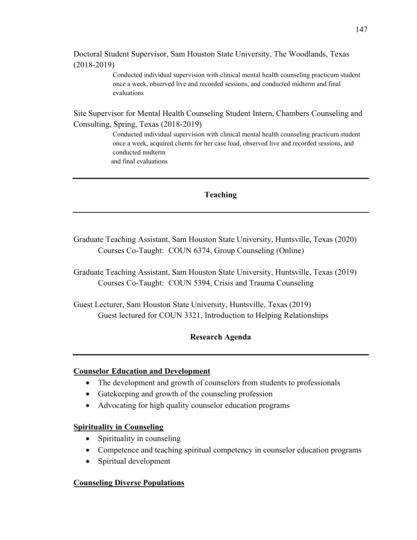Doctoral Student Supervisor, Sam Houston State University, The Woodlands, Texas (2018-2019)

> Conducted individual supervision with clinical mental health counseling practicum student once a week, observed live and recorded sessions, and conducted midterm and final evaluations

Site Supervisor for Mental Health Counseling Student Intern, Chambers Counseling and Consulting, Spring, Texas (2018-2019)

> Conducted individual supervision with clinical mental health counseling practicum student once a week, acquired clients for her case load, observed live and recorded sessions, and conducted midterm and final evaluations

## **Teaching**

Graduate Teaching Assistant, Sam Houston State University, Huntsville, Texas (2020) Courses Co-Taught: COUN 6374, Group Counseling (Online)

Graduate Teaching Assistant, Sam Houston State University, Huntsville, Texas (2019) Courses Co-Taught: COUN 5394, Crisis and Trauma Counseling

Guest Lecturer, Sam Houston State University, Huntsville, Texas (2019) Guest lectured for COUN 3321, Introduction to Helping Relationships

## **Research Agenda**

#### **Counselor Education and Development**

- The development and growth of counselors from students to professionals
- Gatekeeping and growth of the counseling profession
- Advocating for high quality counselor education programs

#### **Spirituality in Counseling**

- Spirituality in counseling
- Competence and teaching spiritual competency in counselor education programs
- Spiritual development

#### **Counseling Diverse Populations**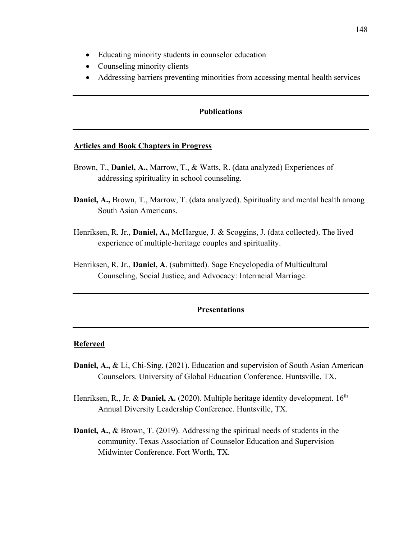- Educating minority students in counselor education
- Counseling minority clients
- Addressing barriers preventing minorities from accessing mental health services

#### **Publications**

#### **Articles and Book Chapters in Progress**

- Brown, T., **Daniel, A.,** Marrow, T., & Watts, R. (data analyzed) Experiences of addressing spirituality in school counseling.
- **Daniel, A.,** Brown, T., Marrow, T. (data analyzed). Spirituality and mental health among South Asian Americans.
- Henriksen, R. Jr., **Daniel, A.,** McHargue, J. & Scoggins, J. (data collected). The lived experience of multiple-heritage couples and spirituality.
- Henriksen, R. Jr., **Daniel, A**. (submitted). Sage Encyclopedia of Multicultural Counseling, Social Justice, and Advocacy: Interracial Marriage.

#### **Presentations**

#### **Refereed**

- **Daniel, A.,** & Li, Chi-Sing. (2021). Education and supervision of South Asian American Counselors. University of Global Education Conference. Huntsville, TX.
- Henriksen, R., Jr. & **Daniel, A.** (2020). Multiple heritage identity development. 16<sup>th</sup> Annual Diversity Leadership Conference. Huntsville, TX.
- **Daniel, A.**, & Brown, T. (2019). Addressing the spiritual needs of students in the community. Texas Association of Counselor Education and Supervision Midwinter Conference. Fort Worth, TX.